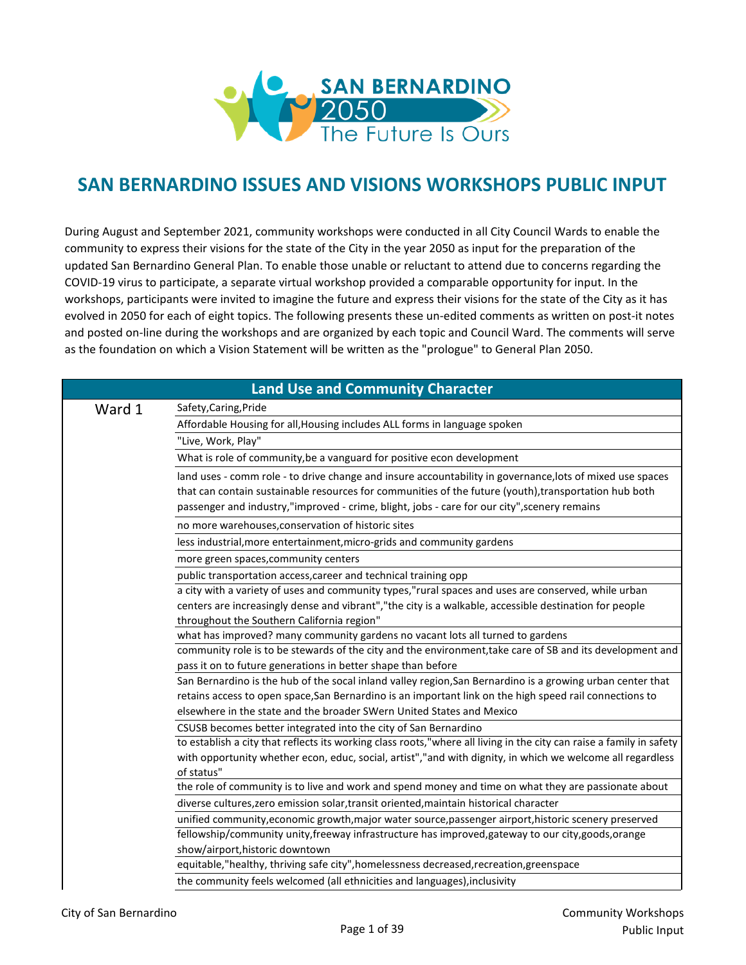

## **SAN BERNARDINO ISSUES AND VISIONS WORKSHOPS PUBLIC INPUT**

During August and September 2021, community workshops were conducted in all City Council Wards to enable the community to express their visions for the state of the City in the year 2050 as input for the preparation of the updated San Bernardino General Plan. To enable those unable or reluctant to attend due to concerns regarding the COVID-19 virus to participate, a separate virtual workshop provided a comparable opportunity for input. In the workshops, participants were invited to imagine the future and express their visions for the state of the City as it has evolved in 2050 for each of eight topics. The following presents these un-edited comments as written on post-it notes and posted on-line during the workshops and are organized by each topic and Council Ward. The comments will serve as the foundation on which a Vision Statement will be written as the "prologue" to General Plan 2050.

|        | <b>Land Use and Community Character</b>                                                                              |
|--------|----------------------------------------------------------------------------------------------------------------------|
| Ward 1 | Safety, Caring, Pride                                                                                                |
|        | Affordable Housing for all, Housing includes ALL forms in language spoken                                            |
|        | "Live, Work, Play"                                                                                                   |
|        | What is role of community, be a vanguard for positive econ development                                               |
|        | land uses - comm role - to drive change and insure accountability in governance, lots of mixed use spaces            |
|        | that can contain sustainable resources for communities of the future (youth), transportation hub both                |
|        | passenger and industry,"improved - crime, blight, jobs - care for our city", scenery remains                         |
|        | no more warehouses, conservation of historic sites                                                                   |
|        | less industrial, more entertainment, micro-grids and community gardens                                               |
|        | more green spaces, community centers                                                                                 |
|        | public transportation access, career and technical training opp                                                      |
|        | a city with a variety of uses and community types,"rural spaces and uses are conserved, while urban                  |
|        | centers are increasingly dense and vibrant", "the city is a walkable, accessible destination for people              |
|        | throughout the Southern California region"                                                                           |
|        | what has improved? many community gardens no vacant lots all turned to gardens                                       |
|        | community role is to be stewards of the city and the environment, take care of SB and its development and            |
|        | pass it on to future generations in better shape than before                                                         |
|        | San Bernardino is the hub of the socal inland valley region, San Bernardino is a growing urban center that           |
|        | retains access to open space, San Bernardino is an important link on the high speed rail connections to              |
|        | elsewhere in the state and the broader SWern United States and Mexico                                                |
|        | CSUSB becomes better integrated into the city of San Bernardino                                                      |
|        | to establish a city that reflects its working class roots,"where all living in the city can raise a family in safety |
|        | with opportunity whether econ, educ, social, artist","and with dignity, in which we welcome all regardless           |
|        | of status"                                                                                                           |
|        | the role of community is to live and work and spend money and time on what they are passionate about                 |
|        | diverse cultures, zero emission solar, transit oriented, maintain historical character                               |
|        | unified community, economic growth, major water source, passenger airport, historic scenery preserved                |
|        | fellowship/community unity, freeway infrastructure has improved, gateway to our city, goods, orange                  |
|        | show/airport, historic downtown                                                                                      |
|        | equitable,"healthy, thriving safe city", homelessness decreased, recreation, greenspace                              |
|        | the community feels welcomed (all ethnicities and languages), inclusivity                                            |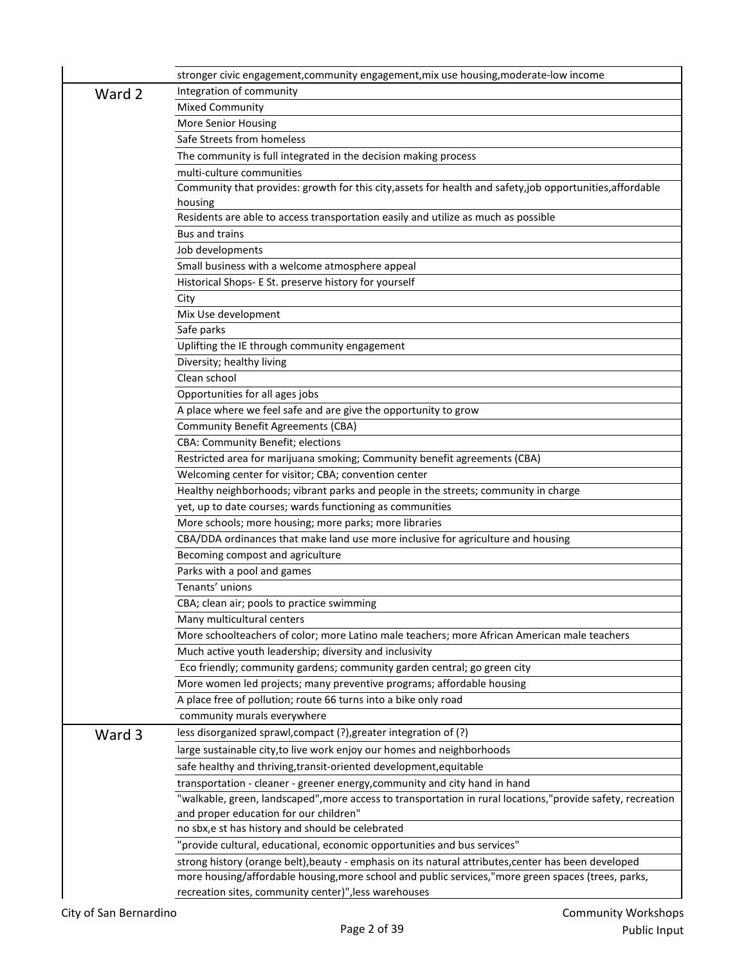|        | stronger civic engagement, community engagement, mix use housing, moderate-low income                                                       |
|--------|---------------------------------------------------------------------------------------------------------------------------------------------|
| Ward 2 | Integration of community                                                                                                                    |
|        | <b>Mixed Community</b>                                                                                                                      |
|        | <b>More Senior Housing</b>                                                                                                                  |
|        | Safe Streets from homeless                                                                                                                  |
|        | The community is full integrated in the decision making process                                                                             |
|        | multi-culture communities                                                                                                                   |
|        | Community that provides: growth for this city, assets for health and safety, job opportunities, affordable                                  |
|        | housing                                                                                                                                     |
|        | Residents are able to access transportation easily and utilize as much as possible                                                          |
|        | <b>Bus and trains</b>                                                                                                                       |
|        | Job developments                                                                                                                            |
|        | Small business with a welcome atmosphere appeal                                                                                             |
|        | Historical Shops- E St. preserve history for yourself                                                                                       |
|        | City                                                                                                                                        |
|        | Mix Use development                                                                                                                         |
|        | Safe parks                                                                                                                                  |
|        | Uplifting the IE through community engagement                                                                                               |
|        | Diversity; healthy living                                                                                                                   |
|        | Clean school                                                                                                                                |
|        | Opportunities for all ages jobs                                                                                                             |
|        | A place where we feel safe and are give the opportunity to grow                                                                             |
|        | <b>Community Benefit Agreements (CBA)</b>                                                                                                   |
|        | CBA: Community Benefit; elections                                                                                                           |
|        | Restricted area for marijuana smoking; Community benefit agreements (CBA)                                                                   |
|        | Welcoming center for visitor; CBA; convention center<br>Healthy neighborhoods; vibrant parks and people in the streets; community in charge |
|        | yet, up to date courses; wards functioning as communities                                                                                   |
|        | More schools; more housing; more parks; more libraries                                                                                      |
|        | CBA/DDA ordinances that make land use more inclusive for agriculture and housing                                                            |
|        | Becoming compost and agriculture                                                                                                            |
|        | Parks with a pool and games                                                                                                                 |
|        | Tenants' unions                                                                                                                             |
|        | CBA; clean air; pools to practice swimming                                                                                                  |
|        | Many multicultural centers                                                                                                                  |
|        | More schoolteachers of color; more Latino male teachers; more African American male teachers                                                |
|        | Much active youth leadership; diversity and inclusivity                                                                                     |
|        | Eco friendly; community gardens; community garden central; go green city                                                                    |
|        | More women led projects; many preventive programs; affordable housing                                                                       |
|        | A place free of pollution; route 66 turns into a bike only road                                                                             |
|        | community murals everywhere                                                                                                                 |
| Ward 3 | less disorganized sprawl, compact (?), greater integration of (?)                                                                           |
|        | large sustainable city, to live work enjoy our homes and neighborhoods                                                                      |
|        | safe healthy and thriving, transit-oriented development, equitable                                                                          |
|        | transportation - cleaner - greener energy, community and city hand in hand                                                                  |
|        | "walkable, green, landscaped", more access to transportation in rural locations," provide safety, recreation                                |
|        | and proper education for our children"                                                                                                      |
|        | no sbx, e st has history and should be celebrated                                                                                           |
|        | "provide cultural, educational, economic opportunities and bus services"                                                                    |
|        | strong history (orange belt), beauty - emphasis on its natural attributes, center has been developed                                        |
|        | more housing/affordable housing, more school and public services," more green spaces (trees, parks,                                         |
|        | recreation sites, community center)", less warehouses                                                                                       |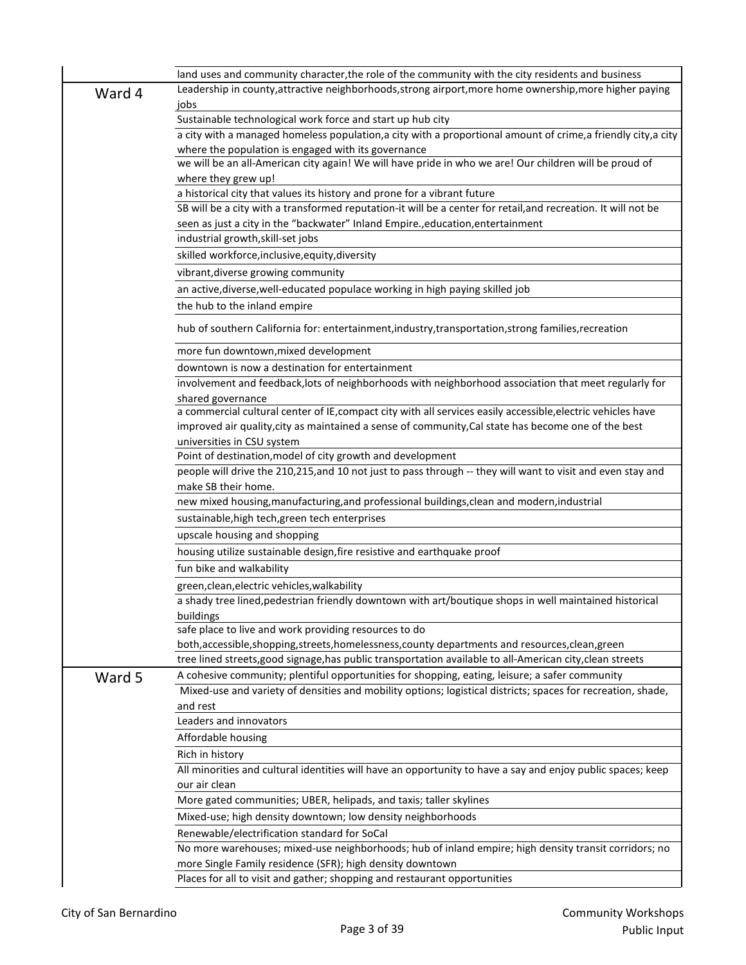|        | land uses and community character, the role of the community with the city residents and business                                                        |
|--------|----------------------------------------------------------------------------------------------------------------------------------------------------------|
| Ward 4 | Leadership in county, attractive neighborhoods, strong airport, more home ownership, more higher paying<br>jobs                                          |
|        | Sustainable technological work force and start up hub city                                                                                               |
|        | a city with a managed homeless population, a city with a proportional amount of crime, a friendly city, a city                                           |
|        | where the population is engaged with its governance                                                                                                      |
|        | we will be an all-American city again! We will have pride in who we are! Our children will be proud of                                                   |
|        | where they grew up!                                                                                                                                      |
|        | a historical city that values its history and prone for a vibrant future                                                                                 |
|        | SB will be a city with a transformed reputation-it will be a center for retail, and recreation. It will not be                                           |
|        | seen as just a city in the "backwater" Inland Empire., education, entertainment<br>industrial growth, skill-set jobs                                     |
|        | skilled workforce, inclusive, equity, diversity                                                                                                          |
|        | vibrant, diverse growing community                                                                                                                       |
|        |                                                                                                                                                          |
|        | an active, diverse, well-educated populace working in high paying skilled job                                                                            |
|        | the hub to the inland empire                                                                                                                             |
|        | hub of southern California for: entertainment, industry, transportation, strong families, recreation                                                     |
|        | more fun downtown, mixed development                                                                                                                     |
|        | downtown is now a destination for entertainment<br>involvement and feedback, lots of neighborhoods with neighborhood association that meet regularly for |
|        | shared governance                                                                                                                                        |
|        | a commercial cultural center of IE, compact city with all services easily accessible, electric vehicles have                                             |
|        | improved air quality, city as maintained a sense of community, Cal state has become one of the best                                                      |
|        | universities in CSU system                                                                                                                               |
|        | Point of destination, model of city growth and development                                                                                               |
|        | people will drive the 210,215, and 10 not just to pass through -- they will want to visit and even stay and                                              |
|        | make SB their home.                                                                                                                                      |
|        | new mixed housing, manufacturing, and professional buildings, clean and modern, industrial                                                               |
|        | sustainable, high tech, green tech enterprises                                                                                                           |
|        | upscale housing and shopping                                                                                                                             |
|        | housing utilize sustainable design, fire resistive and earthquake proof                                                                                  |
|        | fun bike and walkability                                                                                                                                 |
|        | green, clean, electric vehicles, walkability                                                                                                             |
|        | a shady tree lined, pedestrian friendly downtown with art/boutique shops in well maintained historical<br>buildings                                      |
|        | safe place to live and work providing resources to do                                                                                                    |
|        | both, accessible, shopping, streets, homelessness, county departments and resources, clean, green                                                        |
|        | tree lined streets, good signage, has public transportation available to all-American city, clean streets                                                |
| Ward 5 | A cohesive community; plentiful opportunities for shopping, eating, leisure; a safer community                                                           |
|        | Mixed-use and variety of densities and mobility options; logistical districts; spaces for recreation, shade,                                             |
|        | and rest<br>Leaders and innovators                                                                                                                       |
|        | Affordable housing                                                                                                                                       |
|        | Rich in history                                                                                                                                          |
|        | All minorities and cultural identities will have an opportunity to have a say and enjoy public spaces; keep                                              |
|        | our air clean                                                                                                                                            |
|        | More gated communities; UBER, helipads, and taxis; taller skylines                                                                                       |
|        | Mixed-use; high density downtown; low density neighborhoods                                                                                              |
|        | Renewable/electrification standard for SoCal                                                                                                             |
|        | No more warehouses; mixed-use neighborhoods; hub of inland empire; high density transit corridors; no                                                    |
|        | more Single Family residence (SFR); high density downtown                                                                                                |
|        | Places for all to visit and gather; shopping and restaurant opportunities                                                                                |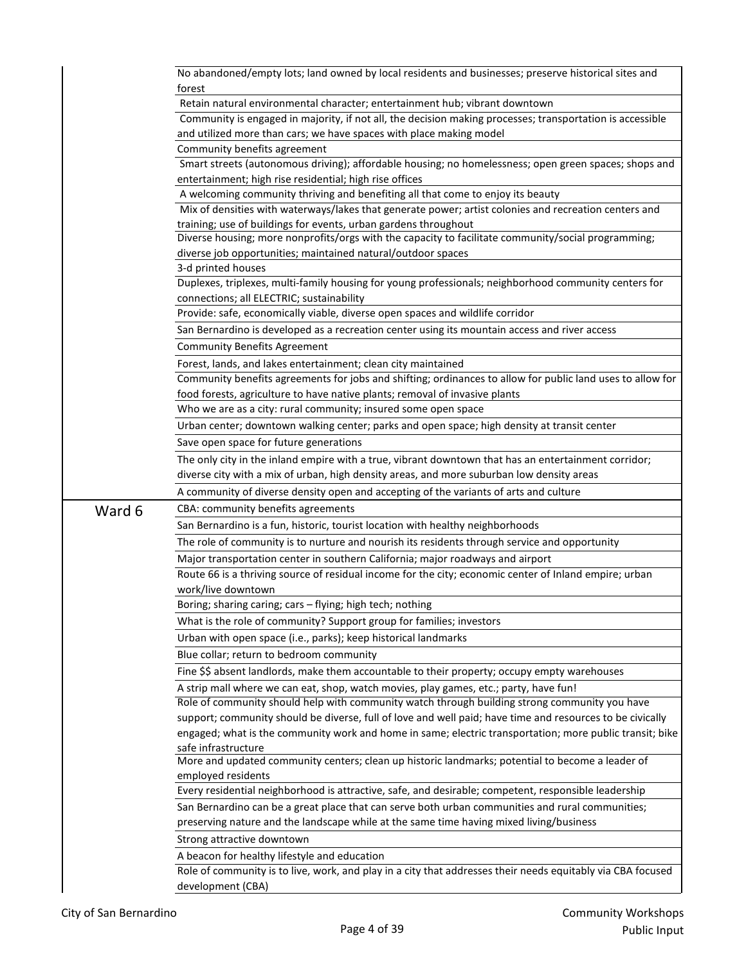|        | No abandoned/empty lots; land owned by local residents and businesses; preserve historical sites and<br>forest                                                      |
|--------|---------------------------------------------------------------------------------------------------------------------------------------------------------------------|
|        | Retain natural environmental character; entertainment hub; vibrant downtown                                                                                         |
|        | Community is engaged in majority, if not all, the decision making processes; transportation is accessible                                                           |
|        | and utilized more than cars; we have spaces with place making model                                                                                                 |
|        | Community benefits agreement                                                                                                                                        |
|        | Smart streets (autonomous driving); affordable housing; no homelessness; open green spaces; shops and                                                               |
|        | entertainment; high rise residential; high rise offices                                                                                                             |
|        | A welcoming community thriving and benefiting all that come to enjoy its beauty                                                                                     |
|        | Mix of densities with waterways/lakes that generate power; artist colonies and recreation centers and                                                               |
|        | training; use of buildings for events, urban gardens throughout                                                                                                     |
|        | Diverse housing; more nonprofits/orgs with the capacity to facilitate community/social programming;<br>diverse job opportunities; maintained natural/outdoor spaces |
|        | 3-d printed houses                                                                                                                                                  |
|        | Duplexes, triplexes, multi-family housing for young professionals; neighborhood community centers for                                                               |
|        | connections; all ELECTRIC; sustainability                                                                                                                           |
|        | Provide: safe, economically viable, diverse open spaces and wildlife corridor                                                                                       |
|        | San Bernardino is developed as a recreation center using its mountain access and river access                                                                       |
|        | <b>Community Benefits Agreement</b>                                                                                                                                 |
|        | Forest, lands, and lakes entertainment; clean city maintained                                                                                                       |
|        | Community benefits agreements for jobs and shifting; ordinances to allow for public land uses to allow for                                                          |
|        | food forests, agriculture to have native plants; removal of invasive plants                                                                                         |
|        | Who we are as a city: rural community; insured some open space                                                                                                      |
|        | Urban center; downtown walking center; parks and open space; high density at transit center                                                                         |
|        | Save open space for future generations                                                                                                                              |
|        | The only city in the inland empire with a true, vibrant downtown that has an entertainment corridor;                                                                |
|        | diverse city with a mix of urban, high density areas, and more suburban low density areas                                                                           |
|        | A community of diverse density open and accepting of the variants of arts and culture                                                                               |
| Ward 6 | CBA: community benefits agreements                                                                                                                                  |
|        | San Bernardino is a fun, historic, tourist location with healthy neighborhoods                                                                                      |
|        | The role of community is to nurture and nourish its residents through service and opportunity                                                                       |
|        | Major transportation center in southern California; major roadways and airport                                                                                      |
|        |                                                                                                                                                                     |
|        | Route 66 is a thriving source of residual income for the city; economic center of Inland empire; urban                                                              |
|        | work/live downtown                                                                                                                                                  |
|        | Boring; sharing caring; cars - flying; high tech; nothing                                                                                                           |
|        | What is the role of community? Support group for families; investors                                                                                                |
|        | Urban with open space (i.e., parks); keep historical landmarks                                                                                                      |
|        | Blue collar; return to bedroom community                                                                                                                            |
|        | Fine \$\$ absent landlords, make them accountable to their property; occupy empty warehouses                                                                        |
|        | A strip mall where we can eat, shop, watch movies, play games, etc.; party, have fun!                                                                               |
|        | Role of community should help with community watch through building strong community you have                                                                       |
|        | support; community should be diverse, full of love and well paid; have time and resources to be civically                                                           |
|        | engaged; what is the community work and home in same; electric transportation; more public transit; bike                                                            |
|        | safe infrastructure                                                                                                                                                 |
|        | More and updated community centers; clean up historic landmarks; potential to become a leader of                                                                    |
|        | employed residents<br>Every residential neighborhood is attractive, safe, and desirable; competent, responsible leadership                                          |
|        | San Bernardino can be a great place that can serve both urban communities and rural communities;                                                                    |
|        | preserving nature and the landscape while at the same time having mixed living/business                                                                             |
|        | Strong attractive downtown                                                                                                                                          |
|        | A beacon for healthy lifestyle and education                                                                                                                        |
|        | Role of community is to live, work, and play in a city that addresses their needs equitably via CBA focused                                                         |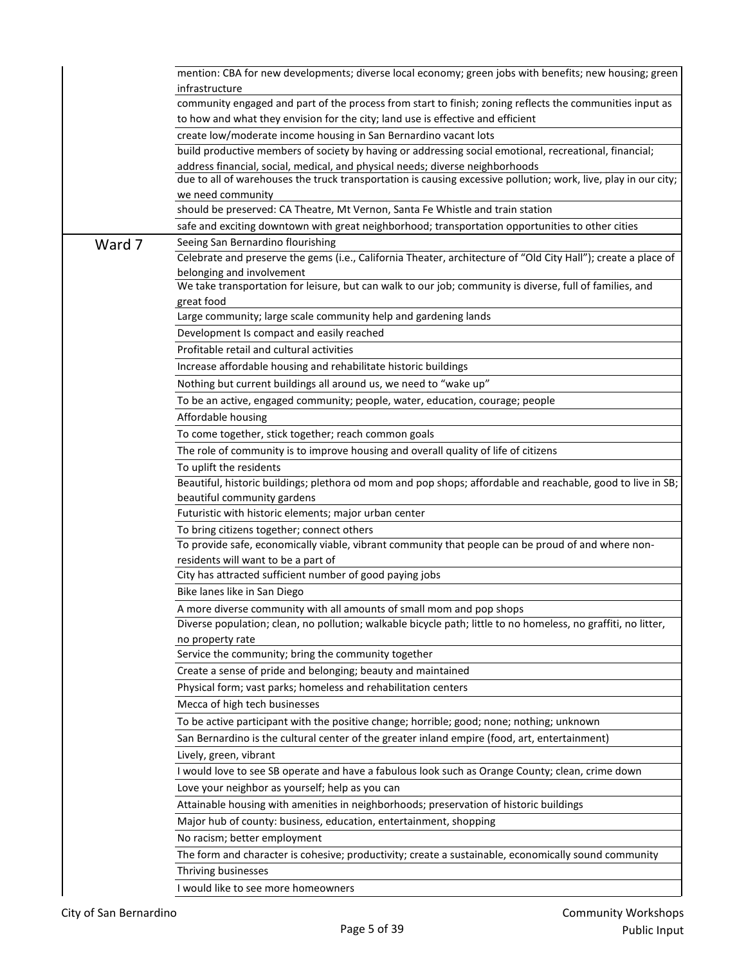|        | mention: CBA for new developments; diverse local economy; green jobs with benefits; new housing; green<br>infrastructure                                                                    |
|--------|---------------------------------------------------------------------------------------------------------------------------------------------------------------------------------------------|
|        | community engaged and part of the process from start to finish; zoning reflects the communities input as<br>to how and what they envision for the city; land use is effective and efficient |
|        | create low/moderate income housing in San Bernardino vacant lots                                                                                                                            |
|        | build productive members of society by having or addressing social emotional, recreational, financial;                                                                                      |
|        | address financial, social, medical, and physical needs; diverse neighborhoods                                                                                                               |
|        | due to all of warehouses the truck transportation is causing excessive pollution; work, live, play in our city;                                                                             |
|        | we need community                                                                                                                                                                           |
|        | should be preserved: CA Theatre, Mt Vernon, Santa Fe Whistle and train station                                                                                                              |
|        | safe and exciting downtown with great neighborhood; transportation opportunities to other cities                                                                                            |
| Ward 7 | Seeing San Bernardino flourishing                                                                                                                                                           |
|        | Celebrate and preserve the gems (i.e., California Theater, architecture of "Old City Hall"); create a place of                                                                              |
|        | belonging and involvement                                                                                                                                                                   |
|        | We take transportation for leisure, but can walk to our job; community is diverse, full of families, and                                                                                    |
|        | great food<br>Large community; large scale community help and gardening lands                                                                                                               |
|        |                                                                                                                                                                                             |
|        | Development Is compact and easily reached<br>Profitable retail and cultural activities                                                                                                      |
|        |                                                                                                                                                                                             |
|        | Increase affordable housing and rehabilitate historic buildings                                                                                                                             |
|        | Nothing but current buildings all around us, we need to "wake up"                                                                                                                           |
|        | To be an active, engaged community; people, water, education, courage; people                                                                                                               |
|        | Affordable housing                                                                                                                                                                          |
|        | To come together, stick together; reach common goals                                                                                                                                        |
|        | The role of community is to improve housing and overall quality of life of citizens                                                                                                         |
|        | To uplift the residents                                                                                                                                                                     |
|        | Beautiful, historic buildings; plethora od mom and pop shops; affordable and reachable, good to live in SB;                                                                                 |
|        | beautiful community gardens<br>Futuristic with historic elements; major urban center                                                                                                        |
|        | To bring citizens together; connect others                                                                                                                                                  |
|        | To provide safe, economically viable, vibrant community that people can be proud of and where non-                                                                                          |
|        | residents will want to be a part of                                                                                                                                                         |
|        | City has attracted sufficient number of good paying jobs                                                                                                                                    |
|        | Bike lanes like in San Diego                                                                                                                                                                |
|        | A more diverse community with all amounts of small mom and pop shops                                                                                                                        |
|        | Diverse population; clean, no pollution; walkable bicycle path; little to no homeless, no graffiti, no litter,                                                                              |
|        | no property rate                                                                                                                                                                            |
|        | Service the community; bring the community together                                                                                                                                         |
|        | Create a sense of pride and belonging; beauty and maintained                                                                                                                                |
|        | Physical form; vast parks; homeless and rehabilitation centers                                                                                                                              |
|        | Mecca of high tech businesses                                                                                                                                                               |
|        | To be active participant with the positive change; horrible; good; none; nothing; unknown                                                                                                   |
|        | San Bernardino is the cultural center of the greater inland empire (food, art, entertainment)                                                                                               |
|        | Lively, green, vibrant                                                                                                                                                                      |
|        | I would love to see SB operate and have a fabulous look such as Orange County; clean, crime down                                                                                            |
|        | Love your neighbor as yourself; help as you can                                                                                                                                             |
|        | Attainable housing with amenities in neighborhoods; preservation of historic buildings                                                                                                      |
|        | Major hub of county: business, education, entertainment, shopping                                                                                                                           |
|        | No racism; better employment                                                                                                                                                                |
|        | The form and character is cohesive; productivity; create a sustainable, economically sound community                                                                                        |
|        | Thriving businesses                                                                                                                                                                         |
|        | I would like to see more homeowners                                                                                                                                                         |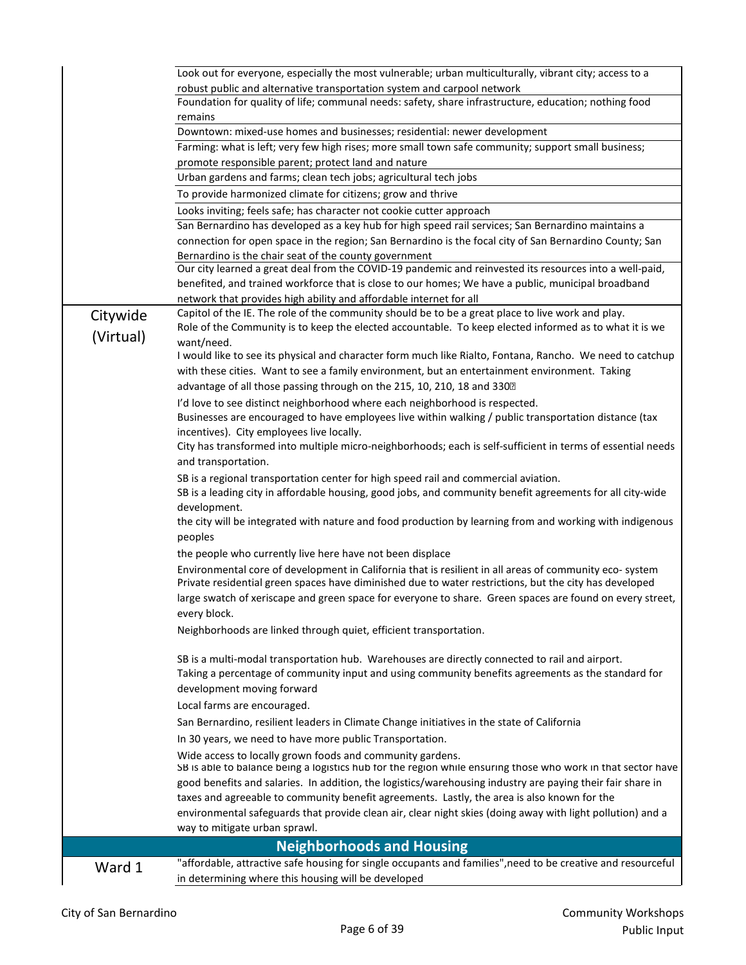|           | Look out for everyone, especially the most vulnerable; urban multiculturally, vibrant city; access to a                                                                                                          |
|-----------|------------------------------------------------------------------------------------------------------------------------------------------------------------------------------------------------------------------|
|           | robust public and alternative transportation system and carpool network<br>Foundation for quality of life; communal needs: safety, share infrastructure, education; nothing food                                 |
|           | remains                                                                                                                                                                                                          |
|           | Downtown: mixed-use homes and businesses; residential: newer development                                                                                                                                         |
|           | Farming: what is left; very few high rises; more small town safe community; support small business;                                                                                                              |
|           | promote responsible parent; protect land and nature                                                                                                                                                              |
|           | Urban gardens and farms; clean tech jobs; agricultural tech jobs                                                                                                                                                 |
|           | To provide harmonized climate for citizens; grow and thrive                                                                                                                                                      |
|           |                                                                                                                                                                                                                  |
|           | Looks inviting; feels safe; has character not cookie cutter approach                                                                                                                                             |
|           | San Bernardino has developed as a key hub for high speed rail services; San Bernardino maintains a                                                                                                               |
|           | connection for open space in the region; San Bernardino is the focal city of San Bernardino County; San                                                                                                          |
|           | Bernardino is the chair seat of the county government<br>Our city learned a great deal from the COVID-19 pandemic and reinvested its resources into a well-paid,                                                 |
|           | benefited, and trained workforce that is close to our homes; We have a public, municipal broadband                                                                                                               |
|           | network that provides high ability and affordable internet for all                                                                                                                                               |
|           | Capitol of the IE. The role of the community should be to be a great place to live work and play.                                                                                                                |
| Citywide  | Role of the Community is to keep the elected accountable. To keep elected informed as to what it is we                                                                                                           |
| (Virtual) | want/need.                                                                                                                                                                                                       |
|           | I would like to see its physical and character form much like Rialto, Fontana, Rancho. We need to catchup                                                                                                        |
|           | with these cities. Want to see a family environment, but an entertainment environment. Taking                                                                                                                    |
|           | advantage of all those passing through on the 215, 10, 210, 18 and 3302                                                                                                                                          |
|           | I'd love to see distinct neighborhood where each neighborhood is respected.                                                                                                                                      |
|           | Businesses are encouraged to have employees live within walking / public transportation distance (tax                                                                                                            |
|           | incentives). City employees live locally.                                                                                                                                                                        |
|           | City has transformed into multiple micro-neighborhoods; each is self-sufficient in terms of essential needs                                                                                                      |
|           | and transportation.                                                                                                                                                                                              |
|           | SB is a regional transportation center for high speed rail and commercial aviation.                                                                                                                              |
|           | SB is a leading city in affordable housing, good jobs, and community benefit agreements for all city-wide                                                                                                        |
|           | development.                                                                                                                                                                                                     |
|           | the city will be integrated with nature and food production by learning from and working with indigenous                                                                                                         |
|           | peoples                                                                                                                                                                                                          |
|           | the people who currently live here have not been displace                                                                                                                                                        |
|           | Environmental core of development in California that is resilient in all areas of community eco-system<br>Private residential green spaces have diminished due to water restrictions, but the city has developed |
|           | large swatch of xeriscape and green space for everyone to share. Green spaces are found on every street,                                                                                                         |
|           | every block.                                                                                                                                                                                                     |
|           | Neighborhoods are linked through quiet, efficient transportation.                                                                                                                                                |
|           | SB is a multi-modal transportation hub. Warehouses are directly connected to rail and airport.                                                                                                                   |
|           | Taking a percentage of community input and using community benefits agreements as the standard for                                                                                                               |
|           | development moving forward                                                                                                                                                                                       |
|           | Local farms are encouraged.                                                                                                                                                                                      |
|           | San Bernardino, resilient leaders in Climate Change initiatives in the state of California                                                                                                                       |
|           | In 30 years, we need to have more public Transportation.                                                                                                                                                         |
|           | Wide access to locally grown foods and community gardens.                                                                                                                                                        |
|           | SB is able to balance being a logistics hub for the region while ensuring those who work in that sector have                                                                                                     |
|           | good benefits and salaries. In addition, the logistics/warehousing industry are paying their fair share in                                                                                                       |
|           | taxes and agreeable to community benefit agreements. Lastly, the area is also known for the                                                                                                                      |
|           | environmental safeguards that provide clean air, clear night skies (doing away with light pollution) and a                                                                                                       |
|           | way to mitigate urban sprawl.                                                                                                                                                                                    |
|           | <b>Neighborhoods and Housing</b>                                                                                                                                                                                 |
| Ward 1    | "affordable, attractive safe housing for single occupants and families", need to be creative and resourceful                                                                                                     |
|           | in determining where this housing will be developed                                                                                                                                                              |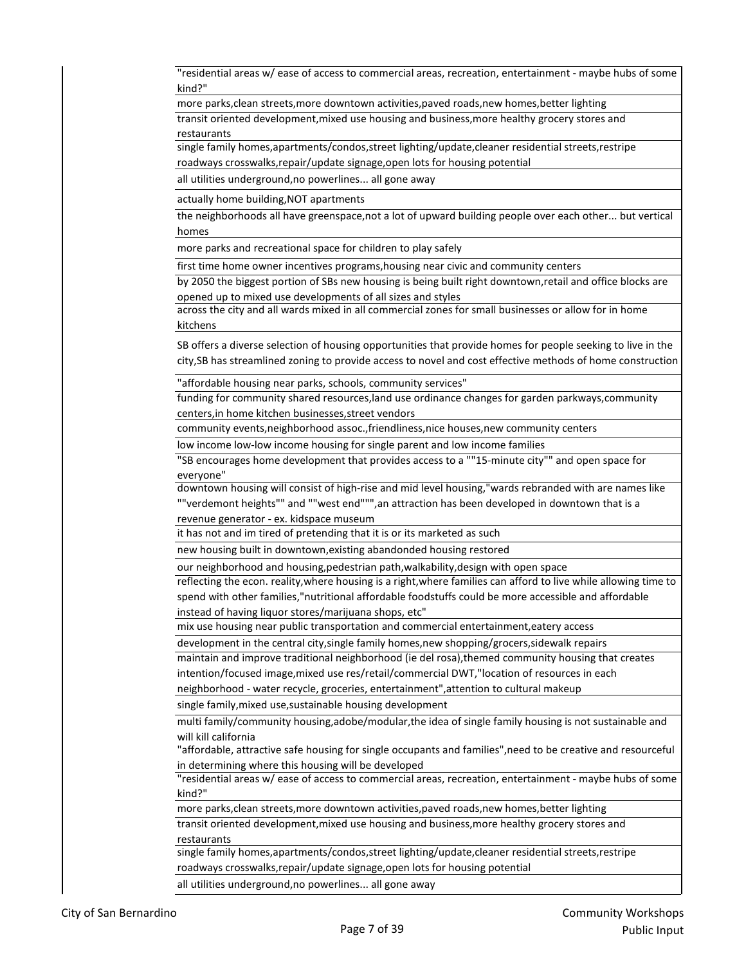"residential areas w/ ease of access to commercial areas, recreation, entertainment - maybe hubs of some kind?"

more parks,clean streets, more downtown activities, paved roads, new homes, better lighting

transit oriented development,mixed use housing and business,more healthy grocery stores and restaurants

single family homes,apartments/condos,street lighting/update,cleaner residential streets,restripe roadways crosswalks,repair/update signage,open lots for housing potential

all utilities underground,no powerlines... all gone away

actually home building,NOT apartments

the neighborhoods all have greenspace,not a lot of upward building people over each other... but vertical homes

more parks and recreational space for children to play safely

first time home owner incentives programs,housing near civic and community centers

by 2050 the biggest portion of SBs new housing is being built right downtown,retail and office blocks are opened up to mixed use developments of all sizes and styles

across the city and all wards mixed in all commercial zones for small businesses or allow for in home kitchens

SB offers a diverse selection of housing opportunities that provide homes for people seeking to live in the city,SB has streamlined zoning to provide access to novel and cost effective methods of home construction

"affordable housing near parks, schools, community services"

funding for community shared resources,land use ordinance changes for garden parkways,community centers,in home kitchen businesses,street vendors

community events,neighborhood assoc.,friendliness,nice houses,new community centers

low income low-low income housing for single parent and low income families

"SB encourages home development that provides access to a ""15-minute city"" and open space for everyone"

downtown housing will consist of high-rise and mid level housing,"wards rebranded with are names like ""verdemont heights"" and ""west end""",an attraction has been developed in downtown that is a revenue generator - ex. kidspace museum

it has not and im tired of pretending that it is or its marketed as such

new housing built in downtown,existing abandonded housing restored

our neighborhood and housing,pedestrian path,walkability,design with open space

reflecting the econ. reality,where housing is a right,where families can afford to live while allowing time to spend with other families,"nutritional affordable foodstuffs could be more accessible and affordable instead of having liquor stores/marijuana shops, etc"

mix use housing near public transportation and commercial entertainment,eatery access

development in the central city, single family homes, new shopping/grocers, sidewalk repairs

maintain and improve traditional neighborhood (ie del rosa),themed community housing that creates intention/focused image,mixed use res/retail/commercial DWT,"location of resources in each

neighborhood - water recycle, groceries, entertainment",attention to cultural makeup

single family,mixed use,sustainable housing development

multi family/community housing,adobe/modular,the idea of single family housing is not sustainable and will kill california

"affordable, attractive safe housing for single occupants and families",need to be creative and resourceful in determining where this housing will be developed

"residential areas w/ ease of access to commercial areas, recreation, entertainment - maybe hubs of some kind?"

more parks,clean streets,more downtown activities,paved roads,new homes,better lighting

transit oriented development,mixed use housing and business,more healthy grocery stores and restaurants

single family homes,apartments/condos,street lighting/update,cleaner residential streets,restripe roadways crosswalks,repair/update signage,open lots for housing potential

all utilities underground,no powerlines... all gone away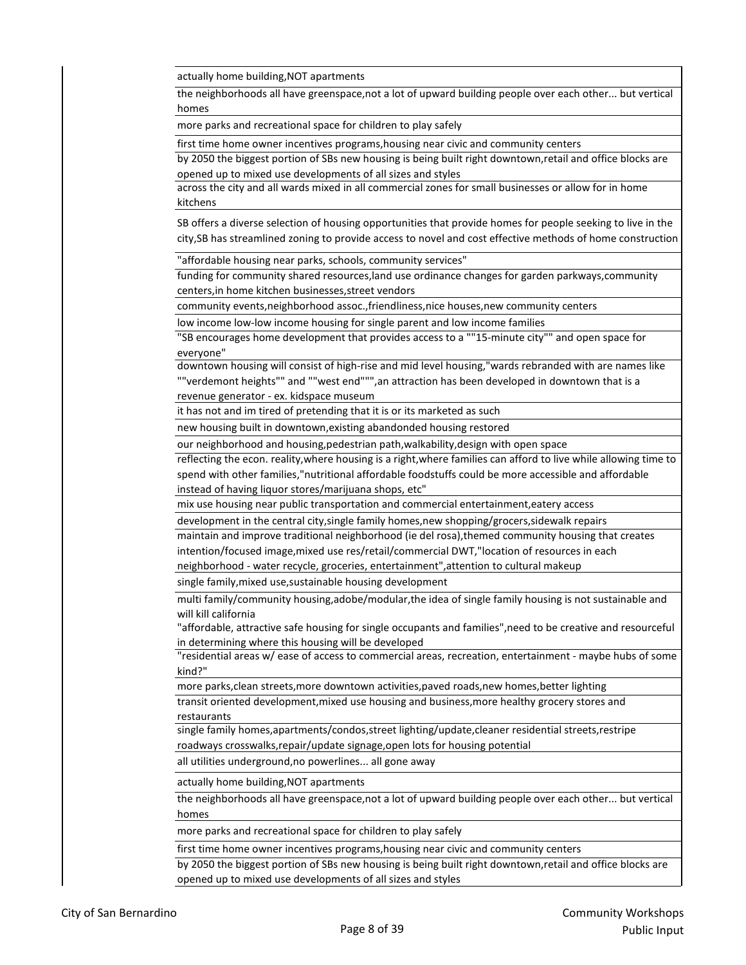actually home building,NOT apartments

the neighborhoods all have greenspace,not a lot of upward building people over each other... but vertical homes

more parks and recreational space for children to play safely

first time home owner incentives programs,housing near civic and community centers

by 2050 the biggest portion of SBs new housing is being built right downtown,retail and office blocks are opened up to mixed use developments of all sizes and styles

across the city and all wards mixed in all commercial zones for small businesses or allow for in home kitchens

SB offers a diverse selection of housing opportunities that provide homes for people seeking to live in the city,SB has streamlined zoning to provide access to novel and cost effective methods of home construction

"affordable housing near parks, schools, community services"

funding for community shared resources,land use ordinance changes for garden parkways,community centers,in home kitchen businesses,street vendors

community events,neighborhood assoc.,friendliness,nice houses,new community centers

low income low-low income housing for single parent and low income families

"SB encourages home development that provides access to a ""15-minute city"" and open space for everyone"

downtown housing will consist of high-rise and mid level housing,"wards rebranded with are names like ""verdemont heights"" and ""west end""",an attraction has been developed in downtown that is a revenue generator - ex. kidspace museum

it has not and im tired of pretending that it is or its marketed as such

new housing built in downtown,existing abandonded housing restored

our neighborhood and housing,pedestrian path,walkability,design with open space

reflecting the econ. reality,where housing is a right,where families can afford to live while allowing time to spend with other families,"nutritional affordable foodstuffs could be more accessible and affordable instead of having liquor stores/marijuana shops, etc"

mix use housing near public transportation and commercial entertainment,eatery access

development in the central city,single family homes,new shopping/grocers,sidewalk repairs

maintain and improve traditional neighborhood (ie del rosa),themed community housing that creates intention/focused image,mixed use res/retail/commercial DWT,"location of resources in each

neighborhood - water recycle, groceries, entertainment",attention to cultural makeup

single family,mixed use,sustainable housing development

multi family/community housing,adobe/modular,the idea of single family housing is not sustainable and will kill california

"affordable, attractive safe housing for single occupants and families",need to be creative and resourceful in determining where this housing will be developed

"residential areas w/ ease of access to commercial areas, recreation, entertainment - maybe hubs of some kind?"

more parks,clean streets,more downtown activities,paved roads,new homes,better lighting

transit oriented development,mixed use housing and business,more healthy grocery stores and restaurants

single family homes,apartments/condos,street lighting/update,cleaner residential streets,restripe roadways crosswalks,repair/update signage,open lots for housing potential

all utilities underground,no powerlines... all gone away

actually home building,NOT apartments

the neighborhoods all have greenspace,not a lot of upward building people over each other... but vertical homes

more parks and recreational space for children to play safely

first time home owner incentives programs,housing near civic and community centers

by 2050 the biggest portion of SBs new housing is being built right downtown,retail and office blocks are opened up to mixed use developments of all sizes and styles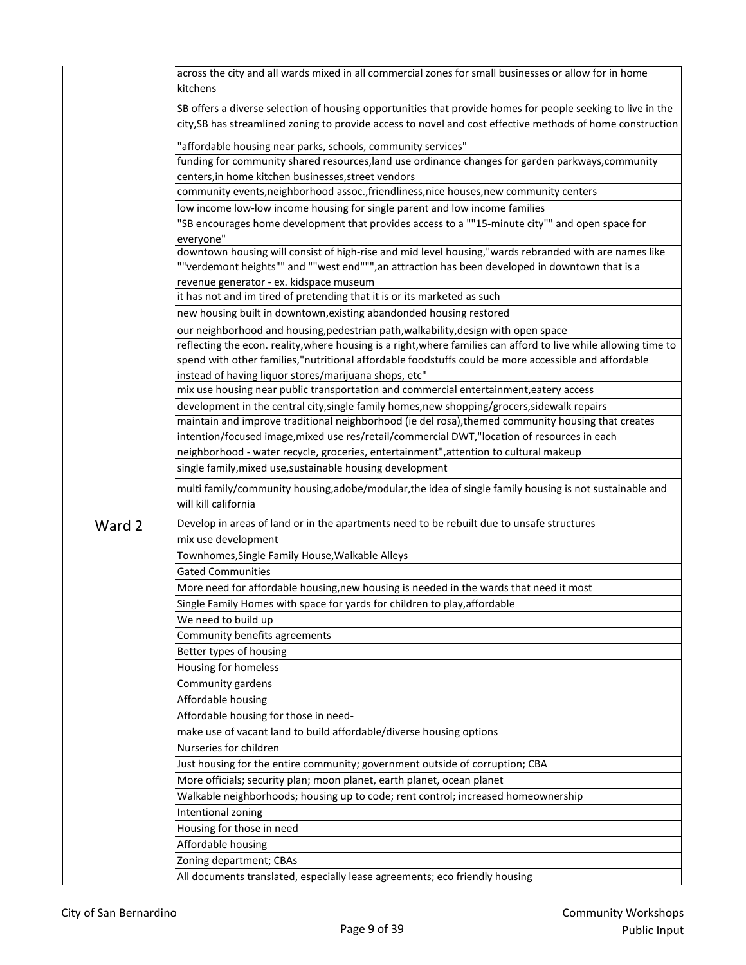|        | across the city and all wards mixed in all commercial zones for small businesses or allow for in home<br>kitchens                                                                                                         |
|--------|---------------------------------------------------------------------------------------------------------------------------------------------------------------------------------------------------------------------------|
|        | SB offers a diverse selection of housing opportunities that provide homes for people seeking to live in the<br>city, SB has streamlined zoning to provide access to novel and cost effective methods of home construction |
|        | "affordable housing near parks, schools, community services"                                                                                                                                                              |
|        | funding for community shared resources, land use ordinance changes for garden parkways, community                                                                                                                         |
|        | centers, in home kitchen businesses, street vendors                                                                                                                                                                       |
|        | community events, neighborhood assoc., friendliness, nice houses, new community centers                                                                                                                                   |
|        | low income low-low income housing for single parent and low income families                                                                                                                                               |
|        | "SB encourages home development that provides access to a ""15-minute city"" and open space for                                                                                                                           |
|        | everyone"<br>downtown housing will consist of high-rise and mid level housing,"wards rebranded with are names like                                                                                                        |
|        | ""verdemont heights"" and ""west end""", an attraction has been developed in downtown that is a                                                                                                                           |
|        | revenue generator - ex. kidspace museum                                                                                                                                                                                   |
|        | it has not and im tired of pretending that it is or its marketed as such                                                                                                                                                  |
|        | new housing built in downtown, existing abandonded housing restored                                                                                                                                                       |
|        | our neighborhood and housing, pedestrian path, walkability, design with open space                                                                                                                                        |
|        | reflecting the econ. reality, where housing is a right, where families can afford to live while allowing time to                                                                                                          |
|        | spend with other families,"nutritional affordable foodstuffs could be more accessible and affordable                                                                                                                      |
|        | instead of having liquor stores/marijuana shops, etc"                                                                                                                                                                     |
|        | mix use housing near public transportation and commercial entertainment, eatery access                                                                                                                                    |
|        | development in the central city, single family homes, new shopping/grocers, sidewalk repairs                                                                                                                              |
|        | maintain and improve traditional neighborhood (ie del rosa), themed community housing that creates                                                                                                                        |
|        | intention/focused image, mixed use res/retail/commercial DWT,"location of resources in each                                                                                                                               |
|        | neighborhood - water recycle, groceries, entertainment", attention to cultural makeup                                                                                                                                     |
|        | single family, mixed use, sustainable housing development                                                                                                                                                                 |
|        | multi family/community housing, adobe/modular, the idea of single family housing is not sustainable and<br>will kill california                                                                                           |
| Ward 2 | Develop in areas of land or in the apartments need to be rebuilt due to unsafe structures                                                                                                                                 |
|        | mix use development                                                                                                                                                                                                       |
|        | Townhomes, Single Family House, Walkable Alleys                                                                                                                                                                           |
|        | <b>Gated Communities</b>                                                                                                                                                                                                  |
|        | More need for affordable housing, new housing is needed in the wards that need it most                                                                                                                                    |
|        | Single Family Homes with space for yards for children to play, affordable                                                                                                                                                 |
|        | We need to build up                                                                                                                                                                                                       |
|        | Community benefits agreements                                                                                                                                                                                             |
|        | Better types of housing                                                                                                                                                                                                   |
|        | Housing for homeless                                                                                                                                                                                                      |
|        | Community gardens                                                                                                                                                                                                         |
|        | Affordable housing                                                                                                                                                                                                        |
|        | Affordable housing for those in need-                                                                                                                                                                                     |
|        | make use of vacant land to build affordable/diverse housing options                                                                                                                                                       |
|        | Nurseries for children                                                                                                                                                                                                    |
|        | Just housing for the entire community; government outside of corruption; CBA                                                                                                                                              |
|        | More officials; security plan; moon planet, earth planet, ocean planet                                                                                                                                                    |
|        | Walkable neighborhoods; housing up to code; rent control; increased homeownership                                                                                                                                         |
|        | Intentional zoning                                                                                                                                                                                                        |
|        | Housing for those in need                                                                                                                                                                                                 |
|        | Affordable housing                                                                                                                                                                                                        |
|        | Zoning department; CBAs                                                                                                                                                                                                   |
|        | All documents translated, especially lease agreements; eco friendly housing                                                                                                                                               |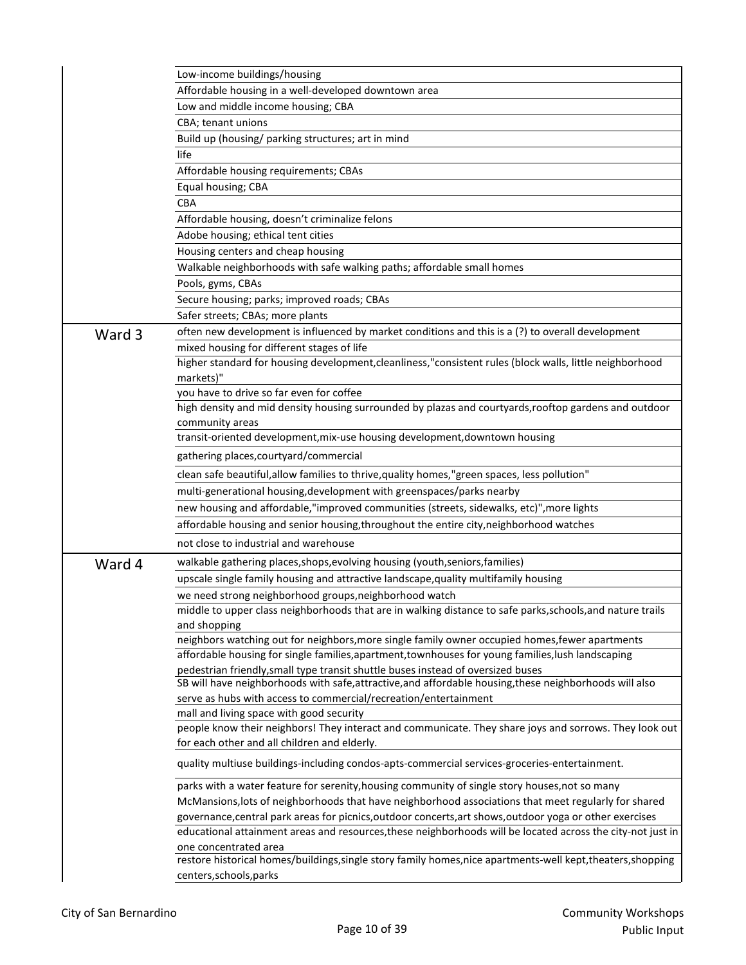|        | Low-income buildings/housing                                                                                                                                                                          |
|--------|-------------------------------------------------------------------------------------------------------------------------------------------------------------------------------------------------------|
|        | Affordable housing in a well-developed downtown area                                                                                                                                                  |
|        | Low and middle income housing; CBA                                                                                                                                                                    |
|        | CBA; tenant unions                                                                                                                                                                                    |
|        | Build up (housing/ parking structures; art in mind                                                                                                                                                    |
|        | life                                                                                                                                                                                                  |
|        | Affordable housing requirements; CBAs                                                                                                                                                                 |
|        | Equal housing; CBA                                                                                                                                                                                    |
|        | <b>CBA</b>                                                                                                                                                                                            |
|        | Affordable housing, doesn't criminalize felons                                                                                                                                                        |
|        | Adobe housing; ethical tent cities                                                                                                                                                                    |
|        | Housing centers and cheap housing                                                                                                                                                                     |
|        | Walkable neighborhoods with safe walking paths; affordable small homes                                                                                                                                |
|        | Pools, gyms, CBAs                                                                                                                                                                                     |
|        | Secure housing; parks; improved roads; CBAs                                                                                                                                                           |
|        | Safer streets; CBAs; more plants                                                                                                                                                                      |
| Ward 3 | often new development is influenced by market conditions and this is a (?) to overall development                                                                                                     |
|        | mixed housing for different stages of life                                                                                                                                                            |
|        | higher standard for housing development, cleanliness, "consistent rules (block walls, little neighborhood                                                                                             |
|        | markets)"                                                                                                                                                                                             |
|        | you have to drive so far even for coffee                                                                                                                                                              |
|        | high density and mid density housing surrounded by plazas and courtyards, rooftop gardens and outdoor                                                                                                 |
|        | community areas                                                                                                                                                                                       |
|        | transit-oriented development, mix-use housing development, downtown housing                                                                                                                           |
|        | gathering places, courty ard/commercial                                                                                                                                                               |
|        | clean safe beautiful, allow families to thrive, quality homes, "green spaces, less pollution"                                                                                                         |
|        | multi-generational housing, development with greenspaces/parks nearby                                                                                                                                 |
|        | new housing and affordable,"improved communities (streets, sidewalks, etc)", more lights                                                                                                              |
|        | affordable housing and senior housing, throughout the entire city, neighborhood watches                                                                                                               |
|        | not close to industrial and warehouse                                                                                                                                                                 |
|        |                                                                                                                                                                                                       |
| Ward 4 | walkable gathering places, shops, evolving housing (youth, seniors, families)                                                                                                                         |
|        | upscale single family housing and attractive landscape, quality multifamily housing                                                                                                                   |
|        | we need strong neighborhood groups, neighborhood watch                                                                                                                                                |
|        | middle to upper class neighborhoods that are in walking distance to safe parks, schools, and nature trails                                                                                            |
|        | and shopping                                                                                                                                                                                          |
|        | neighbors watching out for neighbors, more single family owner occupied homes, fewer apartments<br>affordable housing for single families, apartment, townhouses for young families, lush landscaping |
|        | pedestrian friendly, small type transit shuttle buses instead of oversized buses                                                                                                                      |
|        | SB will have neighborhoods with safe, attractive, and affordable housing, these neighborhoods will also                                                                                               |
|        | serve as hubs with access to commercial/recreation/entertainment                                                                                                                                      |
|        | mall and living space with good security                                                                                                                                                              |
|        | people know their neighbors! They interact and communicate. They share joys and sorrows. They look out                                                                                                |
|        | for each other and all children and elderly.                                                                                                                                                          |
|        | quality multiuse buildings-including condos-apts-commercial services-groceries-entertainment.                                                                                                         |
|        | parks with a water feature for serenity, housing community of single story houses, not so many                                                                                                        |
|        | McMansions, lots of neighborhoods that have neighborhood associations that meet regularly for shared                                                                                                  |
|        | governance, central park areas for picnics, outdoor concerts, art shows, outdoor yoga or other exercises                                                                                              |
|        | educational attainment areas and resources, these neighborhoods will be located across the city-not just in                                                                                           |
|        | one concentrated area                                                                                                                                                                                 |
|        | restore historical homes/buildings, single story family homes, nice apartments-well kept, theaters, shopping<br>centers, schools, parks                                                               |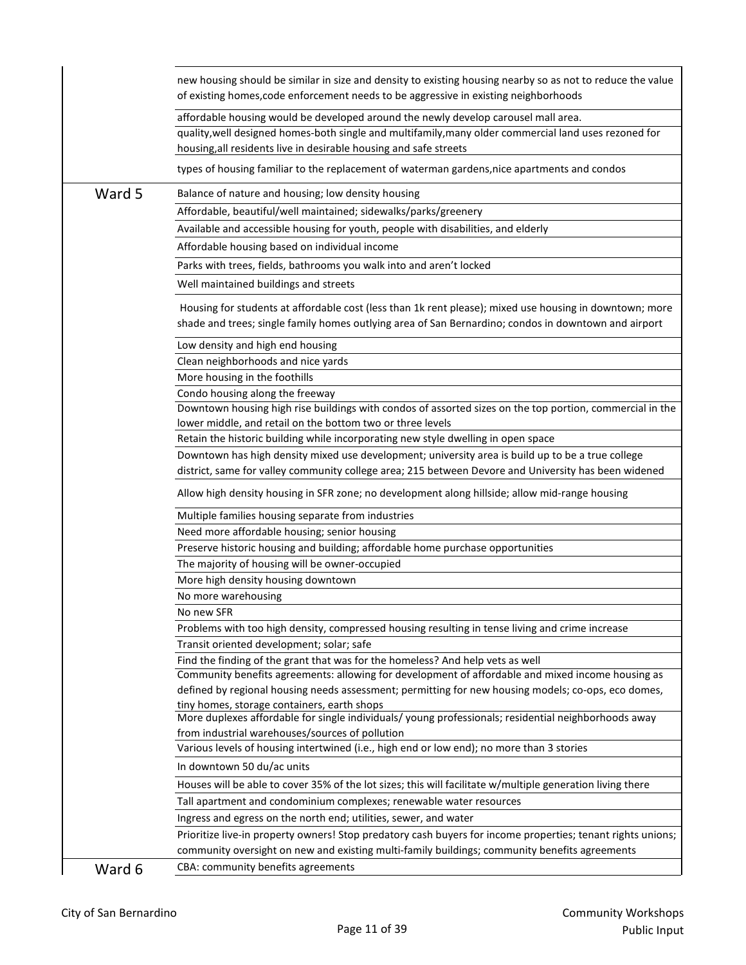|        | new housing should be similar in size and density to existing housing nearby so as not to reduce the value<br>of existing homes, code enforcement needs to be aggressive in existing neighborhoods                                                               |
|--------|------------------------------------------------------------------------------------------------------------------------------------------------------------------------------------------------------------------------------------------------------------------|
|        | affordable housing would be developed around the newly develop carousel mall area.<br>quality, well designed homes-both single and multifamily, many older commercial land uses rezoned for<br>housing, all residents live in desirable housing and safe streets |
|        | types of housing familiar to the replacement of waterman gardens, nice apartments and condos                                                                                                                                                                     |
| Ward 5 | Balance of nature and housing; low density housing                                                                                                                                                                                                               |
|        | Affordable, beautiful/well maintained; sidewalks/parks/greenery                                                                                                                                                                                                  |
|        | Available and accessible housing for youth, people with disabilities, and elderly                                                                                                                                                                                |
|        | Affordable housing based on individual income                                                                                                                                                                                                                    |
|        | Parks with trees, fields, bathrooms you walk into and aren't locked                                                                                                                                                                                              |
|        | Well maintained buildings and streets                                                                                                                                                                                                                            |
|        | Housing for students at affordable cost (less than 1k rent please); mixed use housing in downtown; more<br>shade and trees; single family homes outlying area of San Bernardino; condos in downtown and airport                                                  |
|        | Low density and high end housing                                                                                                                                                                                                                                 |
|        | Clean neighborhoods and nice yards                                                                                                                                                                                                                               |
|        | More housing in the foothills                                                                                                                                                                                                                                    |
|        | Condo housing along the freeway<br>Downtown housing high rise buildings with condos of assorted sizes on the top portion, commercial in the                                                                                                                      |
|        | lower middle, and retail on the bottom two or three levels                                                                                                                                                                                                       |
|        | Retain the historic building while incorporating new style dwelling in open space                                                                                                                                                                                |
|        | Downtown has high density mixed use development; university area is build up to be a true college                                                                                                                                                                |
|        | district, same for valley community college area; 215 between Devore and University has been widened                                                                                                                                                             |
|        | Allow high density housing in SFR zone; no development along hillside; allow mid-range housing                                                                                                                                                                   |
|        | Multiple families housing separate from industries                                                                                                                                                                                                               |
|        | Need more affordable housing; senior housing                                                                                                                                                                                                                     |
|        | Preserve historic housing and building; affordable home purchase opportunities                                                                                                                                                                                   |
|        | The majority of housing will be owner-occupied                                                                                                                                                                                                                   |
|        | More high density housing downtown                                                                                                                                                                                                                               |
|        | No more warehousing<br>No new SFR                                                                                                                                                                                                                                |
|        | Problems with too high density, compressed housing resulting in tense living and crime increase                                                                                                                                                                  |
|        | Transit oriented development; solar; safe                                                                                                                                                                                                                        |
|        | Find the finding of the grant that was for the homeless? And help vets as well                                                                                                                                                                                   |
|        | Community benefits agreements: allowing for development of affordable and mixed income housing as                                                                                                                                                                |
|        | defined by regional housing needs assessment; permitting for new housing models; co-ops, eco domes,                                                                                                                                                              |
|        | tiny homes, storage containers, earth shops<br>More duplexes affordable for single individuals/ young professionals; residential neighborhoods away                                                                                                              |
|        | from industrial warehouses/sources of pollution                                                                                                                                                                                                                  |
|        | Various levels of housing intertwined (i.e., high end or low end); no more than 3 stories                                                                                                                                                                        |
|        | In downtown 50 du/ac units                                                                                                                                                                                                                                       |
|        | Houses will be able to cover 35% of the lot sizes; this will facilitate w/multiple generation living there                                                                                                                                                       |
|        | Tall apartment and condominium complexes; renewable water resources                                                                                                                                                                                              |
|        | Ingress and egress on the north end; utilities, sewer, and water                                                                                                                                                                                                 |
|        | Prioritize live-in property owners! Stop predatory cash buyers for income properties; tenant rights unions;                                                                                                                                                      |
|        | community oversight on new and existing multi-family buildings; community benefits agreements                                                                                                                                                                    |
| Ward 6 | CBA: community benefits agreements                                                                                                                                                                                                                               |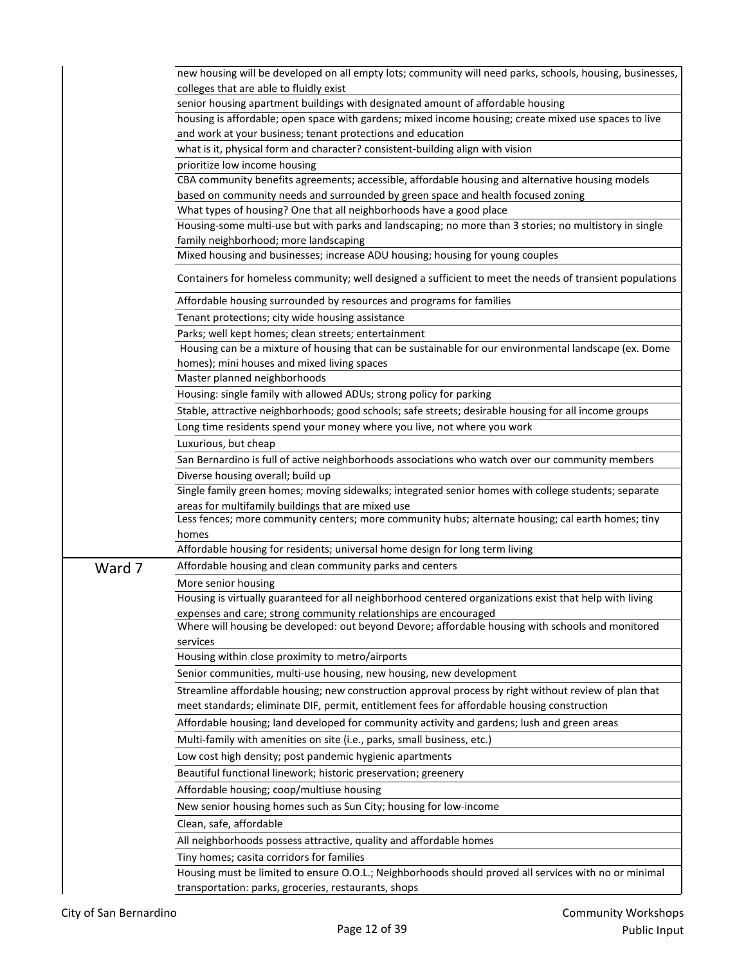|        | new housing will be developed on all empty lots; community will need parks, schools, housing, businesses, |
|--------|-----------------------------------------------------------------------------------------------------------|
|        | colleges that are able to fluidly exist                                                                   |
|        | senior housing apartment buildings with designated amount of affordable housing                           |
|        | housing is affordable; open space with gardens; mixed income housing; create mixed use spaces to live     |
|        | and work at your business; tenant protections and education                                               |
|        | what is it, physical form and character? consistent-building align with vision                            |
|        | prioritize low income housing                                                                             |
|        | CBA community benefits agreements; accessible, affordable housing and alternative housing models          |
|        | based on community needs and surrounded by green space and health focused zoning                          |
|        | What types of housing? One that all neighborhoods have a good place                                       |
|        | Housing-some multi-use but with parks and landscaping; no more than 3 stories; no multistory in single    |
|        | family neighborhood; more landscaping                                                                     |
|        | Mixed housing and businesses; increase ADU housing; housing for young couples                             |
|        | Containers for homeless community; well designed a sufficient to meet the needs of transient populations  |
|        | Affordable housing surrounded by resources and programs for families                                      |
|        | Tenant protections; city wide housing assistance                                                          |
|        | Parks; well kept homes; clean streets; entertainment                                                      |
|        | Housing can be a mixture of housing that can be sustainable for our environmental landscape (ex. Dome     |
|        | homes); mini houses and mixed living spaces                                                               |
|        | Master planned neighborhoods                                                                              |
|        | Housing: single family with allowed ADUs; strong policy for parking                                       |
|        | Stable, attractive neighborhoods; good schools; safe streets; desirable housing for all income groups     |
|        | Long time residents spend your money where you live, not where you work                                   |
|        | Luxurious, but cheap                                                                                      |
|        | San Bernardino is full of active neighborhoods associations who watch over our community members          |
|        | Diverse housing overall; build up                                                                         |
|        | Single family green homes; moving sidewalks; integrated senior homes with college students; separate      |
|        | areas for multifamily buildings that are mixed use                                                        |
|        | Less fences; more community centers; more community hubs; alternate housing; cal earth homes; tiny        |
|        | homes                                                                                                     |
|        | Affordable housing for residents; universal home design for long term living                              |
| Ward 7 | Affordable housing and clean community parks and centers                                                  |
|        | More senior housing                                                                                       |
|        | Housing is virtually guaranteed for all neighborhood centered organizations exist that help with living   |
|        | expenses and care; strong community relationships are encouraged                                          |
|        | Where will housing be developed: out beyond Devore; affordable housing with schools and monitored         |
|        | services                                                                                                  |
|        | Housing within close proximity to metro/airports                                                          |
|        | Senior communities, multi-use housing, new housing, new development                                       |
|        | Streamline affordable housing; new construction approval process by right without review of plan that     |
|        | meet standards; eliminate DIF, permit, entitlement fees for affordable housing construction               |
|        | Affordable housing; land developed for community activity and gardens; lush and green areas               |
|        | Multi-family with amenities on site (i.e., parks, small business, etc.)                                   |
|        |                                                                                                           |
|        | Low cost high density; post pandemic hygienic apartments                                                  |
|        | Beautiful functional linework; historic preservation; greenery                                            |
|        | Affordable housing; coop/multiuse housing                                                                 |
|        | New senior housing homes such as Sun City; housing for low-income                                         |
|        | Clean, safe, affordable                                                                                   |
|        | All neighborhoods possess attractive, quality and affordable homes                                        |
|        | Tiny homes; casita corridors for families                                                                 |
|        | Housing must be limited to ensure O.O.L.; Neighborhoods should proved all services with no or minimal     |
|        | transportation: parks, groceries, restaurants, shops                                                      |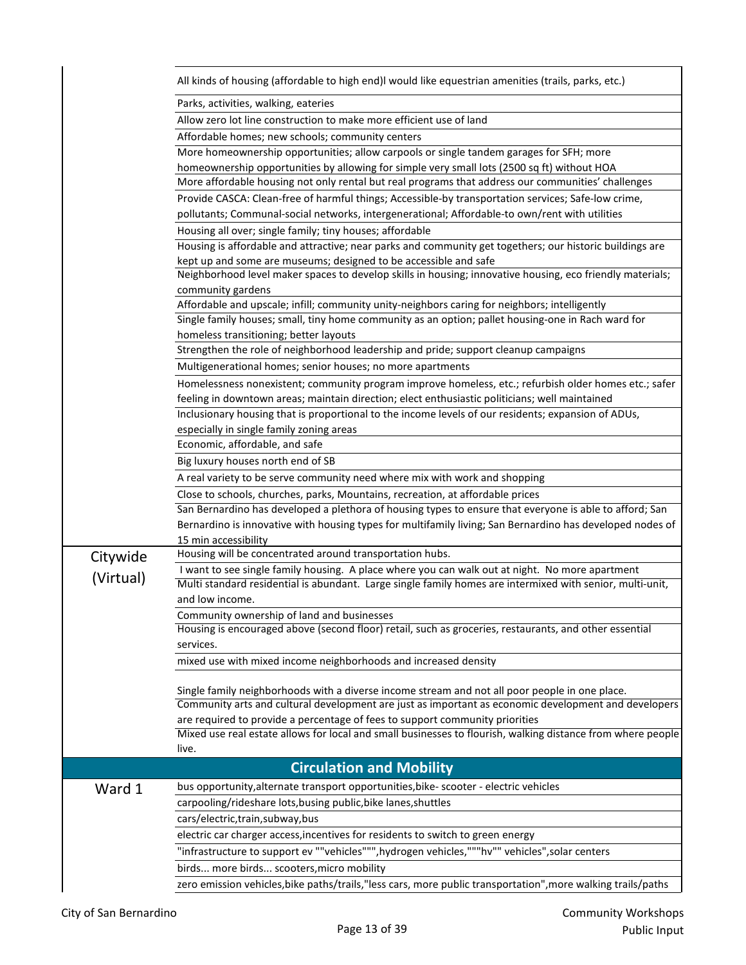|           | All kinds of housing (affordable to high end)I would like equestrian amenities (trails, parks, etc.)                                                                                                         |
|-----------|--------------------------------------------------------------------------------------------------------------------------------------------------------------------------------------------------------------|
|           | Parks, activities, walking, eateries                                                                                                                                                                         |
|           | Allow zero lot line construction to make more efficient use of land                                                                                                                                          |
|           | Affordable homes; new schools; community centers                                                                                                                                                             |
|           | More homeownership opportunities; allow carpools or single tandem garages for SFH; more                                                                                                                      |
|           | homeownership opportunities by allowing for simple very small lots (2500 sq ft) without HOA                                                                                                                  |
|           | More affordable housing not only rental but real programs that address our communities' challenges                                                                                                           |
|           | Provide CASCA: Clean-free of harmful things; Accessible-by transportation services; Safe-low crime,                                                                                                          |
|           | pollutants; Communal-social networks, intergenerational; Affordable-to own/rent with utilities                                                                                                               |
|           | Housing all over; single family; tiny houses; affordable                                                                                                                                                     |
|           | Housing is affordable and attractive; near parks and community get togethers; our historic buildings are                                                                                                     |
|           | kept up and some are museums; designed to be accessible and safe                                                                                                                                             |
|           | Neighborhood level maker spaces to develop skills in housing; innovative housing, eco friendly materials;                                                                                                    |
|           | community gardens                                                                                                                                                                                            |
|           | Affordable and upscale; infill; community unity-neighbors caring for neighbors; intelligently<br>Single family houses; small, tiny home community as an option; pallet housing-one in Rach ward for          |
|           | homeless transitioning; better layouts                                                                                                                                                                       |
|           | Strengthen the role of neighborhood leadership and pride; support cleanup campaigns                                                                                                                          |
|           | Multigenerational homes; senior houses; no more apartments                                                                                                                                                   |
|           | Homelessness nonexistent; community program improve homeless, etc.; refurbish older homes etc.; safer                                                                                                        |
|           | feeling in downtown areas; maintain direction; elect enthusiastic politicians; well maintained                                                                                                               |
|           | Inclusionary housing that is proportional to the income levels of our residents; expansion of ADUs,                                                                                                          |
|           | especially in single family zoning areas                                                                                                                                                                     |
|           | Economic, affordable, and safe                                                                                                                                                                               |
|           | Big luxury houses north end of SB                                                                                                                                                                            |
|           | A real variety to be serve community need where mix with work and shopping                                                                                                                                   |
|           | Close to schools, churches, parks, Mountains, recreation, at affordable prices                                                                                                                               |
|           | San Bernardino has developed a plethora of housing types to ensure that everyone is able to afford; San                                                                                                      |
|           | Bernardino is innovative with housing types for multifamily living; San Bernardino has developed nodes of                                                                                                    |
|           | 15 min accessibility                                                                                                                                                                                         |
| Citywide  | Housing will be concentrated around transportation hubs.                                                                                                                                                     |
| (Virtual) | I want to see single family housing. A place where you can walk out at night. No more apartment<br>Multi standard residential is abundant. Large single family homes are intermixed with senior, multi-unit, |
|           | and low income.                                                                                                                                                                                              |
|           | Community ownership of land and businesses                                                                                                                                                                   |
|           | Housing is encouraged above (second floor) retail, such as groceries, restaurants, and other essential                                                                                                       |
|           | services.                                                                                                                                                                                                    |
|           | mixed use with mixed income neighborhoods and increased density                                                                                                                                              |
|           |                                                                                                                                                                                                              |
|           | Single family neighborhoods with a diverse income stream and not all poor people in one place.                                                                                                               |
|           | Community arts and cultural development are just as important as economic development and developers                                                                                                         |
|           | are required to provide a percentage of fees to support community priorities                                                                                                                                 |
|           | Mixed use real estate allows for local and small businesses to flourish, walking distance from where people<br>live.                                                                                         |
|           |                                                                                                                                                                                                              |
|           | <b>Circulation and Mobility</b><br>bus opportunity, alternate transport opportunities, bike- scooter - electric vehicles                                                                                     |
| Ward 1    | carpooling/rideshare lots, busing public, bike lanes, shuttles                                                                                                                                               |
|           |                                                                                                                                                                                                              |
|           | cars/electric, train, subway, bus                                                                                                                                                                            |
|           | electric car charger access, incentives for residents to switch to green energy                                                                                                                              |
|           | "infrastructure to support ev ""vehicles""", hydrogen vehicles,"""hv"" vehicles", solar centers                                                                                                              |
|           | birds more birds scooters, micro mobility                                                                                                                                                                    |
|           | zero emission vehicles, bike paths/trails, "less cars, more public transportation", more walking trails/paths                                                                                                |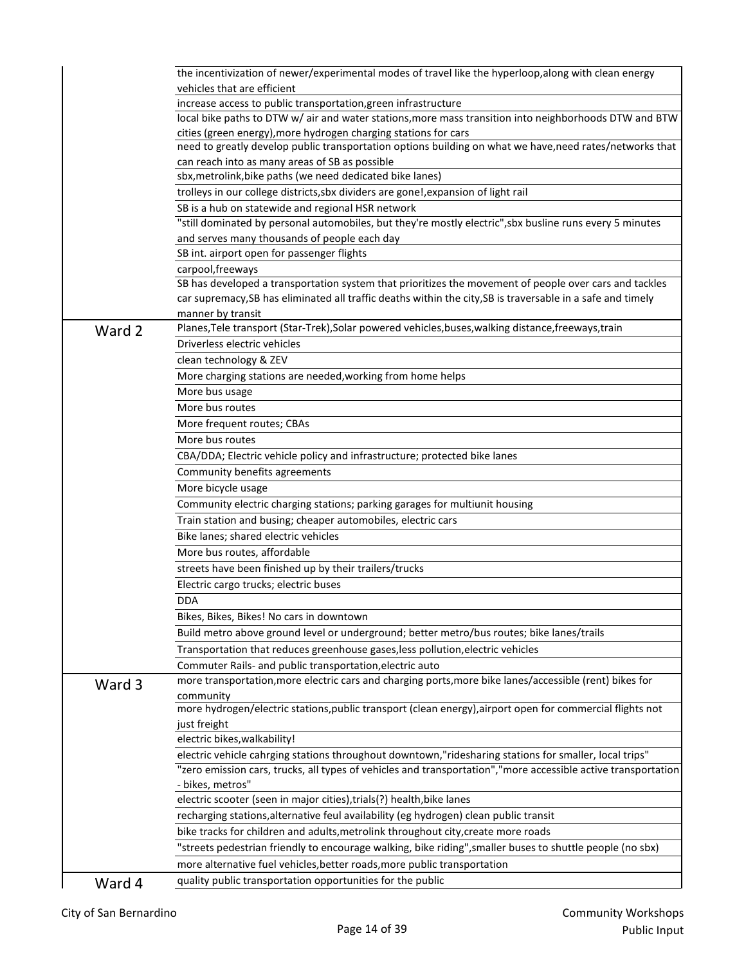|        | the incentivization of newer/experimental modes of travel like the hyperloop, along with clean energy<br>vehicles that are efficient |
|--------|--------------------------------------------------------------------------------------------------------------------------------------|
|        | increase access to public transportation, green infrastructure                                                                       |
|        | local bike paths to DTW w/ air and water stations, more mass transition into neighborhoods DTW and BTW                               |
|        | cities (green energy), more hydrogen charging stations for cars                                                                      |
|        | need to greatly develop public transportation options building on what we have, need rates/networks that                             |
|        | can reach into as many areas of SB as possible                                                                                       |
|        | sbx, metrolink, bike paths (we need dedicated bike lanes)                                                                            |
|        | trolleys in our college districts, sbx dividers are gone!, expansion of light rail                                                   |
|        | SB is a hub on statewide and regional HSR network                                                                                    |
|        | "still dominated by personal automobiles, but they're mostly electric", sbx busline runs every 5 minutes                             |
|        | and serves many thousands of people each day                                                                                         |
|        | SB int. airport open for passenger flights                                                                                           |
|        | carpool, freeways                                                                                                                    |
|        | SB has developed a transportation system that prioritizes the movement of people over cars and tackles                               |
|        | car supremacy, SB has eliminated all traffic deaths within the city, SB is traversable in a safe and timely                          |
|        | manner by transit                                                                                                                    |
| Ward 2 | Planes, Tele transport (Star-Trek), Solar powered vehicles, buses, walking distance, freeways, train                                 |
|        | Driverless electric vehicles                                                                                                         |
|        | clean technology & ZEV                                                                                                               |
|        | More charging stations are needed, working from home helps                                                                           |
|        | More bus usage                                                                                                                       |
|        | More bus routes                                                                                                                      |
|        | More frequent routes; CBAs                                                                                                           |
|        | More bus routes                                                                                                                      |
|        | CBA/DDA; Electric vehicle policy and infrastructure; protected bike lanes                                                            |
|        | Community benefits agreements                                                                                                        |
|        | More bicycle usage                                                                                                                   |
|        | Community electric charging stations; parking garages for multiunit housing                                                          |
|        | Train station and busing; cheaper automobiles, electric cars                                                                         |
|        | Bike lanes; shared electric vehicles                                                                                                 |
|        | More bus routes, affordable                                                                                                          |
|        | streets have been finished up by their trailers/trucks                                                                               |
|        |                                                                                                                                      |
|        | Electric cargo trucks; electric buses<br><b>DDA</b>                                                                                  |
|        |                                                                                                                                      |
|        | Bikes, Bikes, Bikes! No cars in downtown                                                                                             |
|        | Build metro above ground level or underground; better metro/bus routes; bike lanes/trails                                            |
|        | Transportation that reduces greenhouse gases, less pollution, electric vehicles                                                      |
|        | Commuter Rails- and public transportation, electric auto                                                                             |
| Ward 3 | more transportation, more electric cars and charging ports, more bike lanes/accessible (rent) bikes for                              |
|        | community<br>more hydrogen/electric stations, public transport (clean energy), airport open for commercial flights not               |
|        | just freight                                                                                                                         |
|        | electric bikes, walkability!                                                                                                         |
|        | electric vehicle cahrging stations throughout downtown,"ridesharing stations for smaller, local trips"                               |
|        | "zero emission cars, trucks, all types of vehicles and transportation","more accessible active transportation                        |
|        | - bikes, metros"                                                                                                                     |
|        | electric scooter (seen in major cities), trials(?) health, bike lanes                                                                |
|        | recharging stations, alternative feul availability (eg hydrogen) clean public transit                                                |
|        | bike tracks for children and adults, metrolink throughout city, create more roads                                                    |
|        | "streets pedestrian friendly to encourage walking, bike riding", smaller buses to shuttle people (no sbx)                            |
|        | more alternative fuel vehicles, better roads, more public transportation                                                             |
|        | quality public transportation opportunities for the public                                                                           |
| Ward 4 |                                                                                                                                      |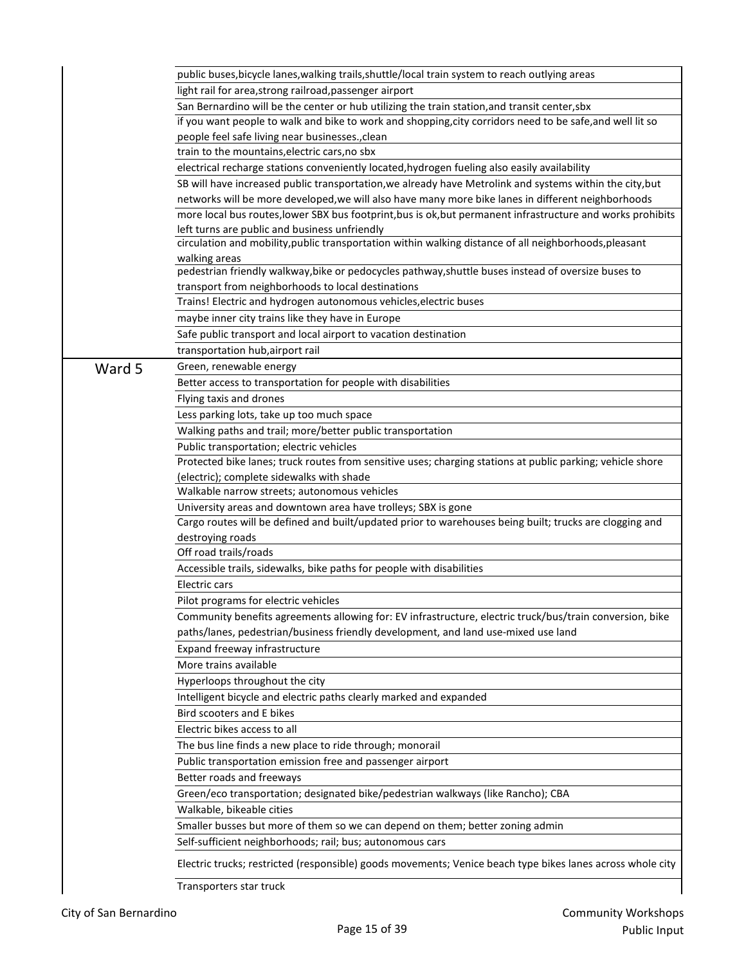|        | public buses, bicycle lanes, walking trails, shuttle/local train system to reach outlying areas             |
|--------|-------------------------------------------------------------------------------------------------------------|
|        | light rail for area, strong railroad, passenger airport                                                     |
|        | San Bernardino will be the center or hub utilizing the train station, and transit center, sbx               |
|        | if you want people to walk and bike to work and shopping, city corridors need to be safe, and well lit so   |
|        | people feel safe living near businesses., clean                                                             |
|        | train to the mountains, electric cars, no sbx                                                               |
|        | electrical recharge stations conveniently located, hydrogen fueling also easily availability                |
|        | SB will have increased public transportation, we already have Metrolink and systems within the city, but    |
|        | networks will be more developed, we will also have many more bike lanes in different neighborhoods          |
|        | more local bus routes, lower SBX bus footprint, bus is ok, but permanent infrastructure and works prohibits |
|        | left turns are public and business unfriendly                                                               |
|        | circulation and mobility, public transportation within walking distance of all neighborhoods, pleasant      |
|        | walking areas                                                                                               |
|        | pedestrian friendly walkway, bike or pedocycles pathway, shuttle buses instead of oversize buses to         |
|        | transport from neighborhoods to local destinations                                                          |
|        | Trains! Electric and hydrogen autonomous vehicles, electric buses                                           |
|        | maybe inner city trains like they have in Europe                                                            |
|        | Safe public transport and local airport to vacation destination                                             |
|        | transportation hub, airport rail                                                                            |
| Ward 5 | Green, renewable energy                                                                                     |
|        | Better access to transportation for people with disabilities                                                |
|        | Flying taxis and drones                                                                                     |
|        | Less parking lots, take up too much space                                                                   |
|        | Walking paths and trail; more/better public transportation                                                  |
|        | Public transportation; electric vehicles                                                                    |
|        | Protected bike lanes; truck routes from sensitive uses; charging stations at public parking; vehicle shore  |
|        | (electric); complete sidewalks with shade                                                                   |
|        | Walkable narrow streets; autonomous vehicles                                                                |
|        | University areas and downtown area have trolleys; SBX is gone                                               |
|        | Cargo routes will be defined and built/updated prior to warehouses being built; trucks are clogging and     |
|        | destroying roads                                                                                            |
|        | Off road trails/roads                                                                                       |
|        | Accessible trails, sidewalks, bike paths for people with disabilities                                       |
|        | Electric cars                                                                                               |
|        | Pilot programs for electric vehicles                                                                        |
|        | Community benefits agreements allowing for: EV infrastructure, electric truck/bus/train conversion, bike    |
|        | paths/lanes, pedestrian/business friendly development, and land use-mixed use land                          |
|        | Expand freeway infrastructure                                                                               |
|        | More trains available                                                                                       |
|        |                                                                                                             |
|        | Hyperloops throughout the city                                                                              |
|        | Intelligent bicycle and electric paths clearly marked and expanded                                          |
|        | Bird scooters and E bikes                                                                                   |
|        | Electric bikes access to all                                                                                |
|        | The bus line finds a new place to ride through; monorail                                                    |
|        | Public transportation emission free and passenger airport                                                   |
|        | Better roads and freeways                                                                                   |
|        | Green/eco transportation; designated bike/pedestrian walkways (like Rancho); CBA                            |
|        | Walkable, bikeable cities                                                                                   |
|        | Smaller busses but more of them so we can depend on them; better zoning admin                               |
|        | Self-sufficient neighborhoods; rail; bus; autonomous cars                                                   |
|        | Electric trucks; restricted (responsible) goods movements; Venice beach type bikes lanes across whole city  |
|        | Transporters star truck                                                                                     |
|        |                                                                                                             |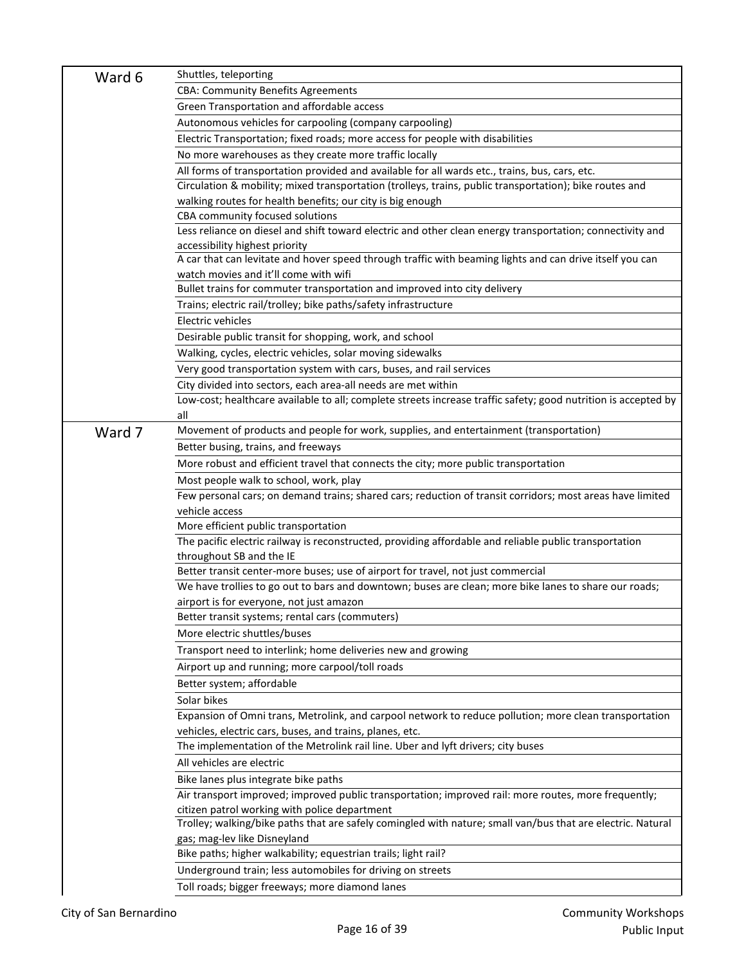| Ward 6 | Shuttles, teleporting                                                                                                                      |
|--------|--------------------------------------------------------------------------------------------------------------------------------------------|
|        | <b>CBA: Community Benefits Agreements</b>                                                                                                  |
|        | Green Transportation and affordable access                                                                                                 |
|        | Autonomous vehicles for carpooling (company carpooling)                                                                                    |
|        | Electric Transportation; fixed roads; more access for people with disabilities                                                             |
|        | No more warehouses as they create more traffic locally                                                                                     |
|        | All forms of transportation provided and available for all wards etc., trains, bus, cars, etc.                                             |
|        | Circulation & mobility; mixed transportation (trolleys, trains, public transportation); bike routes and                                    |
|        | walking routes for health benefits; our city is big enough                                                                                 |
|        | CBA community focused solutions                                                                                                            |
|        | Less reliance on diesel and shift toward electric and other clean energy transportation; connectivity and                                  |
|        | accessibility highest priority<br>A car that can levitate and hover speed through traffic with beaming lights and can drive itself you can |
|        | watch movies and it'll come with wifi                                                                                                      |
|        | Bullet trains for commuter transportation and improved into city delivery                                                                  |
|        | Trains; electric rail/trolley; bike paths/safety infrastructure                                                                            |
|        | Electric vehicles                                                                                                                          |
|        | Desirable public transit for shopping, work, and school                                                                                    |
|        | Walking, cycles, electric vehicles, solar moving sidewalks                                                                                 |
|        | Very good transportation system with cars, buses, and rail services                                                                        |
|        | City divided into sectors, each area-all needs are met within                                                                              |
|        | Low-cost; healthcare available to all; complete streets increase traffic safety; good nutrition is accepted by                             |
|        | all                                                                                                                                        |
| Ward 7 | Movement of products and people for work, supplies, and entertainment (transportation)                                                     |
|        | Better busing, trains, and freeways                                                                                                        |
|        | More robust and efficient travel that connects the city; more public transportation                                                        |
|        | Most people walk to school, work, play                                                                                                     |
|        | Few personal cars; on demand trains; shared cars; reduction of transit corridors; most areas have limited                                  |
|        | vehicle access                                                                                                                             |
|        | More efficient public transportation                                                                                                       |
|        | The pacific electric railway is reconstructed, providing affordable and reliable public transportation                                     |
|        | throughout SB and the IE                                                                                                                   |
|        | Better transit center-more buses; use of airport for travel, not just commercial                                                           |
|        | We have trollies to go out to bars and downtown; buses are clean; more bike lanes to share our roads;                                      |
|        | airport is for everyone, not just amazon                                                                                                   |
|        | Better transit systems; rental cars (commuters)                                                                                            |
|        | More electric shuttles/buses                                                                                                               |
|        | Transport need to interlink; home deliveries new and growing                                                                               |
|        | Airport up and running; more carpool/toll roads                                                                                            |
|        | Better system; affordable                                                                                                                  |
|        | Solar bikes                                                                                                                                |
|        | Expansion of Omni trans, Metrolink, and carpool network to reduce pollution; more clean transportation                                     |
|        | vehicles, electric cars, buses, and trains, planes, etc.                                                                                   |
|        | The implementation of the Metrolink rail line. Uber and lyft drivers; city buses                                                           |
|        | All vehicles are electric                                                                                                                  |
|        | Bike lanes plus integrate bike paths                                                                                                       |
|        | Air transport improved; improved public transportation; improved rail: more routes, more frequently;                                       |
|        | citizen patrol working with police department                                                                                              |
|        | Trolley; walking/bike paths that are safely comingled with nature; small van/bus that are electric. Natural                                |
|        | gas; mag-lev like Disneyland                                                                                                               |
|        | Bike paths; higher walkability; equestrian trails; light rail?                                                                             |
|        | Underground train; less automobiles for driving on streets                                                                                 |
|        | Toll roads; bigger freeways; more diamond lanes                                                                                            |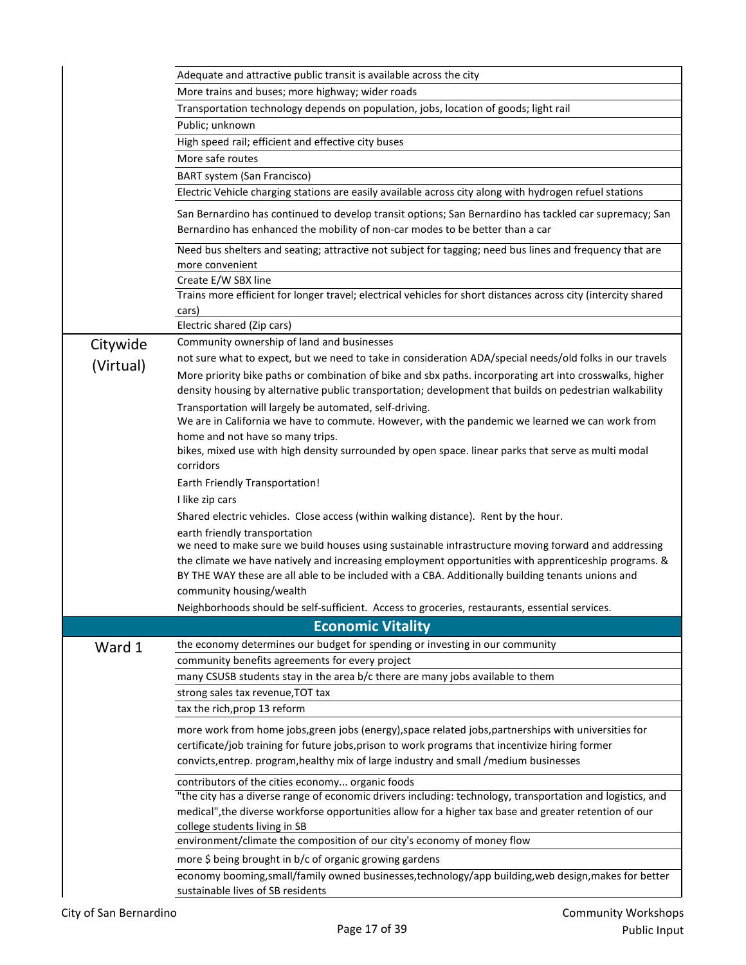|           | Adequate and attractive public transit is available across the city                                                                                                                                                                                                      |
|-----------|--------------------------------------------------------------------------------------------------------------------------------------------------------------------------------------------------------------------------------------------------------------------------|
|           | More trains and buses; more highway; wider roads                                                                                                                                                                                                                         |
|           | Transportation technology depends on population, jobs, location of goods; light rail                                                                                                                                                                                     |
|           | Public; unknown                                                                                                                                                                                                                                                          |
|           | High speed rail; efficient and effective city buses                                                                                                                                                                                                                      |
|           | More safe routes                                                                                                                                                                                                                                                         |
|           | BART system (San Francisco)                                                                                                                                                                                                                                              |
|           | Electric Vehicle charging stations are easily available across city along with hydrogen refuel stations                                                                                                                                                                  |
|           | San Bernardino has continued to develop transit options; San Bernardino has tackled car supremacy; San<br>Bernardino has enhanced the mobility of non-car modes to be better than a car                                                                                  |
|           | Need bus shelters and seating; attractive not subject for tagging; need bus lines and frequency that are<br>more convenient                                                                                                                                              |
|           | Create E/W SBX line                                                                                                                                                                                                                                                      |
|           | Trains more efficient for longer travel; electrical vehicles for short distances across city (intercity shared<br>cars)                                                                                                                                                  |
|           | Electric shared (Zip cars)                                                                                                                                                                                                                                               |
| Citywide  | Community ownership of land and businesses                                                                                                                                                                                                                               |
| (Virtual) | not sure what to expect, but we need to take in consideration ADA/special needs/old folks in our travels                                                                                                                                                                 |
|           | More priority bike paths or combination of bike and sbx paths. incorporating art into crosswalks, higher<br>density housing by alternative public transportation; development that builds on pedestrian walkability                                                      |
|           | Transportation will largely be automated, self-driving.                                                                                                                                                                                                                  |
|           | We are in California we have to commute. However, with the pandemic we learned we can work from                                                                                                                                                                          |
|           | home and not have so many trips.<br>bikes, mixed use with high density surrounded by open space. linear parks that serve as multi modal<br>corridors                                                                                                                     |
|           | <b>Earth Friendly Transportation!</b>                                                                                                                                                                                                                                    |
|           | I like zip cars                                                                                                                                                                                                                                                          |
|           | Shared electric vehicles. Close access (within walking distance). Rent by the hour.                                                                                                                                                                                      |
|           | earth friendly transportation<br>we need to make sure we build houses using sustainable infrastructure moving forward and addressing                                                                                                                                     |
|           | the climate we have natively and increasing employment opportunities with apprenticeship programs. &<br>BY THE WAY these are all able to be included with a CBA. Additionally building tenants unions and                                                                |
|           | community housing/wealth                                                                                                                                                                                                                                                 |
|           | Neighborhoods should be self-sufficient. Access to groceries, restaurants, essential services.                                                                                                                                                                           |
|           | <b>Economic Vitality</b>                                                                                                                                                                                                                                                 |
| Ward 1    | the economy determines our budget for spending or investing in our community                                                                                                                                                                                             |
|           | community benefits agreements for every project                                                                                                                                                                                                                          |
|           | many CSUSB students stay in the area b/c there are many jobs available to them                                                                                                                                                                                           |
|           | strong sales tax revenue, TOT tax                                                                                                                                                                                                                                        |
|           | tax the rich, prop 13 reform                                                                                                                                                                                                                                             |
|           | more work from home jobs, green jobs (energy), space related jobs, partnerships with universities for<br>certificate/job training for future jobs, prison to work programs that incentivize hiring former                                                                |
|           | convicts, entrep. program, healthy mix of large industry and small / medium businesses                                                                                                                                                                                   |
|           | contributors of the cities economy organic foods<br>"the city has a diverse range of economic drivers including: technology, transportation and logistics, and<br>medical", the diverse workforse opportunities allow for a higher tax base and greater retention of our |
|           | college students living in SB<br>environment/climate the composition of our city's economy of money flow                                                                                                                                                                 |
|           | more \$ being brought in b/c of organic growing gardens                                                                                                                                                                                                                  |
|           | economy booming, small/family owned businesses, technology/app building, web design, makes for better                                                                                                                                                                    |
|           | sustainable lives of SB residents                                                                                                                                                                                                                                        |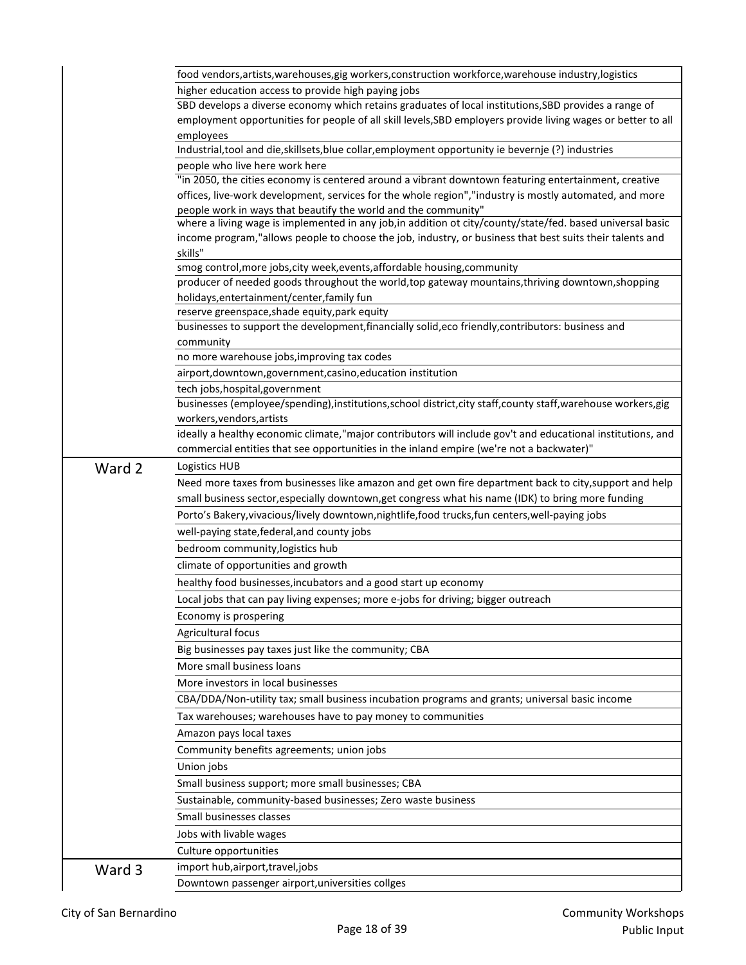|        | food vendors, artists, warehouses, gig workers, construction workforce, warehouse industry, logistics                                                                        |
|--------|------------------------------------------------------------------------------------------------------------------------------------------------------------------------------|
|        | higher education access to provide high paying jobs                                                                                                                          |
|        | SBD develops a diverse economy which retains graduates of local institutions, SBD provides a range of                                                                        |
|        | employment opportunities for people of all skill levels, SBD employers provide living wages or better to all                                                                 |
|        | employees                                                                                                                                                                    |
|        | Industrial, tool and die, skillsets, blue collar, employment opportunity ie bevernje (?) industries                                                                          |
|        | people who live here work here                                                                                                                                               |
|        | "in 2050, the cities economy is centered around a vibrant downtown featuring entertainment, creative                                                                         |
|        | offices, live-work development, services for the whole region","industry is mostly automated, and more                                                                       |
|        | people work in ways that beautify the world and the community"<br>where a living wage is implemented in any job, in addition ot city/county/state/fed. based universal basic |
|        | income program,"allows people to choose the job, industry, or business that best suits their talents and<br>skills"                                                          |
|        | smog control, more jobs, city week, events, affordable housing, community                                                                                                    |
|        | producer of needed goods throughout the world, top gateway mountains, thriving downtown, shopping                                                                            |
|        | holidays, entertainment/center, family fun                                                                                                                                   |
|        | reserve greenspace, shade equity, park equity                                                                                                                                |
|        | businesses to support the development, financially solid, eco friendly, contributors: business and                                                                           |
|        | community                                                                                                                                                                    |
|        | no more warehouse jobs, improving tax codes                                                                                                                                  |
|        | airport, downtown, government, casino, education institution                                                                                                                 |
|        | tech jobs, hospital, government                                                                                                                                              |
|        | businesses (employee/spending),institutions, school district, city staff, county staff, warehouse workers, gig                                                               |
|        | workers, vendors, artists                                                                                                                                                    |
|        | ideally a healthy economic climate,"major contributors will include gov't and educational institutions, and                                                                  |
|        | commercial entities that see opportunities in the inland empire (we're not a backwater)"                                                                                     |
| Ward 2 | Logistics HUB                                                                                                                                                                |
|        | Need more taxes from businesses like amazon and get own fire department back to city, support and help                                                                       |
|        | small business sector, especially downtown, get congress what his name (IDK) to bring more funding                                                                           |
|        | Porto's Bakery, vivacious/lively downtown, nightlife, food trucks, fun centers, well-paying jobs                                                                             |
|        | well-paying state, federal, and county jobs                                                                                                                                  |
|        | bedroom community, logistics hub                                                                                                                                             |
|        | climate of opportunities and growth                                                                                                                                          |
|        | healthy food businesses, incubators and a good start up economy                                                                                                              |
|        | Local jobs that can pay living expenses; more e-jobs for driving; bigger outreach                                                                                            |
|        |                                                                                                                                                                              |
|        | Economy is prospering                                                                                                                                                        |
|        | Agricultural focus                                                                                                                                                           |
|        | Big businesses pay taxes just like the community; CBA                                                                                                                        |
|        | More small business loans                                                                                                                                                    |
|        | More investors in local businesses                                                                                                                                           |
|        | CBA/DDA/Non-utility tax; small business incubation programs and grants; universal basic income                                                                               |
|        | Tax warehouses; warehouses have to pay money to communities                                                                                                                  |
|        | Amazon pays local taxes                                                                                                                                                      |
|        | Community benefits agreements; union jobs                                                                                                                                    |
|        | Union jobs                                                                                                                                                                   |
|        | Small business support; more small businesses; CBA                                                                                                                           |
|        | Sustainable, community-based businesses; Zero waste business                                                                                                                 |
|        | Small businesses classes                                                                                                                                                     |
|        |                                                                                                                                                                              |
|        | Jobs with livable wages                                                                                                                                                      |
| Ward 3 | Culture opportunities<br>import hub, airport, travel, jobs                                                                                                                   |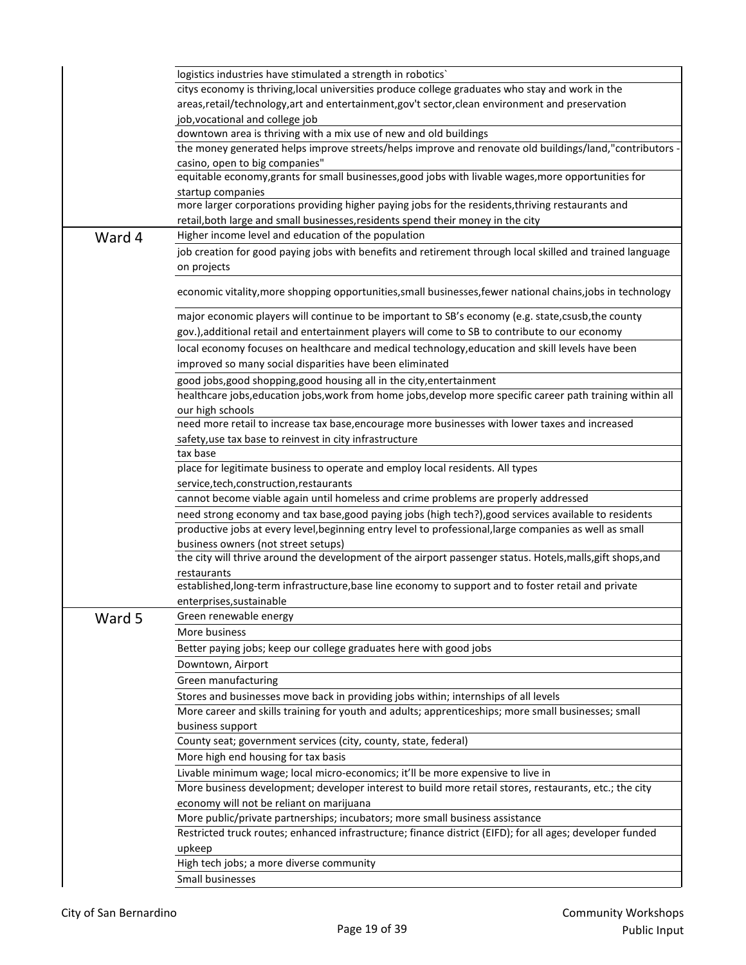|        | logistics industries have stimulated a strength in robotics'                                                                                       |
|--------|----------------------------------------------------------------------------------------------------------------------------------------------------|
|        | citys economy is thriving, local universities produce college graduates who stay and work in the                                                   |
|        | areas, retail/technology, art and entertainment, gov't sector, clean environment and preservation                                                  |
|        | job, vocational and college job                                                                                                                    |
|        | downtown area is thriving with a mix use of new and old buildings                                                                                  |
|        | the money generated helps improve streets/helps improve and renovate old buildings/land,"contributors -                                            |
|        | casino, open to big companies"                                                                                                                     |
|        | equitable economy, grants for small businesses, good jobs with livable wages, more opportunities for                                               |
|        | startup companies<br>more larger corporations providing higher paying jobs for the residents, thriving restaurants and                             |
|        | retail, both large and small businesses, residents spend their money in the city                                                                   |
| Ward 4 | Higher income level and education of the population                                                                                                |
|        | job creation for good paying jobs with benefits and retirement through local skilled and trained language                                          |
|        | on projects                                                                                                                                        |
|        |                                                                                                                                                    |
|        | economic vitality, more shopping opportunities, small businesses, fewer national chains, jobs in technology                                        |
|        | major economic players will continue to be important to SB's economy (e.g. state, csusb, the county                                                |
|        | gov.), additional retail and entertainment players will come to SB to contribute to our economy                                                    |
|        | local economy focuses on healthcare and medical technology, education and skill levels have been                                                   |
|        | improved so many social disparities have been eliminated                                                                                           |
|        | good jobs, good shopping, good housing all in the city, entertainment                                                                              |
|        | healthcare jobs, education jobs, work from home jobs, develop more specific career path training within all                                        |
|        | our high schools                                                                                                                                   |
|        | need more retail to increase tax base, encourage more businesses with lower taxes and increased                                                    |
|        | safety, use tax base to reinvest in city infrastructure                                                                                            |
|        | tax base                                                                                                                                           |
|        | place for legitimate business to operate and employ local residents. All types                                                                     |
|        | service, tech, construction, restaurants                                                                                                           |
|        | cannot become viable again until homeless and crime problems are properly addressed                                                                |
|        | need strong economy and tax base, good paying jobs (high tech?), good services available to residents                                              |
|        | productive jobs at every level, beginning entry level to professional, large companies as well as small                                            |
|        | business owners (not street setups)<br>the city will thrive around the development of the airport passenger status. Hotels, malls, gift shops, and |
|        | restaurants                                                                                                                                        |
|        | established, long-term infrastructure, base line economy to support and to foster retail and private                                               |
|        | enterprises, sustainable                                                                                                                           |
| Ward 5 | Green renewable energy                                                                                                                             |
|        | More business                                                                                                                                      |
|        | Better paying jobs; keep our college graduates here with good jobs                                                                                 |
|        | Downtown, Airport                                                                                                                                  |
|        | Green manufacturing                                                                                                                                |
|        | Stores and businesses move back in providing jobs within; internships of all levels                                                                |
|        | More career and skills training for youth and adults; apprenticeships; more small businesses; small                                                |
|        | business support                                                                                                                                   |
|        | County seat; government services (city, county, state, federal)                                                                                    |
|        | More high end housing for tax basis                                                                                                                |
|        | Livable minimum wage; local micro-economics; it'll be more expensive to live in                                                                    |
|        | More business development; developer interest to build more retail stores, restaurants, etc.; the city                                             |
|        | economy will not be reliant on marijuana                                                                                                           |
|        | More public/private partnerships; incubators; more small business assistance                                                                       |
|        | Restricted truck routes; enhanced infrastructure; finance district (EIFD); for all ages; developer funded                                          |
|        | upkeep                                                                                                                                             |
|        | High tech jobs; a more diverse community                                                                                                           |
|        | Small businesses                                                                                                                                   |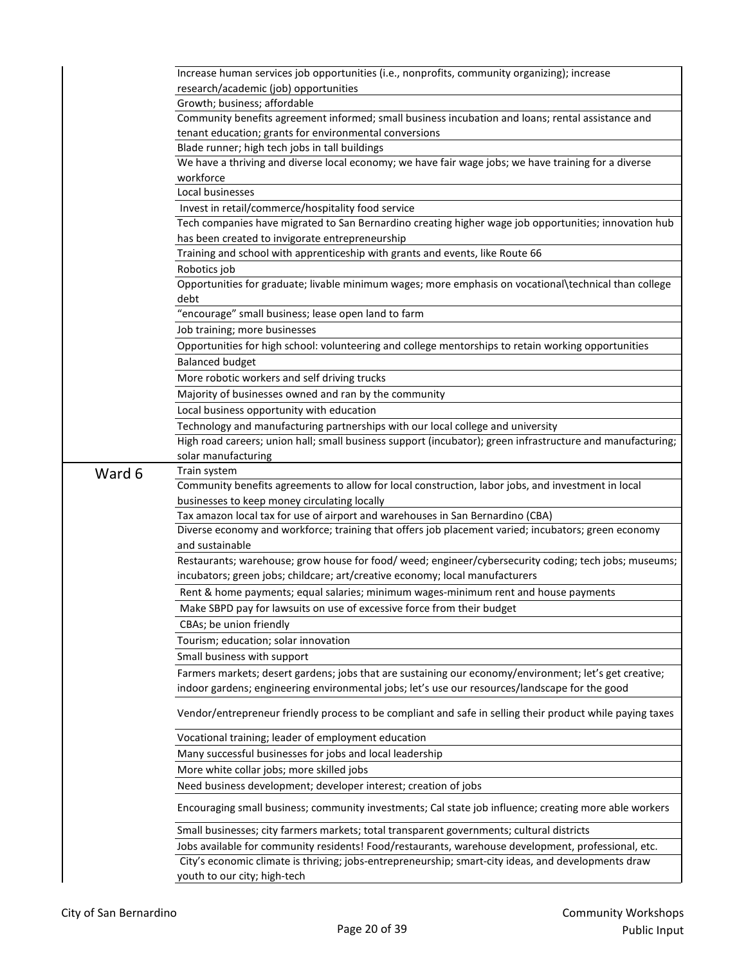|        | Increase human services job opportunities (i.e., nonprofits, community organizing); increase               |
|--------|------------------------------------------------------------------------------------------------------------|
|        | research/academic (job) opportunities                                                                      |
|        | Growth; business; affordable                                                                               |
|        | Community benefits agreement informed; small business incubation and loans; rental assistance and          |
|        | tenant education; grants for environmental conversions                                                     |
|        | Blade runner; high tech jobs in tall buildings                                                             |
|        | We have a thriving and diverse local economy; we have fair wage jobs; we have training for a diverse       |
|        | workforce                                                                                                  |
|        | Local businesses                                                                                           |
|        | Invest in retail/commerce/hospitality food service                                                         |
|        | Tech companies have migrated to San Bernardino creating higher wage job opportunities; innovation hub      |
|        | has been created to invigorate entrepreneurship                                                            |
|        | Training and school with apprenticeship with grants and events, like Route 66                              |
|        | Robotics job                                                                                               |
|        | Opportunities for graduate; livable minimum wages; more emphasis on vocational\technical than college      |
|        | debt                                                                                                       |
|        | "encourage" small business; lease open land to farm                                                        |
|        | Job training; more businesses                                                                              |
|        | Opportunities for high school: volunteering and college mentorships to retain working opportunities        |
|        | <b>Balanced budget</b>                                                                                     |
|        | More robotic workers and self driving trucks                                                               |
|        | Majority of businesses owned and ran by the community                                                      |
|        | Local business opportunity with education                                                                  |
|        | Technology and manufacturing partnerships with our local college and university                            |
|        | High road careers; union hall; small business support (incubator); green infrastructure and manufacturing; |
|        | solar manufacturing                                                                                        |
| Ward 6 | Train system                                                                                               |
|        | Community benefits agreements to allow for local construction, labor jobs, and investment in local         |
|        | businesses to keep money circulating locally                                                               |
|        | Tax amazon local tax for use of airport and warehouses in San Bernardino (CBA)                             |
|        | Diverse economy and workforce; training that offers job placement varied; incubators; green economy        |
|        | and sustainable                                                                                            |
|        | Restaurants; warehouse; grow house for food/ weed; engineer/cybersecurity coding; tech jobs; museums;      |
|        | incubators; green jobs; childcare; art/creative economy; local manufacturers                               |
|        | Rent & home payments; equal salaries; minimum wages-minimum rent and house payments                        |
|        | Make SBPD pay for lawsuits on use of excessive force from their budget                                     |
|        | CBAs; be union friendly                                                                                    |
|        | Tourism; education; solar innovation                                                                       |
|        | Small business with support                                                                                |
|        | Farmers markets; desert gardens; jobs that are sustaining our economy/environment; let's get creative;     |
|        | indoor gardens; engineering environmental jobs; let's use our resources/landscape for the good             |
|        | Vendor/entrepreneur friendly process to be compliant and safe in selling their product while paying taxes  |
|        | Vocational training; leader of employment education                                                        |
|        | Many successful businesses for jobs and local leadership                                                   |
|        | More white collar jobs; more skilled jobs                                                                  |
|        | Need business development; developer interest; creation of jobs                                            |
|        |                                                                                                            |
|        | Small businesses; city farmers markets; total transparent governments; cultural districts                  |
|        |                                                                                                            |
|        |                                                                                                            |
|        |                                                                                                            |
|        | Encouraging small business; community investments; Cal state job influence; creating more able workers     |
|        | Jobs available for community residents! Food/restaurants, warehouse development, professional, etc.        |
|        | City's economic climate is thriving; jobs-entrepreneurship; smart-city ideas, and developments draw        |
|        | youth to our city; high-tech                                                                               |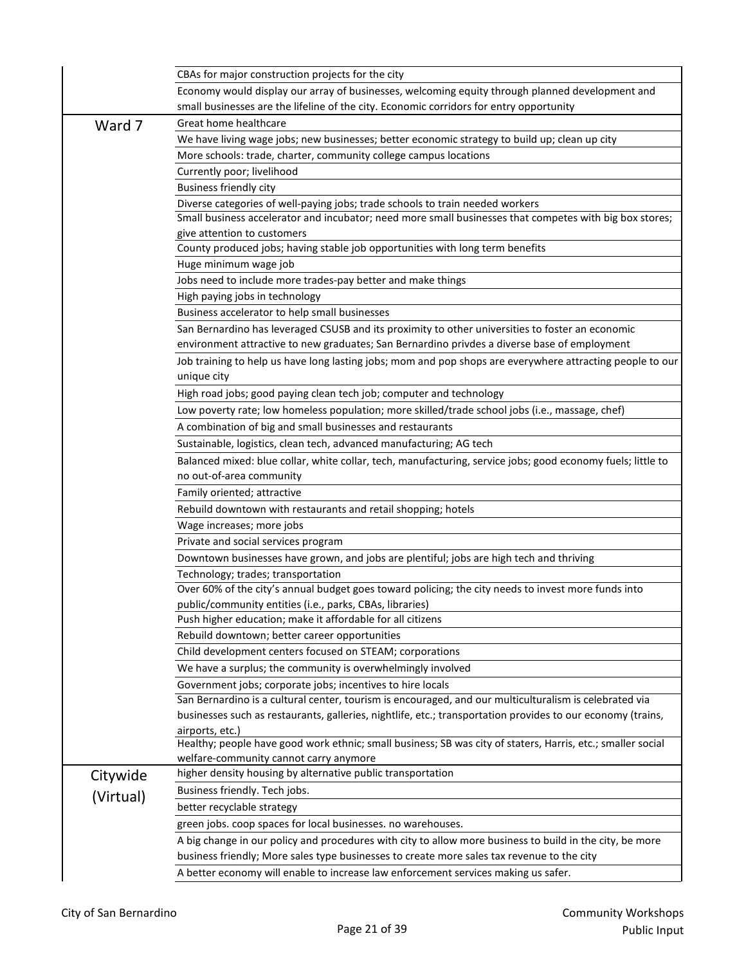|           | CBAs for major construction projects for the city                                                           |
|-----------|-------------------------------------------------------------------------------------------------------------|
|           | Economy would display our array of businesses, welcoming equity through planned development and             |
|           | small businesses are the lifeline of the city. Economic corridors for entry opportunity                     |
| Ward 7    | Great home healthcare                                                                                       |
|           | We have living wage jobs; new businesses; better economic strategy to build up; clean up city               |
|           | More schools: trade, charter, community college campus locations                                            |
|           | Currently poor; livelihood                                                                                  |
|           | <b>Business friendly city</b>                                                                               |
|           | Diverse categories of well-paying jobs; trade schools to train needed workers                               |
|           | Small business accelerator and incubator; need more small businesses that competes with big box stores;     |
|           | give attention to customers                                                                                 |
|           | County produced jobs; having stable job opportunities with long term benefits                               |
|           | Huge minimum wage job                                                                                       |
|           | Jobs need to include more trades-pay better and make things                                                 |
|           | High paying jobs in technology                                                                              |
|           | Business accelerator to help small businesses                                                               |
|           | San Bernardino has leveraged CSUSB and its proximity to other universities to foster an economic            |
|           | environment attractive to new graduates; San Bernardino privdes a diverse base of employment                |
|           | Job training to help us have long lasting jobs; mom and pop shops are everywhere attracting people to our   |
|           | unique city                                                                                                 |
|           | High road jobs; good paying clean tech job; computer and technology                                         |
|           | Low poverty rate; low homeless population; more skilled/trade school jobs (i.e., massage, chef)             |
|           | A combination of big and small businesses and restaurants                                                   |
|           | Sustainable, logistics, clean tech, advanced manufacturing; AG tech                                         |
|           | Balanced mixed: blue collar, white collar, tech, manufacturing, service jobs; good economy fuels; little to |
|           | no out-of-area community                                                                                    |
|           | Family oriented; attractive                                                                                 |
|           | Rebuild downtown with restaurants and retail shopping; hotels                                               |
|           | Wage increases; more jobs                                                                                   |
|           | Private and social services program                                                                         |
|           | Downtown businesses have grown, and jobs are plentiful; jobs are high tech and thriving                     |
|           | Technology; trades; transportation                                                                          |
|           | Over 60% of the city's annual budget goes toward policing; the city needs to invest more funds into         |
|           | public/community entities (i.e., parks, CBAs, libraries)                                                    |
|           | Push higher education; make it affordable for all citizens                                                  |
|           | Rebuild downtown; better career opportunities                                                               |
|           | Child development centers focused on STEAM; corporations                                                    |
|           | We have a surplus; the community is overwhelmingly involved                                                 |
|           | Government jobs; corporate jobs; incentives to hire locals                                                  |
|           | San Bernardino is a cultural center, tourism is encouraged, and our multiculturalism is celebrated via      |
|           | businesses such as restaurants, galleries, nightlife, etc.; transportation provides to our economy (trains, |
|           | airports, etc.)                                                                                             |
|           | Healthy; people have good work ethnic; small business; SB was city of staters, Harris, etc.; smaller social |
|           | welfare-community cannot carry anymore                                                                      |
| Citywide  | higher density housing by alternative public transportation                                                 |
| (Virtual) | Business friendly. Tech jobs.                                                                               |
|           | better recyclable strategy                                                                                  |
|           | green jobs. coop spaces for local businesses. no warehouses.                                                |
|           | A big change in our policy and procedures with city to allow more business to build in the city, be more    |
|           | business friendly; More sales type businesses to create more sales tax revenue to the city                  |
|           | A better economy will enable to increase law enforcement services making us safer.                          |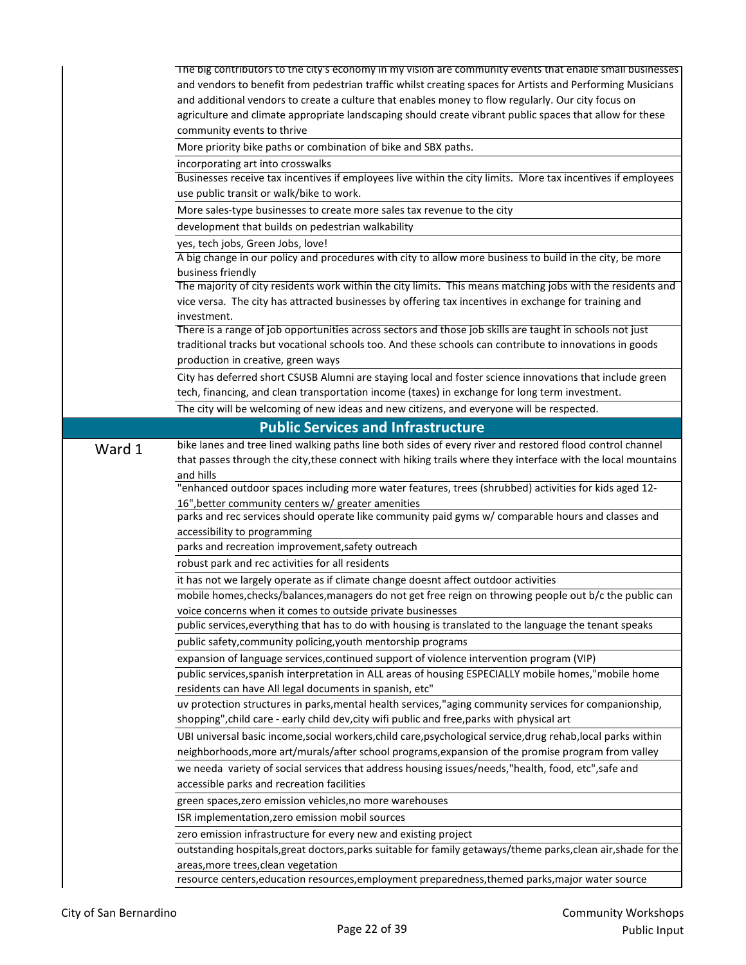|        | The big contributors to the city's economy in my vision are community events that enable small businesses<br>and vendors to benefit from pedestrian traffic whilst creating spaces for Artists and Performing Musicians<br>and additional vendors to create a culture that enables money to flow regularly. Our city focus on<br>agriculture and climate appropriate landscaping should create vibrant public spaces that allow for these<br>community events to thrive<br>More priority bike paths or combination of bike and SBX paths.<br>incorporating art into crosswalks<br>Businesses receive tax incentives if employees live within the city limits. More tax incentives if employees<br>use public transit or walk/bike to work.<br>More sales-type businesses to create more sales tax revenue to the city<br>development that builds on pedestrian walkability<br>yes, tech jobs, Green Jobs, love!<br>A big change in our policy and procedures with city to allow more business to build in the city, be more<br>business friendly |
|--------|--------------------------------------------------------------------------------------------------------------------------------------------------------------------------------------------------------------------------------------------------------------------------------------------------------------------------------------------------------------------------------------------------------------------------------------------------------------------------------------------------------------------------------------------------------------------------------------------------------------------------------------------------------------------------------------------------------------------------------------------------------------------------------------------------------------------------------------------------------------------------------------------------------------------------------------------------------------------------------------------------------------------------------------------------|
|        | The majority of city residents work within the city limits. This means matching jobs with the residents and<br>vice versa. The city has attracted businesses by offering tax incentives in exchange for training and<br>investment.                                                                                                                                                                                                                                                                                                                                                                                                                                                                                                                                                                                                                                                                                                                                                                                                              |
|        | There is a range of job opportunities across sectors and those job skills are taught in schools not just<br>traditional tracks but vocational schools too. And these schools can contribute to innovations in goods<br>production in creative, green ways                                                                                                                                                                                                                                                                                                                                                                                                                                                                                                                                                                                                                                                                                                                                                                                        |
|        | City has deferred short CSUSB Alumni are staying local and foster science innovations that include green<br>tech, financing, and clean transportation income (taxes) in exchange for long term investment.                                                                                                                                                                                                                                                                                                                                                                                                                                                                                                                                                                                                                                                                                                                                                                                                                                       |
|        | The city will be welcoming of new ideas and new citizens, and everyone will be respected.                                                                                                                                                                                                                                                                                                                                                                                                                                                                                                                                                                                                                                                                                                                                                                                                                                                                                                                                                        |
|        | <b>Public Services and Infrastructure</b>                                                                                                                                                                                                                                                                                                                                                                                                                                                                                                                                                                                                                                                                                                                                                                                                                                                                                                                                                                                                        |
| Ward 1 | bike lanes and tree lined walking paths line both sides of every river and restored flood control channel<br>that passes through the city, these connect with hiking trails where they interface with the local mountains<br>and hills                                                                                                                                                                                                                                                                                                                                                                                                                                                                                                                                                                                                                                                                                                                                                                                                           |
|        | "enhanced outdoor spaces including more water features, trees (shrubbed) activities for kids aged 12-<br>16", better community centers w/ greater amenities                                                                                                                                                                                                                                                                                                                                                                                                                                                                                                                                                                                                                                                                                                                                                                                                                                                                                      |
|        | parks and rec services should operate like community paid gyms w/ comparable hours and classes and                                                                                                                                                                                                                                                                                                                                                                                                                                                                                                                                                                                                                                                                                                                                                                                                                                                                                                                                               |
|        | accessibility to programming                                                                                                                                                                                                                                                                                                                                                                                                                                                                                                                                                                                                                                                                                                                                                                                                                                                                                                                                                                                                                     |
|        | parks and recreation improvement, safety outreach                                                                                                                                                                                                                                                                                                                                                                                                                                                                                                                                                                                                                                                                                                                                                                                                                                                                                                                                                                                                |
|        | robust park and rec activities for all residents                                                                                                                                                                                                                                                                                                                                                                                                                                                                                                                                                                                                                                                                                                                                                                                                                                                                                                                                                                                                 |
|        | it has not we largely operate as if climate change doesnt affect outdoor activities                                                                                                                                                                                                                                                                                                                                                                                                                                                                                                                                                                                                                                                                                                                                                                                                                                                                                                                                                              |
|        | mobile homes, checks/balances, managers do not get free reign on throwing people out b/c the public can                                                                                                                                                                                                                                                                                                                                                                                                                                                                                                                                                                                                                                                                                                                                                                                                                                                                                                                                          |
|        | voice concerns when it comes to outside private businesses<br>public services, everything that has to do with housing is translated to the language the tenant speaks                                                                                                                                                                                                                                                                                                                                                                                                                                                                                                                                                                                                                                                                                                                                                                                                                                                                            |
|        | public safety, community policing, youth mentorship programs                                                                                                                                                                                                                                                                                                                                                                                                                                                                                                                                                                                                                                                                                                                                                                                                                                                                                                                                                                                     |
|        | expansion of language services, continued support of violence intervention program (VIP)                                                                                                                                                                                                                                                                                                                                                                                                                                                                                                                                                                                                                                                                                                                                                                                                                                                                                                                                                         |
|        | public services, spanish interpretation in ALL areas of housing ESPECIALLY mobile homes, "mobile home                                                                                                                                                                                                                                                                                                                                                                                                                                                                                                                                                                                                                                                                                                                                                                                                                                                                                                                                            |
|        | residents can have All legal documents in spanish, etc"                                                                                                                                                                                                                                                                                                                                                                                                                                                                                                                                                                                                                                                                                                                                                                                                                                                                                                                                                                                          |
|        | uv protection structures in parks, mental health services, "aging community services for companionship,<br>shopping", child care - early child dev, city wifi public and free, parks with physical art                                                                                                                                                                                                                                                                                                                                                                                                                                                                                                                                                                                                                                                                                                                                                                                                                                           |
|        | UBI universal basic income, social workers, child care, psychological service, drug rehab, local parks within<br>neighborhoods, more art/murals/after school programs, expansion of the promise program from valley                                                                                                                                                                                                                                                                                                                                                                                                                                                                                                                                                                                                                                                                                                                                                                                                                              |
|        | we needa variety of social services that address housing issues/needs,"health, food, etc", safe and                                                                                                                                                                                                                                                                                                                                                                                                                                                                                                                                                                                                                                                                                                                                                                                                                                                                                                                                              |
|        | accessible parks and recreation facilities                                                                                                                                                                                                                                                                                                                                                                                                                                                                                                                                                                                                                                                                                                                                                                                                                                                                                                                                                                                                       |
|        | green spaces, zero emission vehicles, no more warehouses                                                                                                                                                                                                                                                                                                                                                                                                                                                                                                                                                                                                                                                                                                                                                                                                                                                                                                                                                                                         |
|        | ISR implementation, zero emission mobil sources                                                                                                                                                                                                                                                                                                                                                                                                                                                                                                                                                                                                                                                                                                                                                                                                                                                                                                                                                                                                  |
|        | zero emission infrastructure for every new and existing project                                                                                                                                                                                                                                                                                                                                                                                                                                                                                                                                                                                                                                                                                                                                                                                                                                                                                                                                                                                  |
|        | outstanding hospitals, great doctors, parks suitable for family getaways/theme parks, clean air, shade for the                                                                                                                                                                                                                                                                                                                                                                                                                                                                                                                                                                                                                                                                                                                                                                                                                                                                                                                                   |
|        | areas, more trees, clean vegetation<br>resource centers, education resources, employment preparedness, themed parks, major water source                                                                                                                                                                                                                                                                                                                                                                                                                                                                                                                                                                                                                                                                                                                                                                                                                                                                                                          |
|        |                                                                                                                                                                                                                                                                                                                                                                                                                                                                                                                                                                                                                                                                                                                                                                                                                                                                                                                                                                                                                                                  |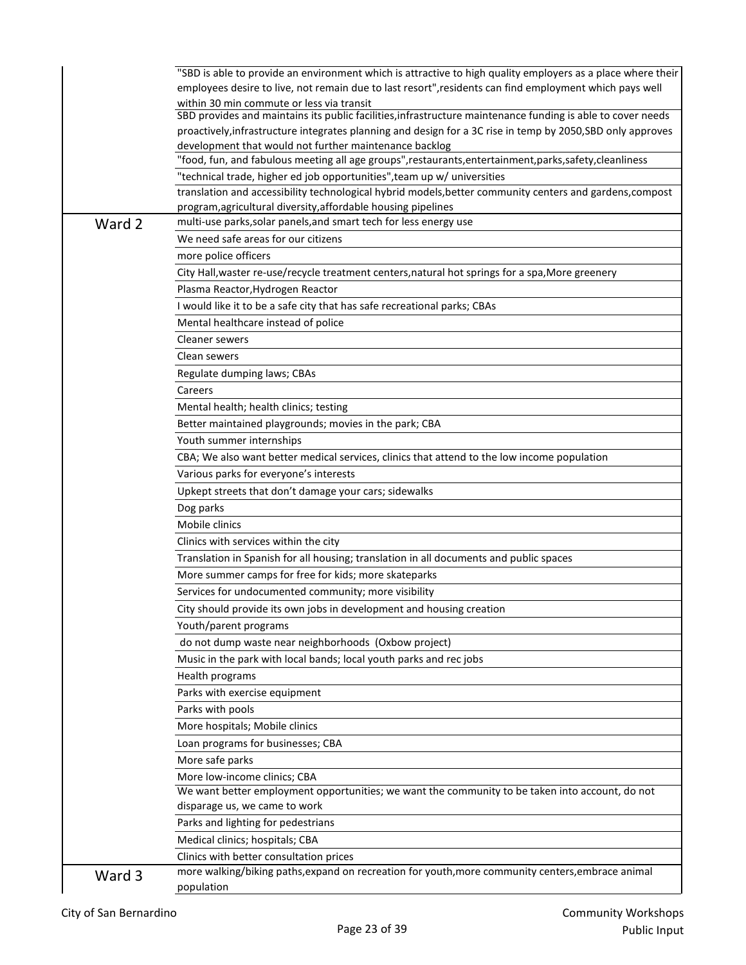|        | "SBD is able to provide an environment which is attractive to high quality employers as a place where their                                                                         |
|--------|-------------------------------------------------------------------------------------------------------------------------------------------------------------------------------------|
|        | employees desire to live, not remain due to last resort", residents can find employment which pays well                                                                             |
|        | within 30 min commute or less via transit                                                                                                                                           |
|        | SBD provides and maintains its public facilities, infrastructure maintenance funding is able to cover needs                                                                         |
|        | proactively, infrastructure integrates planning and design for a 3C rise in temp by 2050, SBD only approves                                                                         |
|        | development that would not further maintenance backlog                                                                                                                              |
|        | food, fun, and fabulous meeting all age groups", restaurants, entertainment, parks, safety, cleanliness"                                                                            |
|        | "technical trade, higher ed job opportunities", team up w/ universities<br>translation and accessibility technological hybrid models, better community centers and gardens, compost |
|        | program, agricultural diversity, affordable housing pipelines                                                                                                                       |
| Ward 2 | multi-use parks, solar panels, and smart tech for less energy use                                                                                                                   |
|        | We need safe areas for our citizens                                                                                                                                                 |
|        | more police officers                                                                                                                                                                |
|        | City Hall, waster re-use/recycle treatment centers, natural hot springs for a spa, More greenery                                                                                    |
|        | Plasma Reactor, Hydrogen Reactor                                                                                                                                                    |
|        | I would like it to be a safe city that has safe recreational parks; CBAs                                                                                                            |
|        | Mental healthcare instead of police                                                                                                                                                 |
|        | Cleaner sewers                                                                                                                                                                      |
|        | Clean sewers                                                                                                                                                                        |
|        |                                                                                                                                                                                     |
|        | Regulate dumping laws; CBAs<br>Careers                                                                                                                                              |
|        | Mental health; health clinics; testing                                                                                                                                              |
|        | Better maintained playgrounds; movies in the park; CBA                                                                                                                              |
|        | Youth summer internships                                                                                                                                                            |
|        |                                                                                                                                                                                     |
|        | CBA; We also want better medical services, clinics that attend to the low income population                                                                                         |
|        | Various parks for everyone's interests<br>Upkept streets that don't damage your cars; sidewalks                                                                                     |
|        |                                                                                                                                                                                     |
|        | Dog parks                                                                                                                                                                           |
|        | Mobile clinics                                                                                                                                                                      |
|        | Clinics with services within the city                                                                                                                                               |
|        | Translation in Spanish for all housing; translation in all documents and public spaces                                                                                              |
|        | More summer camps for free for kids; more skateparks                                                                                                                                |
|        | Services for undocumented community; more visibility                                                                                                                                |
|        | City should provide its own jobs in development and housing creation                                                                                                                |
|        | Youth/parent programs                                                                                                                                                               |
|        | do not dump waste near neighborhoods (Oxbow project)                                                                                                                                |
|        | Music in the park with local bands; local youth parks and rec jobs                                                                                                                  |
|        | Health programs                                                                                                                                                                     |
|        | Parks with exercise equipment                                                                                                                                                       |
|        | Parks with pools                                                                                                                                                                    |
|        | More hospitals; Mobile clinics                                                                                                                                                      |
|        | Loan programs for businesses; CBA                                                                                                                                                   |
|        | More safe parks                                                                                                                                                                     |
|        | More low-income clinics; CBA                                                                                                                                                        |
|        | We want better employment opportunities; we want the community to be taken into account, do not                                                                                     |
|        | disparage us, we came to work                                                                                                                                                       |
|        | Parks and lighting for pedestrians                                                                                                                                                  |
|        | Medical clinics; hospitals; CBA                                                                                                                                                     |
|        | Clinics with better consultation prices                                                                                                                                             |
| Ward 3 | more walking/biking paths, expand on recreation for youth, more community centers, embrace animal<br>population                                                                     |
|        |                                                                                                                                                                                     |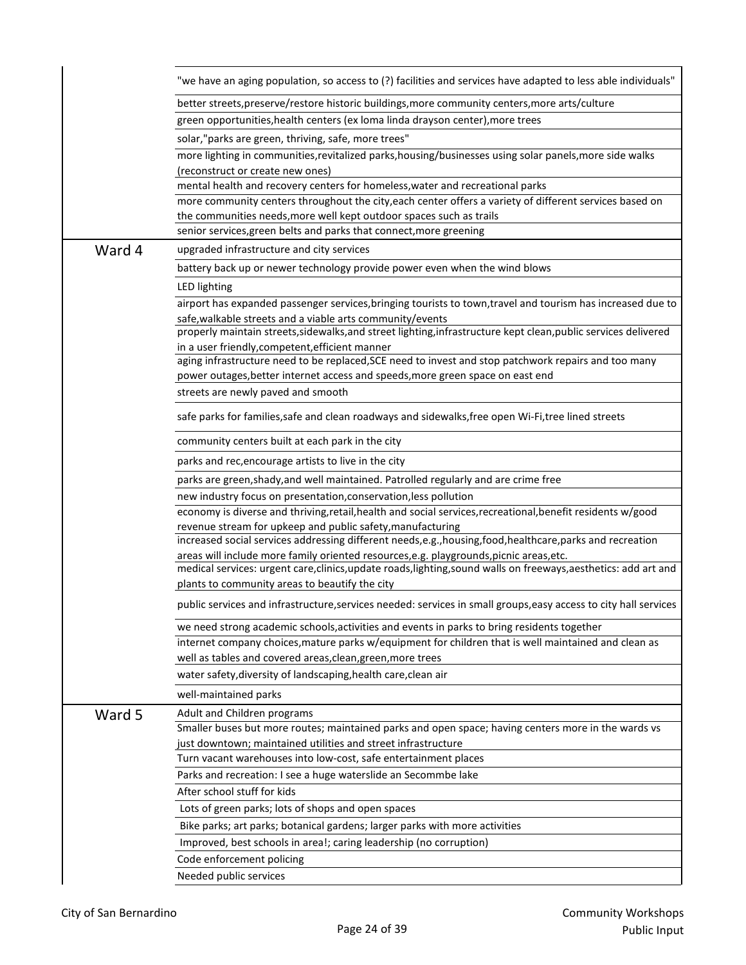|        | "we have an aging population, so access to (?) facilities and services have adapted to less able individuals"                                                                                               |
|--------|-------------------------------------------------------------------------------------------------------------------------------------------------------------------------------------------------------------|
|        | better streets, preserve/restore historic buildings, more community centers, more arts/culture                                                                                                              |
|        | green opportunities, health centers (ex loma linda drayson center), more trees                                                                                                                              |
|        | solar,"parks are green, thriving, safe, more trees"                                                                                                                                                         |
|        | more lighting in communities, revitalized parks, housing/businesses using solar panels, more side walks                                                                                                     |
|        | (reconstruct or create new ones)                                                                                                                                                                            |
|        | mental health and recovery centers for homeless, water and recreational parks                                                                                                                               |
|        | more community centers throughout the city, each center offers a variety of different services based on                                                                                                     |
|        | the communities needs, more well kept outdoor spaces such as trails                                                                                                                                         |
|        | senior services, green belts and parks that connect, more greening                                                                                                                                          |
| Ward 4 | upgraded infrastructure and city services                                                                                                                                                                   |
|        | battery back up or newer technology provide power even when the wind blows                                                                                                                                  |
|        | LED lighting                                                                                                                                                                                                |
|        | airport has expanded passenger services, bringing tourists to town, travel and tourism has increased due to                                                                                                 |
|        | safe, walkable streets and a viable arts community/events                                                                                                                                                   |
|        | properly maintain streets, sidewalks, and street lighting, infrastructure kept clean, public services delivered<br>in a user friendly, competent, efficient manner                                          |
|        | aging infrastructure need to be replaced, SCE need to invest and stop patchwork repairs and too many                                                                                                        |
|        | power outages, better internet access and speeds, more green space on east end                                                                                                                              |
|        | streets are newly paved and smooth                                                                                                                                                                          |
|        | safe parks for families, safe and clean roadways and sidewalks, free open Wi-Fi, tree lined streets                                                                                                         |
|        | community centers built at each park in the city                                                                                                                                                            |
|        | parks and rec, encourage artists to live in the city                                                                                                                                                        |
|        | parks are green, shady, and well maintained. Patrolled regularly and are crime free                                                                                                                         |
|        | new industry focus on presentation, conservation, less pollution                                                                                                                                            |
|        | economy is diverse and thriving, retail, health and social services, recreational, benefit residents w/good                                                                                                 |
|        | revenue stream for upkeep and public safety, manufacturing                                                                                                                                                  |
|        | increased social services addressing different needs, e.g., housing, food, healthcare, parks and recreation                                                                                                 |
|        | areas will include more family oriented resources, e.g. playgrounds, picnic areas, etc.<br>medical services: urgent care, clinics, update roads, lighting, sound walls on freeways, aesthetics: add art and |
|        | plants to community areas to beautify the city                                                                                                                                                              |
|        | public services and infrastructure, services needed: services in small groups, easy access to city hall services                                                                                            |
|        | we need strong academic schools, activities and events in parks to bring residents together                                                                                                                 |
|        | internet company choices, mature parks w/equipment for children that is well maintained and clean as                                                                                                        |
|        | well as tables and covered areas, clean, green, more trees                                                                                                                                                  |
|        | water safety, diversity of landscaping, health care, clean air                                                                                                                                              |
|        | well-maintained parks                                                                                                                                                                                       |
| Ward 5 | Adult and Children programs                                                                                                                                                                                 |
|        | Smaller buses but more routes; maintained parks and open space; having centers more in the wards vs                                                                                                         |
|        | just downtown; maintained utilities and street infrastructure<br>Turn vacant warehouses into low-cost, safe entertainment places                                                                            |
|        | Parks and recreation: I see a huge waterslide an Secommbe lake                                                                                                                                              |
|        | After school stuff for kids                                                                                                                                                                                 |
|        |                                                                                                                                                                                                             |
|        | Lots of green parks; lots of shops and open spaces                                                                                                                                                          |
|        | Bike parks; art parks; botanical gardens; larger parks with more activities                                                                                                                                 |
|        | Improved, best schools in area!; caring leadership (no corruption)                                                                                                                                          |
|        | Code enforcement policing                                                                                                                                                                                   |
|        | Needed public services                                                                                                                                                                                      |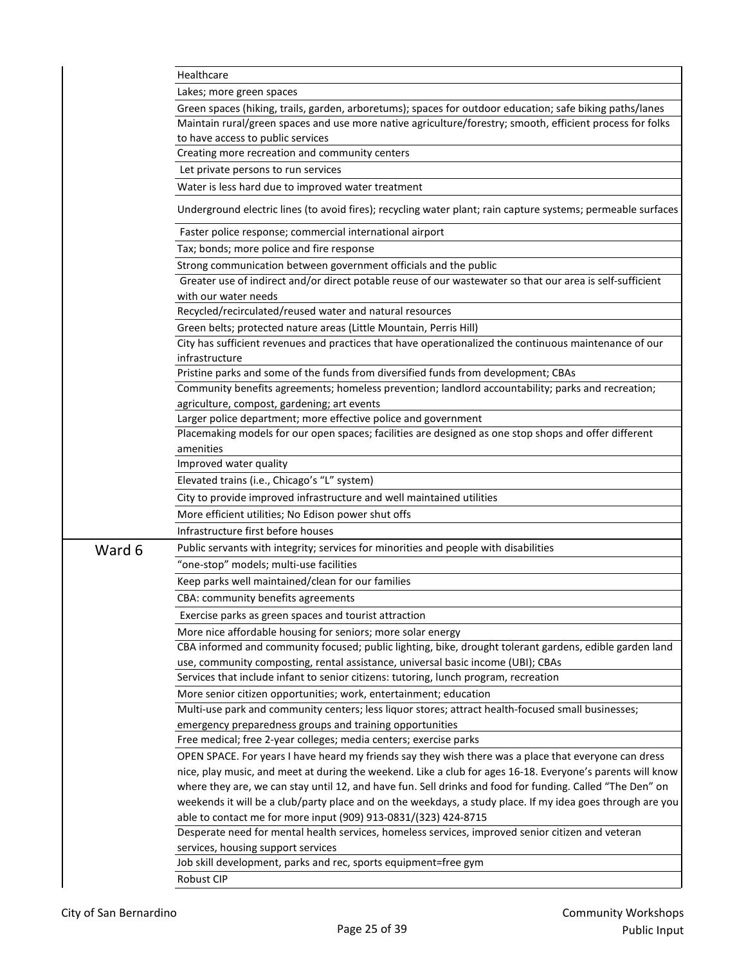|        | Healthcare                                                                                                                                                               |
|--------|--------------------------------------------------------------------------------------------------------------------------------------------------------------------------|
|        | Lakes; more green spaces                                                                                                                                                 |
|        | Green spaces (hiking, trails, garden, arboretums); spaces for outdoor education; safe biking paths/lanes                                                                 |
|        | Maintain rural/green spaces and use more native agriculture/forestry; smooth, efficient process for folks                                                                |
|        | to have access to public services                                                                                                                                        |
|        | Creating more recreation and community centers                                                                                                                           |
|        | Let private persons to run services                                                                                                                                      |
|        | Water is less hard due to improved water treatment                                                                                                                       |
|        | Underground electric lines (to avoid fires); recycling water plant; rain capture systems; permeable surfaces                                                             |
|        | Faster police response; commercial international airport                                                                                                                 |
|        | Tax; bonds; more police and fire response                                                                                                                                |
|        | Strong communication between government officials and the public                                                                                                         |
|        | Greater use of indirect and/or direct potable reuse of our wastewater so that our area is self-sufficient                                                                |
|        | with our water needs                                                                                                                                                     |
|        | Recycled/recirculated/reused water and natural resources                                                                                                                 |
|        | Green belts; protected nature areas (Little Mountain, Perris Hill)                                                                                                       |
|        | City has sufficient revenues and practices that have operationalized the continuous maintenance of our                                                                   |
|        | infrastructure                                                                                                                                                           |
|        | Pristine parks and some of the funds from diversified funds from development; CBAs                                                                                       |
|        | Community benefits agreements; homeless prevention; landlord accountability; parks and recreation;                                                                       |
|        | agriculture, compost, gardening; art events                                                                                                                              |
|        | Larger police department; more effective police and government                                                                                                           |
|        | Placemaking models for our open spaces; facilities are designed as one stop shops and offer different                                                                    |
|        | amenities                                                                                                                                                                |
|        | Improved water quality                                                                                                                                                   |
|        | Elevated trains (i.e., Chicago's "L" system)                                                                                                                             |
|        | City to provide improved infrastructure and well maintained utilities                                                                                                    |
|        | More efficient utilities; No Edison power shut offs                                                                                                                      |
|        | Infrastructure first before houses                                                                                                                                       |
| Ward 6 | Public servants with integrity; services for minorities and people with disabilities                                                                                     |
|        | "one-stop" models; multi-use facilities                                                                                                                                  |
|        | Keep parks well maintained/clean for our families                                                                                                                        |
|        | CBA: community benefits agreements                                                                                                                                       |
|        |                                                                                                                                                                          |
|        | Exercise parks as green spaces and tourist attraction                                                                                                                    |
|        | More nice affordable housing for seniors; more solar energy                                                                                                              |
|        | CBA informed and community focused; public lighting, bike, drought tolerant gardens, edible garden land                                                                  |
|        | use, community composting, rental assistance, universal basic income (UBI); CBAs<br>Services that include infant to senior citizens: tutoring, lunch program, recreation |
|        | More senior citizen opportunities; work, entertainment; education                                                                                                        |
|        | Multi-use park and community centers; less liquor stores; attract health-focused small businesses;                                                                       |
|        | emergency preparedness groups and training opportunities                                                                                                                 |
|        | Free medical; free 2-year colleges; media centers; exercise parks                                                                                                        |
|        | OPEN SPACE. For years I have heard my friends say they wish there was a place that everyone can dress                                                                    |
|        | nice, play music, and meet at during the weekend. Like a club for ages 16-18. Everyone's parents will know                                                               |
|        | where they are, we can stay until 12, and have fun. Sell drinks and food for funding. Called "The Den" on                                                                |
|        | weekends it will be a club/party place and on the weekdays, a study place. If my idea goes through are you                                                               |
|        | able to contact me for more input (909) 913-0831/(323) 424-8715                                                                                                          |
|        | Desperate need for mental health services, homeless services, improved senior citizen and veteran                                                                        |
|        | services, housing support services                                                                                                                                       |
|        | Job skill development, parks and rec, sports equipment=free gym                                                                                                          |
|        | Robust CIP                                                                                                                                                               |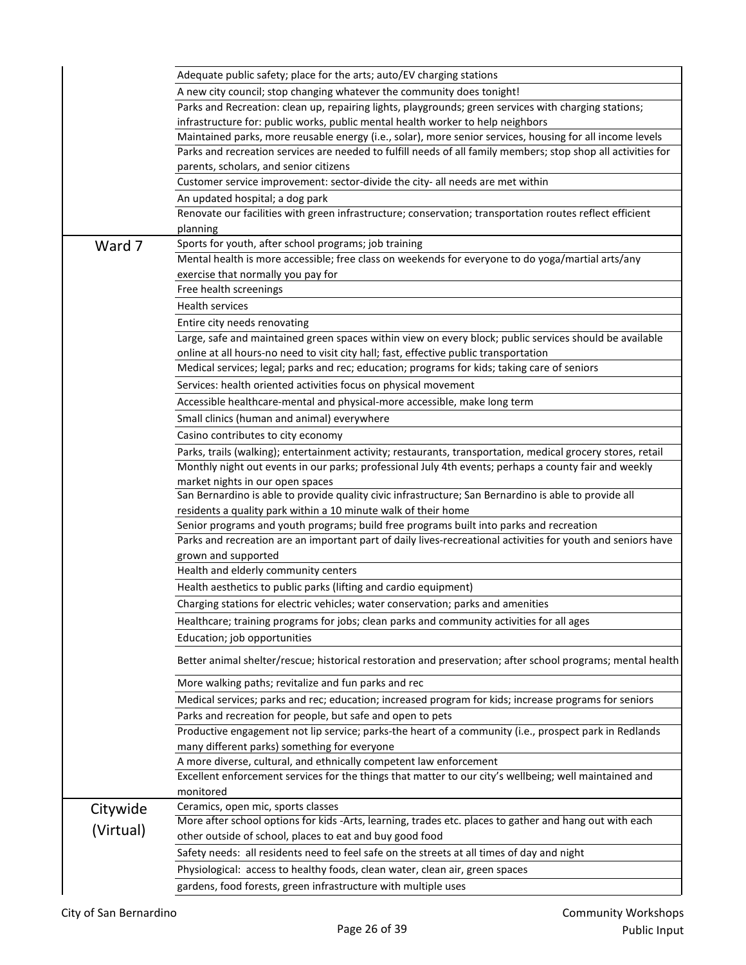|           | Adequate public safety; place for the arts; auto/EV charging stations                                                                                                                                                 |
|-----------|-----------------------------------------------------------------------------------------------------------------------------------------------------------------------------------------------------------------------|
|           | A new city council; stop changing whatever the community does tonight!                                                                                                                                                |
|           | Parks and Recreation: clean up, repairing lights, playgrounds; green services with charging stations;                                                                                                                 |
|           | infrastructure for: public works, public mental health worker to help neighbors                                                                                                                                       |
|           | Maintained parks, more reusable energy (i.e., solar), more senior services, housing for all income levels                                                                                                             |
|           | Parks and recreation services are needed to fulfill needs of all family members; stop shop all activities for                                                                                                         |
|           | parents, scholars, and senior citizens                                                                                                                                                                                |
|           | Customer service improvement: sector-divide the city- all needs are met within                                                                                                                                        |
|           | An updated hospital; a dog park                                                                                                                                                                                       |
|           | Renovate our facilities with green infrastructure; conservation; transportation routes reflect efficient                                                                                                              |
|           | planning                                                                                                                                                                                                              |
| Ward 7    | Sports for youth, after school programs; job training                                                                                                                                                                 |
|           | Mental health is more accessible; free class on weekends for everyone to do yoga/martial arts/any                                                                                                                     |
|           | exercise that normally you pay for                                                                                                                                                                                    |
|           | Free health screenings                                                                                                                                                                                                |
|           | Health services                                                                                                                                                                                                       |
|           | Entire city needs renovating                                                                                                                                                                                          |
|           | Large, safe and maintained green spaces within view on every block; public services should be available                                                                                                               |
|           | online at all hours-no need to visit city hall; fast, effective public transportation                                                                                                                                 |
|           | Medical services; legal; parks and rec; education; programs for kids; taking care of seniors                                                                                                                          |
|           | Services: health oriented activities focus on physical movement                                                                                                                                                       |
|           | Accessible healthcare-mental and physical-more accessible, make long term                                                                                                                                             |
|           | Small clinics (human and animal) everywhere                                                                                                                                                                           |
|           | Casino contributes to city economy                                                                                                                                                                                    |
|           |                                                                                                                                                                                                                       |
|           | Parks, trails (walking); entertainment activity; restaurants, transportation, medical grocery stores, retail<br>Monthly night out events in our parks; professional July 4th events; perhaps a county fair and weekly |
|           | market nights in our open spaces                                                                                                                                                                                      |
|           | San Bernardino is able to provide quality civic infrastructure; San Bernardino is able to provide all                                                                                                                 |
|           | residents a quality park within a 10 minute walk of their home                                                                                                                                                        |
|           | Senior programs and youth programs; build free programs built into parks and recreation                                                                                                                               |
|           | Parks and recreation are an important part of daily lives-recreational activities for youth and seniors have                                                                                                          |
|           | grown and supported                                                                                                                                                                                                   |
|           | Health and elderly community centers                                                                                                                                                                                  |
|           | Health aesthetics to public parks (lifting and cardio equipment)                                                                                                                                                      |
|           | Charging stations for electric vehicles; water conservation; parks and amenities                                                                                                                                      |
|           | Healthcare; training programs for jobs; clean parks and community activities for all ages                                                                                                                             |
|           | Education; job opportunities                                                                                                                                                                                          |
|           |                                                                                                                                                                                                                       |
|           | Better animal shelter/rescue; historical restoration and preservation; after school programs; mental health                                                                                                           |
|           | More walking paths; revitalize and fun parks and rec                                                                                                                                                                  |
|           | Medical services; parks and rec; education; increased program for kids; increase programs for seniors                                                                                                                 |
|           | Parks and recreation for people, but safe and open to pets                                                                                                                                                            |
|           | Productive engagement not lip service; parks-the heart of a community (i.e., prospect park in Redlands                                                                                                                |
|           | many different parks) something for everyone                                                                                                                                                                          |
|           | A more diverse, cultural, and ethnically competent law enforcement                                                                                                                                                    |
|           | Excellent enforcement services for the things that matter to our city's wellbeing; well maintained and                                                                                                                |
|           | monitored                                                                                                                                                                                                             |
| Citywide  | Ceramics, open mic, sports classes                                                                                                                                                                                    |
| (Virtual) | More after school options for kids -Arts, learning, trades etc. places to gather and hang out with each                                                                                                               |
|           | other outside of school, places to eat and buy good food                                                                                                                                                              |
|           | Safety needs: all residents need to feel safe on the streets at all times of day and night                                                                                                                            |
|           | Physiological: access to healthy foods, clean water, clean air, green spaces                                                                                                                                          |
|           | gardens, food forests, green infrastructure with multiple uses                                                                                                                                                        |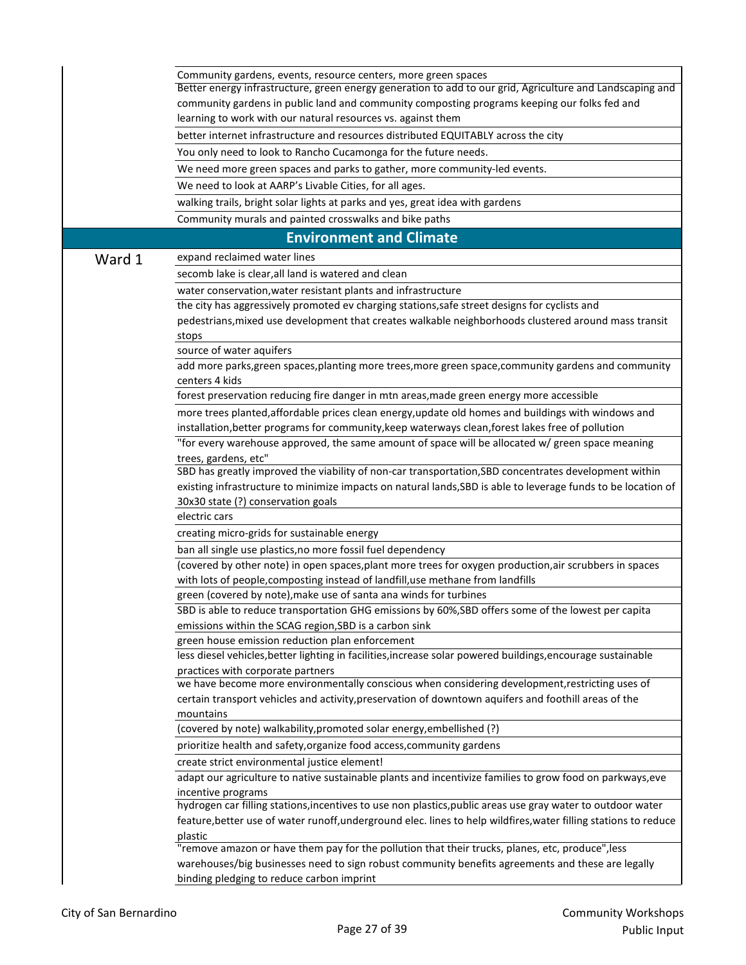|        | Community gardens, events, resource centers, more green spaces                                                                                                                                        |
|--------|-------------------------------------------------------------------------------------------------------------------------------------------------------------------------------------------------------|
|        | Better energy infrastructure, green energy generation to add to our grid, Agriculture and Landscaping and                                                                                             |
|        | community gardens in public land and community composting programs keeping our folks fed and                                                                                                          |
|        | learning to work with our natural resources vs. against them                                                                                                                                          |
|        | better internet infrastructure and resources distributed EQUITABLY across the city                                                                                                                    |
|        | You only need to look to Rancho Cucamonga for the future needs.                                                                                                                                       |
|        | We need more green spaces and parks to gather, more community-led events.                                                                                                                             |
|        | We need to look at AARP's Livable Cities, for all ages.                                                                                                                                               |
|        | walking trails, bright solar lights at parks and yes, great idea with gardens                                                                                                                         |
|        | Community murals and painted crosswalks and bike paths                                                                                                                                                |
|        | <b>Environment and Climate</b>                                                                                                                                                                        |
| Ward 1 | expand reclaimed water lines                                                                                                                                                                          |
|        | secomb lake is clear, all land is watered and clean                                                                                                                                                   |
|        | water conservation, water resistant plants and infrastructure                                                                                                                                         |
|        | the city has aggressively promoted ev charging stations, safe street designs for cyclists and                                                                                                         |
|        | pedestrians, mixed use development that creates walkable neighborhoods clustered around mass transit                                                                                                  |
|        | stops                                                                                                                                                                                                 |
|        | source of water aquifers                                                                                                                                                                              |
|        | add more parks, green spaces, planting more trees, more green space, community gardens and community                                                                                                  |
|        | centers 4 kids                                                                                                                                                                                        |
|        | forest preservation reducing fire danger in mtn areas, made green energy more accessible                                                                                                              |
|        | more trees planted, affordable prices clean energy, update old homes and buildings with windows and                                                                                                   |
|        | installation, better programs for community, keep waterways clean, forest lakes free of pollution                                                                                                     |
|        | "for every warehouse approved, the same amount of space will be allocated w/ green space meaning                                                                                                      |
|        | trees, gardens, etc"<br>SBD has greatly improved the viability of non-car transportation, SBD concentrates development within                                                                         |
|        | existing infrastructure to minimize impacts on natural lands, SBD is able to leverage funds to be location of                                                                                         |
|        | 30x30 state (?) conservation goals                                                                                                                                                                    |
|        | electric cars                                                                                                                                                                                         |
|        | creating micro-grids for sustainable energy                                                                                                                                                           |
|        | ban all single use plastics, no more fossil fuel dependency                                                                                                                                           |
|        | (covered by other note) in open spaces, plant more trees for oxygen production, air scrubbers in spaces                                                                                               |
|        | with lots of people, composting instead of landfill, use methane from landfills                                                                                                                       |
|        | green (covered by note), make use of santa ana winds for turbines                                                                                                                                     |
|        | SBD is able to reduce transportation GHG emissions by 60%, SBD offers some of the lowest per capita                                                                                                   |
|        | emissions within the SCAG region, SBD is a carbon sink                                                                                                                                                |
|        | green house emission reduction plan enforcement                                                                                                                                                       |
|        | less diesel vehicles, better lighting in facilities, increase solar powered buildings, encourage sustainable                                                                                          |
|        | practices with corporate partners<br>we have become more environmentally conscious when considering development, restricting uses of                                                                  |
|        | certain transport vehicles and activity, preservation of downtown aquifers and foothill areas of the                                                                                                  |
|        | mountains                                                                                                                                                                                             |
|        | (covered by note) walkability, promoted solar energy, embellished (?)                                                                                                                                 |
|        | prioritize health and safety, organize food access, community gardens                                                                                                                                 |
|        | create strict environmental justice element!                                                                                                                                                          |
|        | adapt our agriculture to native sustainable plants and incentivize families to grow food on parkways, eve                                                                                             |
|        | incentive programs                                                                                                                                                                                    |
|        | hydrogen car filling stations, incentives to use non plastics, public areas use gray water to outdoor water                                                                                           |
|        | feature, better use of water runoff, underground elec. lines to help wildfires, water filling stations to reduce                                                                                      |
|        | plastic                                                                                                                                                                                               |
|        | "remove amazon or have them pay for the pollution that their trucks, planes, etc, produce", less<br>warehouses/big businesses need to sign robust community benefits agreements and these are legally |
|        | binding pledging to reduce carbon imprint                                                                                                                                                             |
|        |                                                                                                                                                                                                       |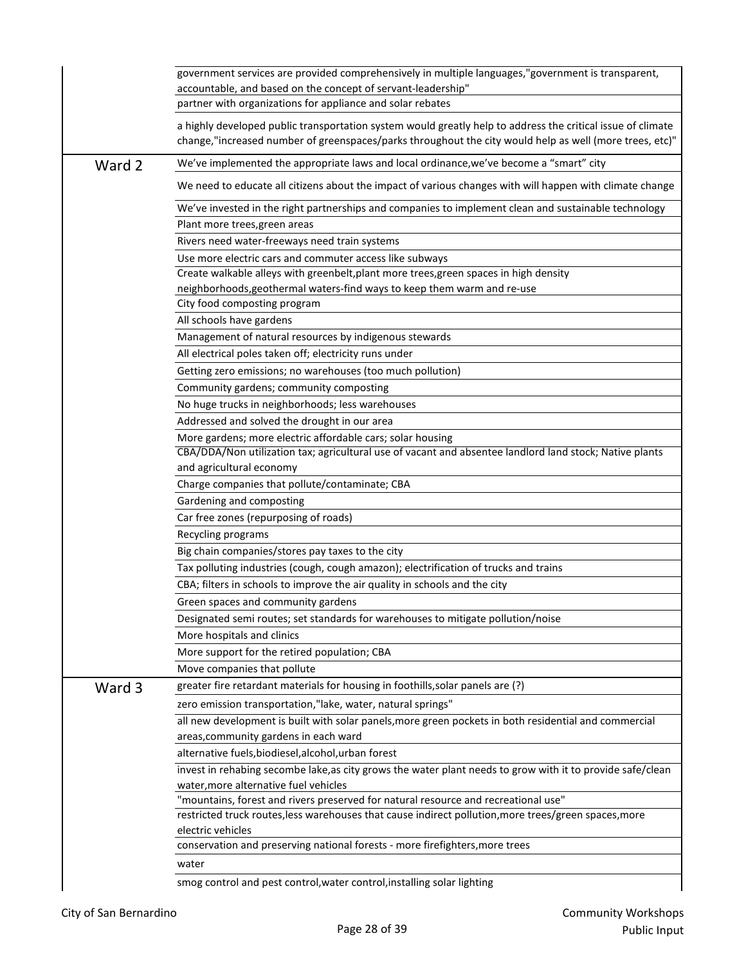|        | government services are provided comprehensively in multiple languages,"government is transparent,<br>accountable, and based on the concept of servant-leadership"<br>partner with organizations for appliance and solar rebates |
|--------|----------------------------------------------------------------------------------------------------------------------------------------------------------------------------------------------------------------------------------|
|        | a highly developed public transportation system would greatly help to address the critical issue of climate<br>change,"increased number of greenspaces/parks throughout the city would help as well (more trees, etc)"           |
| Ward 2 | We've implemented the appropriate laws and local ordinance, we've become a "smart" city                                                                                                                                          |
|        | We need to educate all citizens about the impact of various changes with will happen with climate change                                                                                                                         |
|        | We've invested in the right partnerships and companies to implement clean and sustainable technology<br>Plant more trees, green areas                                                                                            |
|        | Rivers need water-freeways need train systems                                                                                                                                                                                    |
|        | Use more electric cars and commuter access like subways                                                                                                                                                                          |
|        | Create walkable alleys with greenbelt, plant more trees, green spaces in high density                                                                                                                                            |
|        | neighborhoods, geothermal waters-find ways to keep them warm and re-use                                                                                                                                                          |
|        | City food composting program                                                                                                                                                                                                     |
|        | All schools have gardens                                                                                                                                                                                                         |
|        | Management of natural resources by indigenous stewards                                                                                                                                                                           |
|        | All electrical poles taken off; electricity runs under                                                                                                                                                                           |
|        | Getting zero emissions; no warehouses (too much pollution)                                                                                                                                                                       |
|        | Community gardens; community composting                                                                                                                                                                                          |
|        | No huge trucks in neighborhoods; less warehouses                                                                                                                                                                                 |
|        | Addressed and solved the drought in our area                                                                                                                                                                                     |
|        | More gardens; more electric affordable cars; solar housing                                                                                                                                                                       |
|        | CBA/DDA/Non utilization tax; agricultural use of vacant and absentee landlord land stock; Native plants                                                                                                                          |
|        | and agricultural economy                                                                                                                                                                                                         |
|        | Charge companies that pollute/contaminate; CBA                                                                                                                                                                                   |
|        | Gardening and composting                                                                                                                                                                                                         |
|        | Car free zones (repurposing of roads)                                                                                                                                                                                            |
|        | Recycling programs                                                                                                                                                                                                               |
|        |                                                                                                                                                                                                                                  |
|        | Big chain companies/stores pay taxes to the city                                                                                                                                                                                 |
|        | Tax polluting industries (cough, cough amazon); electrification of trucks and trains                                                                                                                                             |
|        | CBA; filters in schools to improve the air quality in schools and the city                                                                                                                                                       |
|        | Green spaces and community gardens                                                                                                                                                                                               |
|        | Designated semi routes; set standards for warehouses to mitigate pollution/noise                                                                                                                                                 |
|        | More hospitals and clinics                                                                                                                                                                                                       |
|        | More support for the retired population; CBA                                                                                                                                                                                     |
|        | Move companies that pollute                                                                                                                                                                                                      |
| Ward 3 | greater fire retardant materials for housing in foothills, solar panels are (?)                                                                                                                                                  |
|        | zero emission transportation,"lake, water, natural springs"                                                                                                                                                                      |
|        | all new development is built with solar panels, more green pockets in both residential and commercial                                                                                                                            |
|        | areas, community gardens in each ward                                                                                                                                                                                            |
|        | alternative fuels, biodiesel, alcohol, urban forest                                                                                                                                                                              |
|        | invest in rehabing secombe lake, as city grows the water plant needs to grow with it to provide safe/clean<br>water, more alternative fuel vehicles                                                                              |
|        | "mountains, forest and rivers preserved for natural resource and recreational use"                                                                                                                                               |
|        | restricted truck routes, less warehouses that cause indirect pollution, more trees/green spaces, more                                                                                                                            |
|        | electric vehicles                                                                                                                                                                                                                |
|        | conservation and preserving national forests - more firefighters, more trees                                                                                                                                                     |
|        | water                                                                                                                                                                                                                            |
|        | smog control and pest control, water control, installing solar lighting                                                                                                                                                          |
|        |                                                                                                                                                                                                                                  |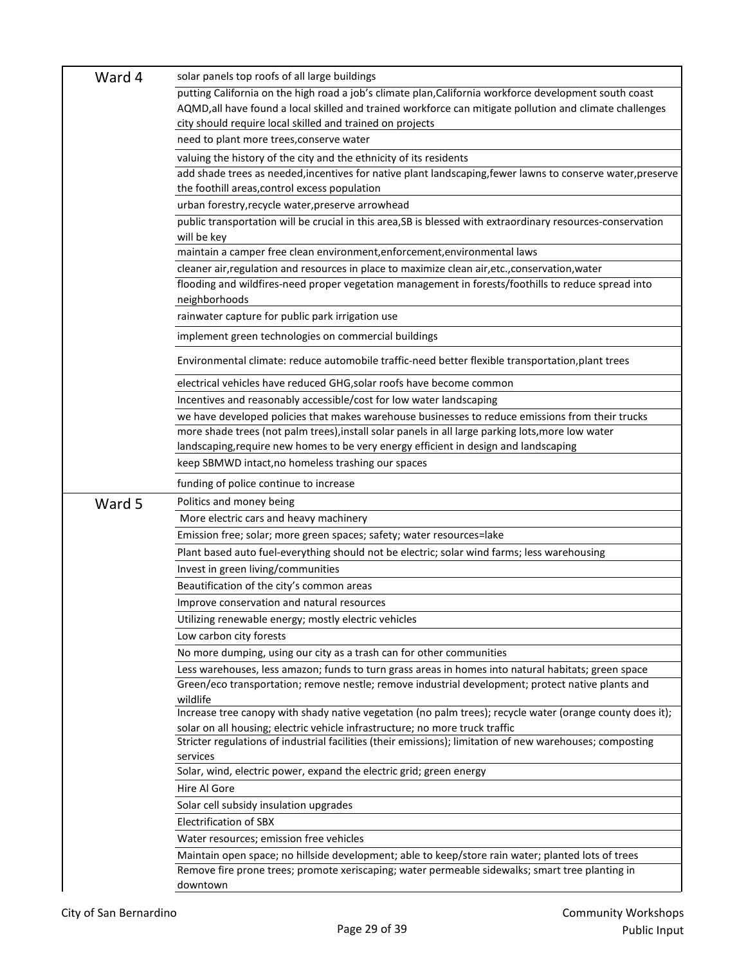| Ward 4 | solar panels top roofs of all large buildings                                                                                                                                             |
|--------|-------------------------------------------------------------------------------------------------------------------------------------------------------------------------------------------|
|        | putting California on the high road a job's climate plan, California workforce development south coast                                                                                    |
|        | AQMD, all have found a local skilled and trained workforce can mitigate pollution and climate challenges                                                                                  |
|        | city should require local skilled and trained on projects                                                                                                                                 |
|        | need to plant more trees, conserve water                                                                                                                                                  |
|        | valuing the history of the city and the ethnicity of its residents                                                                                                                        |
|        | add shade trees as needed, incentives for native plant landscaping, fewer lawns to conserve water, preserve                                                                               |
|        | the foothill areas, control excess population                                                                                                                                             |
|        | urban forestry, recycle water, preserve arrowhead                                                                                                                                         |
|        | public transportation will be crucial in this area, SB is blessed with extraordinary resources-conservation                                                                               |
|        | will be key                                                                                                                                                                               |
|        | maintain a camper free clean environment, enforcement, environmental laws                                                                                                                 |
|        | cleaner air, regulation and resources in place to maximize clean air, etc., conservation, water                                                                                           |
|        | flooding and wildfires-need proper vegetation management in forests/foothills to reduce spread into                                                                                       |
|        | neighborhoods                                                                                                                                                                             |
|        | rainwater capture for public park irrigation use                                                                                                                                          |
|        | implement green technologies on commercial buildings                                                                                                                                      |
|        | Environmental climate: reduce automobile traffic-need better flexible transportation, plant trees                                                                                         |
|        | electrical vehicles have reduced GHG, solar roofs have become common                                                                                                                      |
|        | Incentives and reasonably accessible/cost for low water landscaping                                                                                                                       |
|        | we have developed policies that makes warehouse businesses to reduce emissions from their trucks                                                                                          |
|        | more shade trees (not palm trees),install solar panels in all large parking lots,more low water                                                                                           |
|        | landscaping, require new homes to be very energy efficient in design and landscaping                                                                                                      |
|        |                                                                                                                                                                                           |
|        | keep SBMWD intact, no homeless trashing our spaces                                                                                                                                        |
|        | funding of police continue to increase                                                                                                                                                    |
|        | Politics and money being                                                                                                                                                                  |
| Ward 5 | More electric cars and heavy machinery                                                                                                                                                    |
|        | Emission free; solar; more green spaces; safety; water resources=lake                                                                                                                     |
|        | Plant based auto fuel-everything should not be electric; solar wind farms; less warehousing                                                                                               |
|        |                                                                                                                                                                                           |
|        | Invest in green living/communities                                                                                                                                                        |
|        | Beautification of the city's common areas                                                                                                                                                 |
|        | Improve conservation and natural resources                                                                                                                                                |
|        | Utilizing renewable energy; mostly electric vehicles                                                                                                                                      |
|        | Low carbon city forests                                                                                                                                                                   |
|        | No more dumping, using our city as a trash can for other communities                                                                                                                      |
|        | Less warehouses, less amazon; funds to turn grass areas in homes into natural habitats; green space                                                                                       |
|        | Green/eco transportation; remove nestle; remove industrial development; protect native plants and                                                                                         |
|        | wildlife                                                                                                                                                                                  |
|        | Increase tree canopy with shady native vegetation (no palm trees); recycle water (orange county does it);<br>solar on all housing; electric vehicle infrastructure; no more truck traffic |
|        | Stricter regulations of industrial facilities (their emissions); limitation of new warehouses; composting                                                                                 |
|        | services                                                                                                                                                                                  |
|        | Solar, wind, electric power, expand the electric grid; green energy                                                                                                                       |
|        | Hire Al Gore                                                                                                                                                                              |
|        | Solar cell subsidy insulation upgrades                                                                                                                                                    |
|        | <b>Electrification of SBX</b>                                                                                                                                                             |
|        | Water resources; emission free vehicles                                                                                                                                                   |
|        | Maintain open space; no hillside development; able to keep/store rain water; planted lots of trees                                                                                        |
|        | Remove fire prone trees; promote xeriscaping; water permeable sidewalks; smart tree planting in                                                                                           |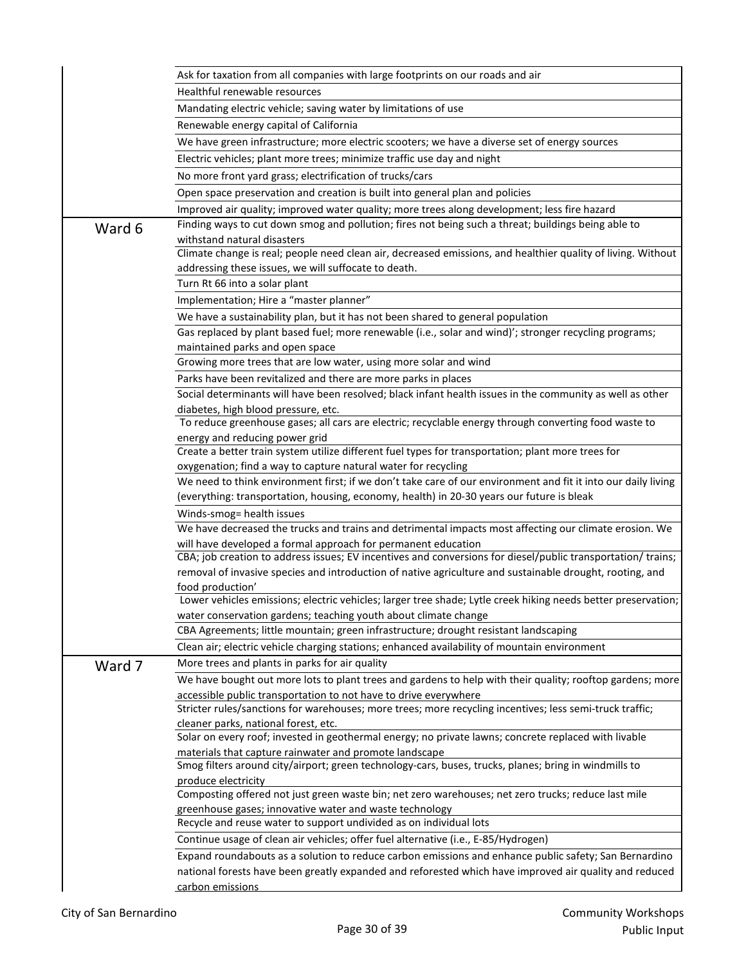|        | Ask for taxation from all companies with large footprints on our roads and air                                                                                                |
|--------|-------------------------------------------------------------------------------------------------------------------------------------------------------------------------------|
|        | Healthful renewable resources                                                                                                                                                 |
|        | Mandating electric vehicle; saving water by limitations of use                                                                                                                |
|        | Renewable energy capital of California                                                                                                                                        |
|        | We have green infrastructure; more electric scooters; we have a diverse set of energy sources                                                                                 |
|        | Electric vehicles; plant more trees; minimize traffic use day and night                                                                                                       |
|        | No more front yard grass; electrification of trucks/cars                                                                                                                      |
|        | Open space preservation and creation is built into general plan and policies                                                                                                  |
|        | Improved air quality; improved water quality; more trees along development; less fire hazard                                                                                  |
|        | Finding ways to cut down smog and pollution; fires not being such a threat; buildings being able to                                                                           |
| Ward 6 | withstand natural disasters                                                                                                                                                   |
|        | Climate change is real; people need clean air, decreased emissions, and healthier quality of living. Without                                                                  |
|        | addressing these issues, we will suffocate to death.                                                                                                                          |
|        | Turn Rt 66 into a solar plant                                                                                                                                                 |
|        | Implementation; Hire a "master planner"                                                                                                                                       |
|        | We have a sustainability plan, but it has not been shared to general population                                                                                               |
|        | Gas replaced by plant based fuel; more renewable (i.e., solar and wind)'; stronger recycling programs;                                                                        |
|        | maintained parks and open space                                                                                                                                               |
|        | Growing more trees that are low water, using more solar and wind                                                                                                              |
|        | Parks have been revitalized and there are more parks in places                                                                                                                |
|        | Social determinants will have been resolved; black infant health issues in the community as well as other                                                                     |
|        | diabetes, high blood pressure, etc.                                                                                                                                           |
|        | To reduce greenhouse gases; all cars are electric; recyclable energy through converting food waste to                                                                         |
|        | energy and reducing power grid                                                                                                                                                |
|        | Create a better train system utilize different fuel types for transportation; plant more trees for                                                                            |
|        | oxygenation; find a way to capture natural water for recycling                                                                                                                |
|        | We need to think environment first; if we don't take care of our environment and fit it into our daily living                                                                 |
|        | (everything: transportation, housing, economy, health) in 20-30 years our future is bleak                                                                                     |
|        | Winds-smog= health issues                                                                                                                                                     |
|        | We have decreased the trucks and trains and detrimental impacts most affecting our climate erosion. We                                                                        |
|        | will have developed a formal approach for permanent education<br>CBA; job creation to address issues; EV incentives and conversions for diesel/public transportation/ trains; |
|        | removal of invasive species and introduction of native agriculture and sustainable drought, rooting, and                                                                      |
|        | food production'                                                                                                                                                              |
|        | Lower vehicles emissions; electric vehicles; larger tree shade; Lytle creek hiking needs better preservation;                                                                 |
|        | water conservation gardens; teaching youth about climate change                                                                                                               |
|        | CBA Agreements; little mountain; green infrastructure; drought resistant landscaping                                                                                          |
|        | Clean air; electric vehicle charging stations; enhanced availability of mountain environment                                                                                  |
| Ward 7 | More trees and plants in parks for air quality                                                                                                                                |
|        | We have bought out more lots to plant trees and gardens to help with their quality; rooftop gardens; more                                                                     |
|        | accessible public transportation to not have to drive everywhere                                                                                                              |
|        | Stricter rules/sanctions for warehouses; more trees; more recycling incentives; less semi-truck traffic;                                                                      |
|        | cleaner parks, national forest, etc.                                                                                                                                          |
|        | Solar on every roof; invested in geothermal energy; no private lawns; concrete replaced with livable                                                                          |
|        | materials that capture rainwater and promote landscape<br>Smog filters around city/airport; green technology-cars, buses, trucks, planes; bring in windmills to               |
|        | produce electricity                                                                                                                                                           |
|        | Composting offered not just green waste bin; net zero warehouses; net zero trucks; reduce last mile                                                                           |
|        | greenhouse gases; innovative water and waste technology                                                                                                                       |
|        | Recycle and reuse water to support undivided as on individual lots                                                                                                            |
|        | Continue usage of clean air vehicles; offer fuel alternative (i.e., E-85/Hydrogen)                                                                                            |
|        | Expand roundabouts as a solution to reduce carbon emissions and enhance public safety; San Bernardino                                                                         |
|        | national forests have been greatly expanded and reforested which have improved air quality and reduced                                                                        |
|        | carbon emissions                                                                                                                                                              |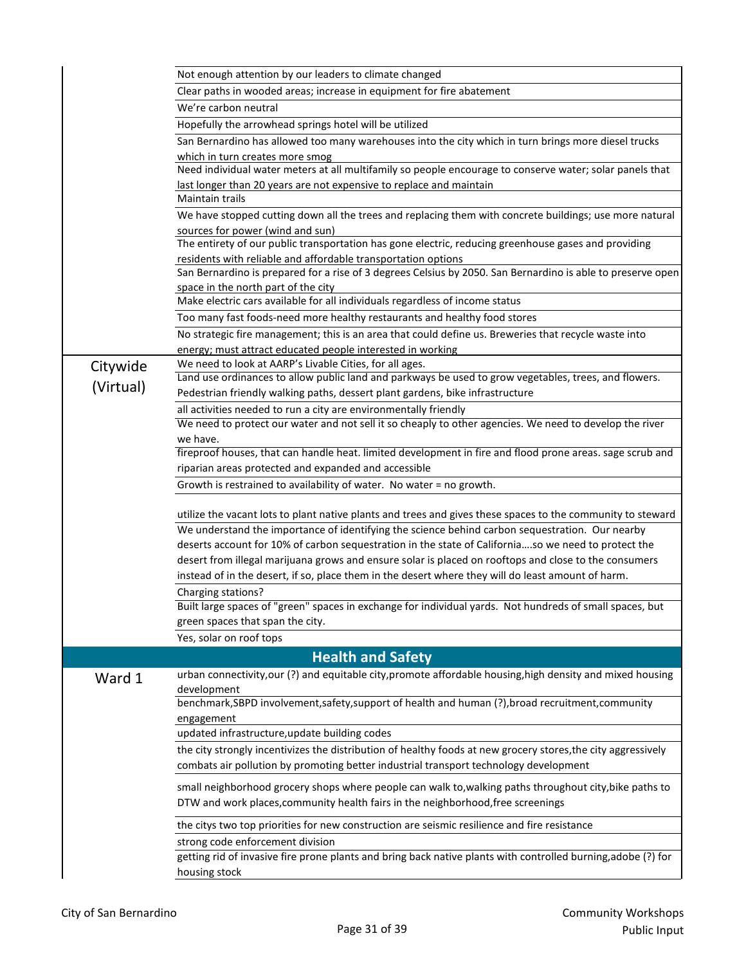|           | Not enough attention by our leaders to climate changed                                                                                                                       |
|-----------|------------------------------------------------------------------------------------------------------------------------------------------------------------------------------|
|           | Clear paths in wooded areas; increase in equipment for fire abatement                                                                                                        |
|           | We're carbon neutral                                                                                                                                                         |
|           | Hopefully the arrowhead springs hotel will be utilized                                                                                                                       |
|           | San Bernardino has allowed too many warehouses into the city which in turn brings more diesel trucks                                                                         |
|           | which in turn creates more smog                                                                                                                                              |
|           | Need individual water meters at all multifamily so people encourage to conserve water; solar panels that                                                                     |
|           | last longer than 20 years are not expensive to replace and maintain                                                                                                          |
|           | <b>Maintain trails</b>                                                                                                                                                       |
|           | We have stopped cutting down all the trees and replacing them with concrete buildings; use more natural                                                                      |
|           | sources for power (wind and sun)                                                                                                                                             |
|           | The entirety of our public transportation has gone electric, reducing greenhouse gases and providing                                                                         |
|           | residents with reliable and affordable transportation options<br>San Bernardino is prepared for a rise of 3 degrees Celsius by 2050. San Bernardino is able to preserve open |
|           | space in the north part of the city                                                                                                                                          |
|           | Make electric cars available for all individuals regardless of income status                                                                                                 |
|           | Too many fast foods-need more healthy restaurants and healthy food stores                                                                                                    |
|           | No strategic fire management; this is an area that could define us. Breweries that recycle waste into                                                                        |
|           | energy; must attract educated people interested in working                                                                                                                   |
| Citywide  | We need to look at AARP's Livable Cities, for all ages.                                                                                                                      |
|           | Land use ordinances to allow public land and parkways be used to grow vegetables, trees, and flowers.                                                                        |
| (Virtual) | Pedestrian friendly walking paths, dessert plant gardens, bike infrastructure                                                                                                |
|           | all activities needed to run a city are environmentally friendly                                                                                                             |
|           | We need to protect our water and not sell it so cheaply to other agencies. We need to develop the river                                                                      |
|           | we have.                                                                                                                                                                     |
|           | fireproof houses, that can handle heat. limited development in fire and flood prone areas. sage scrub and                                                                    |
|           | riparian areas protected and expanded and accessible                                                                                                                         |
|           | Growth is restrained to availability of water. No water = no growth.                                                                                                         |
|           | utilize the vacant lots to plant native plants and trees and gives these spaces to the community to steward                                                                  |
|           | We understand the importance of identifying the science behind carbon sequestration. Our nearby                                                                              |
|           | deserts account for 10% of carbon sequestration in the state of Californiaso we need to protect the                                                                          |
|           | desert from illegal marijuana grows and ensure solar is placed on rooftops and close to the consumers                                                                        |
|           | instead of in the desert, if so, place them in the desert where they will do least amount of harm.                                                                           |
|           | Charging stations?                                                                                                                                                           |
|           | Built large spaces of "green" spaces in exchange for individual yards. Not hundreds of small spaces, but                                                                     |
|           | green spaces that span the city.                                                                                                                                             |
|           | Yes, solar on roof tops                                                                                                                                                      |
|           | <b>Health and Safety</b>                                                                                                                                                     |
| Ward 1    | urban connectivity, our (?) and equitable city, promote affordable housing, high density and mixed housing                                                                   |
|           | development                                                                                                                                                                  |
|           | benchmark, SBPD involvement, safety, support of health and human (?), broad recruitment, community                                                                           |
|           | engagement                                                                                                                                                                   |
|           | updated infrastructure, update building codes                                                                                                                                |
|           | the city strongly incentivizes the distribution of healthy foods at new grocery stores, the city aggressively                                                                |
|           | combats air pollution by promoting better industrial transport technology development                                                                                        |
|           | small neighborhood grocery shops where people can walk to, walking paths throughout city, bike paths to                                                                      |
|           | DTW and work places, community health fairs in the neighborhood, free screenings                                                                                             |
|           | the citys two top priorities for new construction are seismic resilience and fire resistance                                                                                 |
|           | strong code enforcement division                                                                                                                                             |
|           | getting rid of invasive fire prone plants and bring back native plants with controlled burning, adobe (?) for                                                                |
|           | housing stock                                                                                                                                                                |
|           |                                                                                                                                                                              |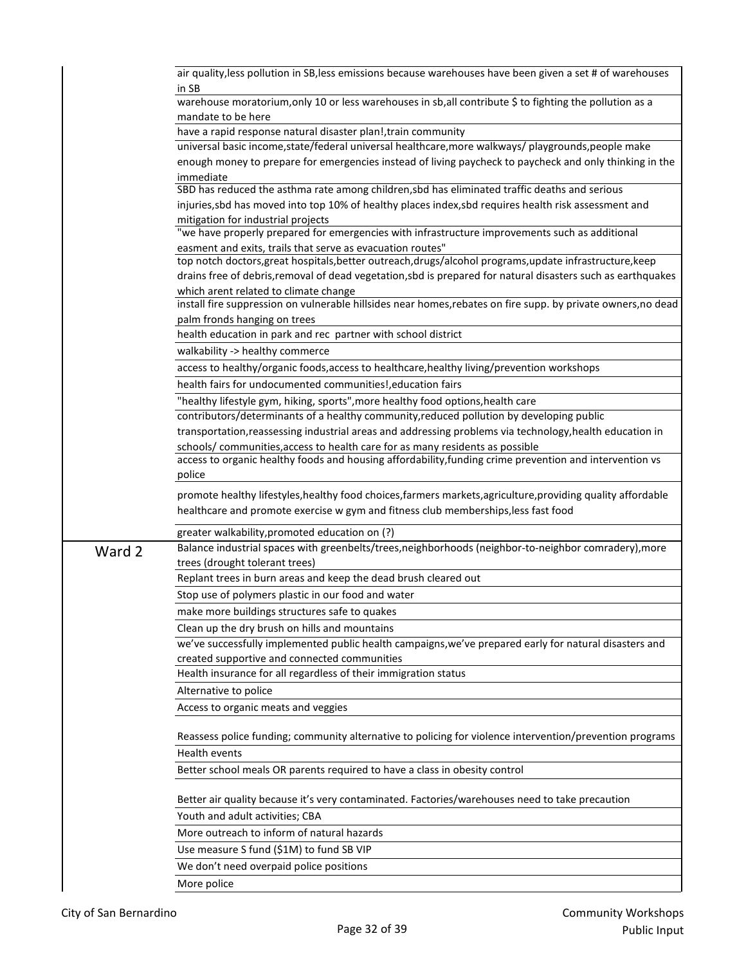|        | air quality, less pollution in SB, less emissions because warehouses have been given a set # of warehouses    |
|--------|---------------------------------------------------------------------------------------------------------------|
|        | in SB                                                                                                         |
|        | warehouse moratorium, only 10 or less warehouses in sb, all contribute \$ to fighting the pollution as a      |
|        | mandate to be here                                                                                            |
|        | have a rapid response natural disaster plan!, train community                                                 |
|        | universal basic income, state/federal universal healthcare, more walkways/ playgrounds, people make           |
|        | enough money to prepare for emergencies instead of living paycheck to paycheck and only thinking in the       |
|        | immediate<br>SBD has reduced the asthma rate among children, sbd has eliminated traffic deaths and serious    |
|        | injuries, sbd has moved into top 10% of healthy places index, sbd requires health risk assessment and         |
|        | mitigation for industrial projects                                                                            |
|        | "we have properly prepared for emergencies with infrastructure improvements such as additional                |
|        | easment and exits, trails that serve as evacuation routes"                                                    |
|        | top notch doctors, great hospitals, better outreach, drugs/alcohol programs, update infrastructure, keep      |
|        | drains free of debris, removal of dead vegetation, sbd is prepared for natural disasters such as earthquakes  |
|        | which arent related to climate change                                                                         |
|        | install fire suppression on vulnerable hillsides near homes, rebates on fire supp. by private owners, no dead |
|        | palm fronds hanging on trees                                                                                  |
|        | health education in park and rec partner with school district                                                 |
|        | walkability -> healthy commerce                                                                               |
|        | access to healthy/organic foods, access to healthcare, healthy living/prevention workshops                    |
|        | health fairs for undocumented communities!, education fairs                                                   |
|        | "healthy lifestyle gym, hiking, sports", more healthy food options, health care                               |
|        | contributors/determinants of a healthy community, reduced pollution by developing public                      |
|        | transportation, reassessing industrial areas and addressing problems via technology, health education in      |
|        | schools/ communities, access to health care for as many residents as possible                                 |
|        | access to organic healthy foods and housing affordability, funding crime prevention and intervention vs       |
|        | police                                                                                                        |
|        | promote healthy lifestyles, healthy food choices, farmers markets, agriculture, providing quality affordable  |
|        | healthcare and promote exercise w gym and fitness club memberships, less fast food                            |
|        | greater walkability, promoted education on (?)                                                                |
|        | Balance industrial spaces with greenbelts/trees,neighborhoods (neighbor-to-neighbor comradery), more          |
| Ward 2 | trees (drought tolerant trees)                                                                                |
|        | Replant trees in burn areas and keep the dead brush cleared out                                               |
|        | Stop use of polymers plastic in our food and water                                                            |
|        | make more buildings structures safe to quakes                                                                 |
|        | Clean up the dry brush on hills and mountains                                                                 |
|        | we've successfully implemented public health campaigns, we've prepared early for natural disasters and        |
|        | created supportive and connected communities                                                                  |
|        | Health insurance for all regardless of their immigration status                                               |
|        |                                                                                                               |
|        | Alternative to police                                                                                         |
|        | Access to organic meats and veggies                                                                           |
|        | Reassess police funding; community alternative to policing for violence intervention/prevention programs      |
|        | Health events                                                                                                 |
|        |                                                                                                               |
|        | Better school meals OR parents required to have a class in obesity control                                    |
|        | Better air quality because it's very contaminated. Factories/warehouses need to take precaution               |
|        | Youth and adult activities; CBA                                                                               |
|        | More outreach to inform of natural hazards                                                                    |
|        |                                                                                                               |
|        | Use measure S fund (\$1M) to fund SB VIP                                                                      |
|        | We don't need overpaid police positions                                                                       |
|        | More police                                                                                                   |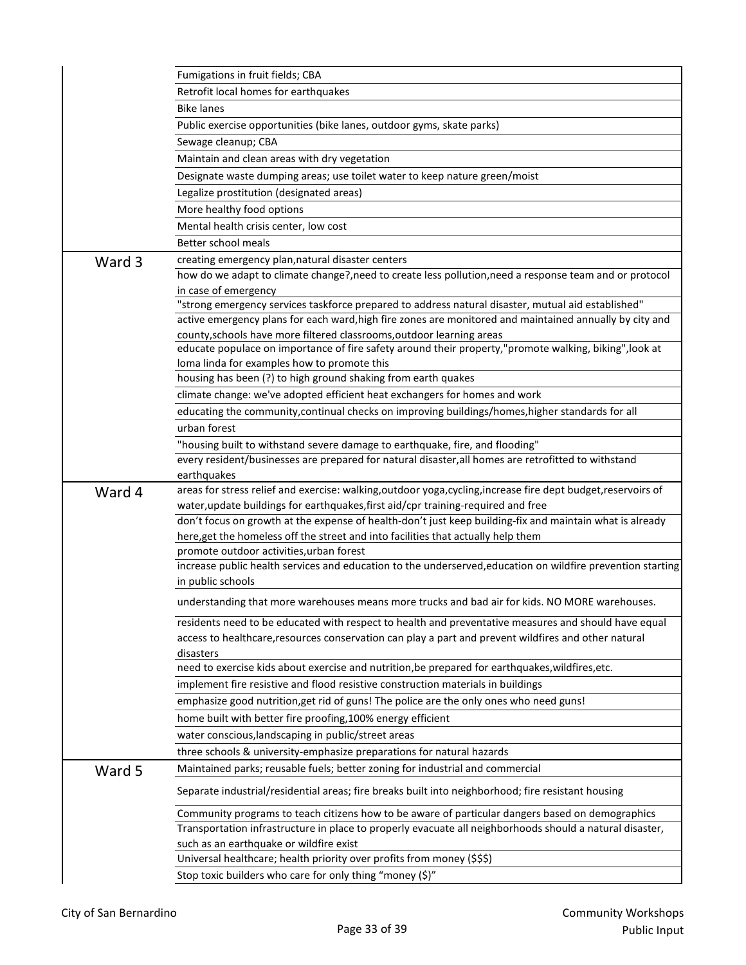|        | Fumigations in fruit fields; CBA                                                                                                                                                                             |
|--------|--------------------------------------------------------------------------------------------------------------------------------------------------------------------------------------------------------------|
|        | Retrofit local homes for earthquakes                                                                                                                                                                         |
|        | <b>Bike lanes</b>                                                                                                                                                                                            |
|        | Public exercise opportunities (bike lanes, outdoor gyms, skate parks)                                                                                                                                        |
|        | Sewage cleanup; CBA                                                                                                                                                                                          |
|        | Maintain and clean areas with dry vegetation                                                                                                                                                                 |
|        | Designate waste dumping areas; use toilet water to keep nature green/moist                                                                                                                                   |
|        | Legalize prostitution (designated areas)                                                                                                                                                                     |
|        | More healthy food options                                                                                                                                                                                    |
|        | Mental health crisis center, low cost                                                                                                                                                                        |
|        | Better school meals                                                                                                                                                                                          |
| Ward 3 | creating emergency plan, natural disaster centers                                                                                                                                                            |
|        | how do we adapt to climate change?, need to create less pollution, need a response team and or protocol                                                                                                      |
|        | in case of emergency                                                                                                                                                                                         |
|        | "strong emergency services taskforce prepared to address natural disaster, mutual aid established"                                                                                                           |
|        | active emergency plans for each ward, high fire zones are monitored and maintained annually by city and                                                                                                      |
|        | county, schools have more filtered classrooms, outdoor learning areas                                                                                                                                        |
|        | educate populace on importance of fire safety around their property,"promote walking, biking", look at                                                                                                       |
|        | loma linda for examples how to promote this                                                                                                                                                                  |
|        | housing has been (?) to high ground shaking from earth quakes                                                                                                                                                |
|        | climate change: we've adopted efficient heat exchangers for homes and work                                                                                                                                   |
|        | educating the community, continual checks on improving buildings/homes, higher standards for all                                                                                                             |
|        | urban forest                                                                                                                                                                                                 |
|        | "housing built to withstand severe damage to earthquake, fire, and flooding"                                                                                                                                 |
|        | every resident/businesses are prepared for natural disaster, all homes are retrofitted to withstand                                                                                                          |
|        | earthquakes<br>areas for stress relief and exercise: walking, outdoor yoga, cycling, increase fire dept budget, reservoirs of                                                                                |
| Ward 4 | water, update buildings for earthquakes, first aid/cpr training-required and free                                                                                                                            |
|        | don't focus on growth at the expense of health-don't just keep building-fix and maintain what is already                                                                                                     |
|        | here, get the homeless off the street and into facilities that actually help them                                                                                                                            |
|        | promote outdoor activities, urban forest                                                                                                                                                                     |
|        | increase public health services and education to the underserved, education on wildfire prevention starting                                                                                                  |
|        | in public schools                                                                                                                                                                                            |
|        | understanding that more warehouses means more trucks and bad air for kids. NO MORE warehouses.                                                                                                               |
|        |                                                                                                                                                                                                              |
|        | residents need to be educated with respect to health and preventative measures and should have equal<br>access to healthcare, resources conservation can play a part and prevent wildfires and other natural |
|        | disasters                                                                                                                                                                                                    |
|        | need to exercise kids about exercise and nutrition, be prepared for earthquakes, wildfires, etc.                                                                                                             |
|        | implement fire resistive and flood resistive construction materials in buildings                                                                                                                             |
|        | emphasize good nutrition, get rid of guns! The police are the only ones who need guns!                                                                                                                       |
|        | home built with better fire proofing, 100% energy efficient                                                                                                                                                  |
|        | water conscious, landscaping in public/street areas                                                                                                                                                          |
|        | three schools & university-emphasize preparations for natural hazards                                                                                                                                        |
|        | Maintained parks; reusable fuels; better zoning for industrial and commercial                                                                                                                                |
| Ward 5 |                                                                                                                                                                                                              |
|        | Separate industrial/residential areas; fire breaks built into neighborhood; fire resistant housing                                                                                                           |
|        | Community programs to teach citizens how to be aware of particular dangers based on demographics                                                                                                             |
|        | Transportation infrastructure in place to properly evacuate all neighborhoods should a natural disaster,                                                                                                     |
|        | such as an earthquake or wildfire exist                                                                                                                                                                      |
|        | Universal healthcare; health priority over profits from money (\$\$\$)                                                                                                                                       |
|        | Stop toxic builders who care for only thing "money (\$)"                                                                                                                                                     |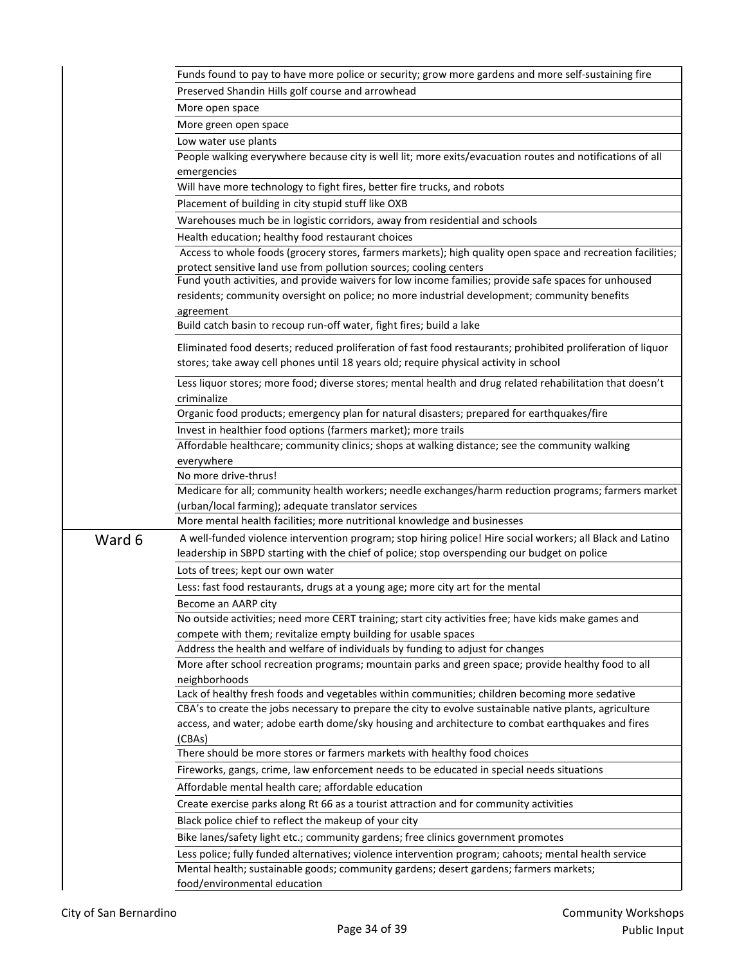|        | Funds found to pay to have more police or security; grow more gardens and more self-sustaining fire                                                                                            |
|--------|------------------------------------------------------------------------------------------------------------------------------------------------------------------------------------------------|
|        | Preserved Shandin Hills golf course and arrowhead                                                                                                                                              |
|        | More open space                                                                                                                                                                                |
|        | More green open space                                                                                                                                                                          |
|        | Low water use plants                                                                                                                                                                           |
|        | People walking everywhere because city is well lit; more exits/evacuation routes and notifications of all                                                                                      |
|        | emergencies                                                                                                                                                                                    |
|        | Will have more technology to fight fires, better fire trucks, and robots                                                                                                                       |
|        | Placement of building in city stupid stuff like OXB                                                                                                                                            |
|        | Warehouses much be in logistic corridors, away from residential and schools                                                                                                                    |
|        | Health education; healthy food restaurant choices                                                                                                                                              |
|        | Access to whole foods (grocery stores, farmers markets); high quality open space and recreation facilities;                                                                                    |
|        | protect sensitive land use from pollution sources; cooling centers                                                                                                                             |
|        | Fund youth activities, and provide waivers for low income families; provide safe spaces for unhoused                                                                                           |
|        | residents; community oversight on police; no more industrial development; community benefits                                                                                                   |
|        | agreement                                                                                                                                                                                      |
|        | Build catch basin to recoup run-off water, fight fires; build a lake                                                                                                                           |
|        | Eliminated food deserts; reduced proliferation of fast food restaurants; prohibited proliferation of liquor                                                                                    |
|        | stores; take away cell phones until 18 years old; require physical activity in school                                                                                                          |
|        | Less liquor stores; more food; diverse stores; mental health and drug related rehabilitation that doesn't<br>criminalize                                                                       |
|        | Organic food products; emergency plan for natural disasters; prepared for earthquakes/fire                                                                                                     |
|        | Invest in healthier food options (farmers market); more trails                                                                                                                                 |
|        | Affordable healthcare; community clinics; shops at walking distance; see the community walking                                                                                                 |
|        | everywhere                                                                                                                                                                                     |
|        | No more drive-thrus!                                                                                                                                                                           |
|        | Medicare for all; community health workers; needle exchanges/harm reduction programs; farmers market                                                                                           |
|        | (urban/local farming); adequate translator services                                                                                                                                            |
|        | More mental health facilities; more nutritional knowledge and businesses                                                                                                                       |
| Ward 6 | A well-funded violence intervention program; stop hiring police! Hire social workers; all Black and Latino                                                                                     |
|        | leadership in SBPD starting with the chief of police; stop overspending our budget on police                                                                                                   |
|        | Lots of trees; kept our own water                                                                                                                                                              |
|        | Less: fast food restaurants, drugs at a young age; more city art for the mental                                                                                                                |
|        | Become an AARP city                                                                                                                                                                            |
|        | No outside activities; need more CERT training; start city activities free; have kids make games and                                                                                           |
|        | compete with them; revitalize empty building for usable spaces                                                                                                                                 |
|        | Address the health and welfare of individuals by funding to adjust for changes                                                                                                                 |
|        | More after school recreation programs; mountain parks and green space; provide healthy food to all                                                                                             |
|        | neighborhoods                                                                                                                                                                                  |
|        | Lack of healthy fresh foods and vegetables within communities; children becoming more sedative                                                                                                 |
|        | CBA's to create the jobs necessary to prepare the city to evolve sustainable native plants, agriculture                                                                                        |
|        | access, and water; adobe earth dome/sky housing and architecture to combat earthquakes and fires<br>(CBAs)                                                                                     |
|        | There should be more stores or farmers markets with healthy food choices                                                                                                                       |
|        | Fireworks, gangs, crime, law enforcement needs to be educated in special needs situations                                                                                                      |
|        | Affordable mental health care; affordable education                                                                                                                                            |
|        |                                                                                                                                                                                                |
|        | Create exercise parks along Rt 66 as a tourist attraction and for community activities                                                                                                         |
|        | Black police chief to reflect the makeup of your city                                                                                                                                          |
|        | Bike lanes/safety light etc.; community gardens; free clinics government promotes                                                                                                              |
|        | Less police; fully funded alternatives; violence intervention program; cahoots; mental health service<br>Mental health; sustainable goods; community gardens; desert gardens; farmers markets; |
|        | food/environmental education                                                                                                                                                                   |
|        |                                                                                                                                                                                                |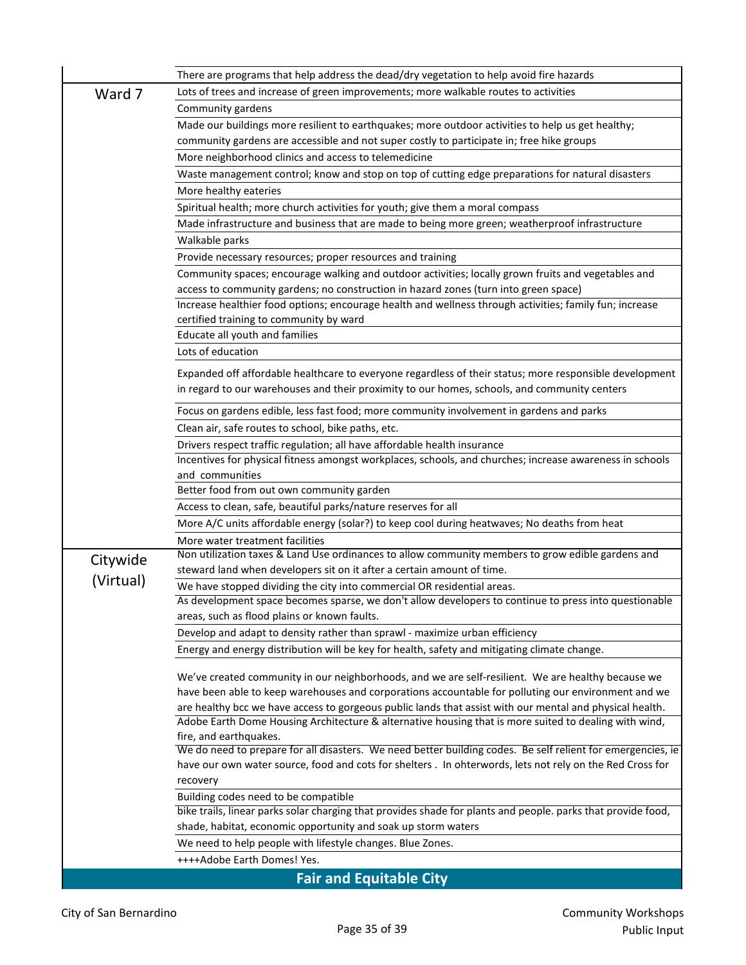|           | There are programs that help address the dead/dry vegetation to help avoid fire hazards                                                                                     |
|-----------|-----------------------------------------------------------------------------------------------------------------------------------------------------------------------------|
| Ward 7    | Lots of trees and increase of green improvements; more walkable routes to activities                                                                                        |
|           | Community gardens                                                                                                                                                           |
|           | Made our buildings more resilient to earthquakes; more outdoor activities to help us get healthy;                                                                           |
|           | community gardens are accessible and not super costly to participate in; free hike groups                                                                                   |
|           | More neighborhood clinics and access to telemedicine                                                                                                                        |
|           | Waste management control; know and stop on top of cutting edge preparations for natural disasters                                                                           |
|           | More healthy eateries                                                                                                                                                       |
|           | Spiritual health; more church activities for youth; give them a moral compass                                                                                               |
|           | Made infrastructure and business that are made to being more green; weatherproof infrastructure                                                                             |
|           | Walkable parks                                                                                                                                                              |
|           | Provide necessary resources; proper resources and training                                                                                                                  |
|           | Community spaces; encourage walking and outdoor activities; locally grown fruits and vegetables and                                                                         |
|           | access to community gardens; no construction in hazard zones (turn into green space)                                                                                        |
|           | Increase healthier food options; encourage health and wellness through activities; family fun; increase                                                                     |
|           | certified training to community by ward                                                                                                                                     |
|           | Educate all youth and families                                                                                                                                              |
|           | Lots of education                                                                                                                                                           |
|           | Expanded off affordable healthcare to everyone regardless of their status; more responsible development                                                                     |
|           | in regard to our warehouses and their proximity to our homes, schools, and community centers                                                                                |
|           |                                                                                                                                                                             |
|           | Focus on gardens edible, less fast food; more community involvement in gardens and parks                                                                                    |
|           | Clean air, safe routes to school, bike paths, etc.                                                                                                                          |
|           | Drivers respect traffic regulation; all have affordable health insurance                                                                                                    |
|           | Incentives for physical fitness amongst workplaces, schools, and churches; increase awareness in schools                                                                    |
|           | and communities                                                                                                                                                             |
|           | Better food from out own community garden                                                                                                                                   |
|           | Access to clean, safe, beautiful parks/nature reserves for all                                                                                                              |
|           | More A/C units affordable energy (solar?) to keep cool during heatwaves; No deaths from heat                                                                                |
|           | More water treatment facilities                                                                                                                                             |
| Citywide  | Non utilization taxes & Land Use ordinances to allow community members to grow edible gardens and<br>steward land when developers sit on it after a certain amount of time. |
| (Virtual) | We have stopped dividing the city into commercial OR residential areas.                                                                                                     |
|           | As development space becomes sparse, we don't allow developers to continue to press into questionable                                                                       |
|           | areas, such as flood plains or known faults.                                                                                                                                |
|           | Develop and adapt to density rather than sprawl - maximize urban efficiency                                                                                                 |
|           | Energy and energy distribution will be key for health, safety and mitigating climate change.                                                                                |
|           |                                                                                                                                                                             |
|           | We've created community in our neighborhoods, and we are self-resilient. We are healthy because we                                                                          |
|           | have been able to keep warehouses and corporations accountable for polluting our environment and we                                                                         |
|           | are healthy bcc we have access to gorgeous public lands that assist with our mental and physical health.                                                                    |
|           | Adobe Earth Dome Housing Architecture & alternative housing that is more suited to dealing with wind,                                                                       |
|           | fire, and earthquakes.<br>We do need to prepare for all disasters. We need better building codes. Be self relient for emergencies, ie                                       |
|           | have our own water source, food and cots for shelters . In ohterwords, lets not rely on the Red Cross for                                                                   |
|           | recovery                                                                                                                                                                    |
|           | Building codes need to be compatible                                                                                                                                        |
|           | bike trails, linear parks solar charging that provides shade for plants and people. parks that provide food,                                                                |
|           | shade, habitat, economic opportunity and soak up storm waters                                                                                                               |
|           | We need to help people with lifestyle changes. Blue Zones.                                                                                                                  |
|           | ++++Adobe Earth Domes! Yes.                                                                                                                                                 |
|           | <b>Fair and Equitable City</b>                                                                                                                                              |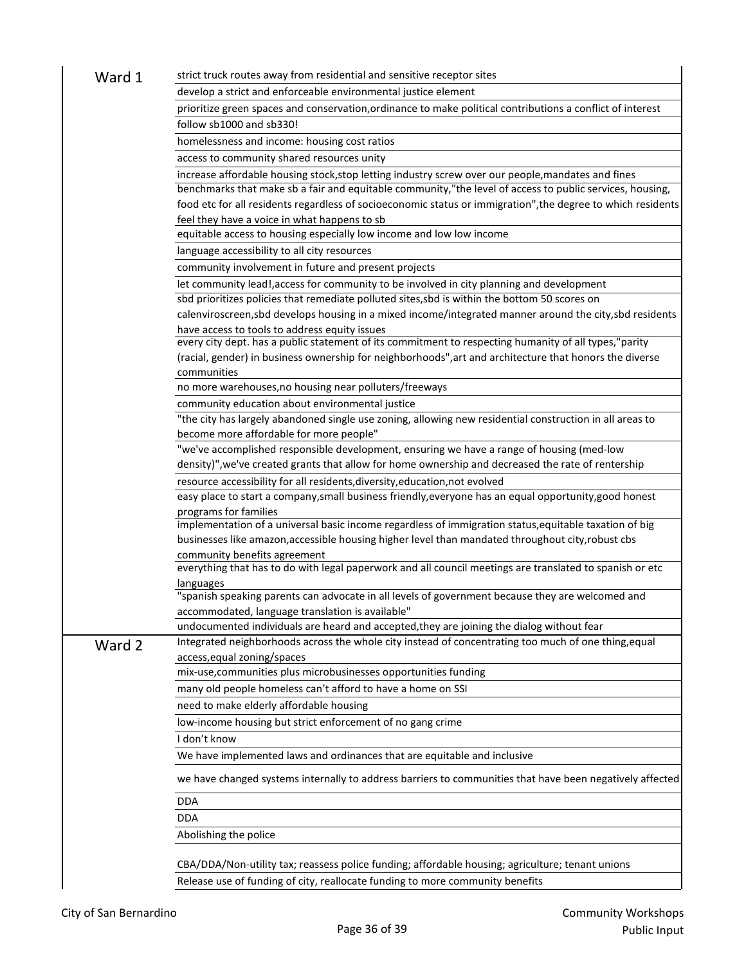| Ward 1 | strict truck routes away from residential and sensitive receptor sites                                       |
|--------|--------------------------------------------------------------------------------------------------------------|
|        | develop a strict and enforceable environmental justice element                                               |
|        | prioritize green spaces and conservation, ordinance to make political contributions a conflict of interest   |
|        | follow sb1000 and sb330!                                                                                     |
|        | homelessness and income: housing cost ratios                                                                 |
|        | access to community shared resources unity                                                                   |
|        | increase affordable housing stock, stop letting industry screw over our people, mandates and fines           |
|        | benchmarks that make sb a fair and equitable community,"the level of access to public services, housing,     |
|        | food etc for all residents regardless of socioeconomic status or immigration", the degree to which residents |
|        | feel they have a voice in what happens to sb                                                                 |
|        | equitable access to housing especially low income and low low income                                         |
|        | language accessibility to all city resources                                                                 |
|        | community involvement in future and present projects                                                         |
|        | let community lead!, access for community to be involved in city planning and development                    |
|        | sbd prioritizes policies that remediate polluted sites, sbd is within the bottom 50 scores on                |
|        | calenviroscreen, sbd develops housing in a mixed income/integrated manner around the city, sbd residents     |
|        | have access to tools to address equity issues                                                                |
|        | every city dept. has a public statement of its commitment to respecting humanity of all types,"parity        |
|        | (racial, gender) in business ownership for neighborhoods", art and architecture that honors the diverse      |
|        | communities                                                                                                  |
|        | no more warehouses, no housing near polluters/freeways                                                       |
|        | community education about environmental justice                                                              |
|        | "the city has largely abandoned single use zoning, allowing new residential construction in all areas to     |
|        | become more affordable for more people"                                                                      |
|        | "we've accomplished responsible development, ensuring we have a range of housing (med-low                    |
|        | density)", we've created grants that allow for home ownership and decreased the rate of rentership           |
|        | resource accessibility for all residents, diversity, education, not evolved                                  |
|        | easy place to start a company, small business friendly, everyone has an equal opportunity, good honest       |
|        | programs for families                                                                                        |
|        | implementation of a universal basic income regardless of immigration status, equitable taxation of big       |
|        | businesses like amazon, accessible housing higher level than mandated throughout city, robust cbs            |
|        | community benefits agreement                                                                                 |
|        | everything that has to do with legal paperwork and all council meetings are translated to spanish or etc     |
|        | languages                                                                                                    |
|        | "spanish speaking parents can advocate in all levels of government because they are welcomed and             |
|        | accommodated, language translation is available"                                                             |
|        | undocumented individuals are heard and accepted, they are joining the dialog without fear                    |
| Ward 2 | Integrated neighborhoods across the whole city instead of concentrating too much of one thing, equal         |
|        | access, equal zoning/spaces                                                                                  |
|        | mix-use, communities plus microbusinesses opportunities funding                                              |
|        | many old people homeless can't afford to have a home on SSI                                                  |
|        | need to make elderly affordable housing                                                                      |
|        | low-income housing but strict enforcement of no gang crime                                                   |
|        | I don't know                                                                                                 |
|        | We have implemented laws and ordinances that are equitable and inclusive                                     |
|        | we have changed systems internally to address barriers to communities that have been negatively affected     |
|        | <b>DDA</b>                                                                                                   |
|        | <b>DDA</b>                                                                                                   |
|        | Abolishing the police                                                                                        |
|        |                                                                                                              |
|        | CBA/DDA/Non-utility tax; reassess police funding; affordable housing; agriculture; tenant unions             |
|        | Release use of funding of city, reallocate funding to more community benefits                                |
|        |                                                                                                              |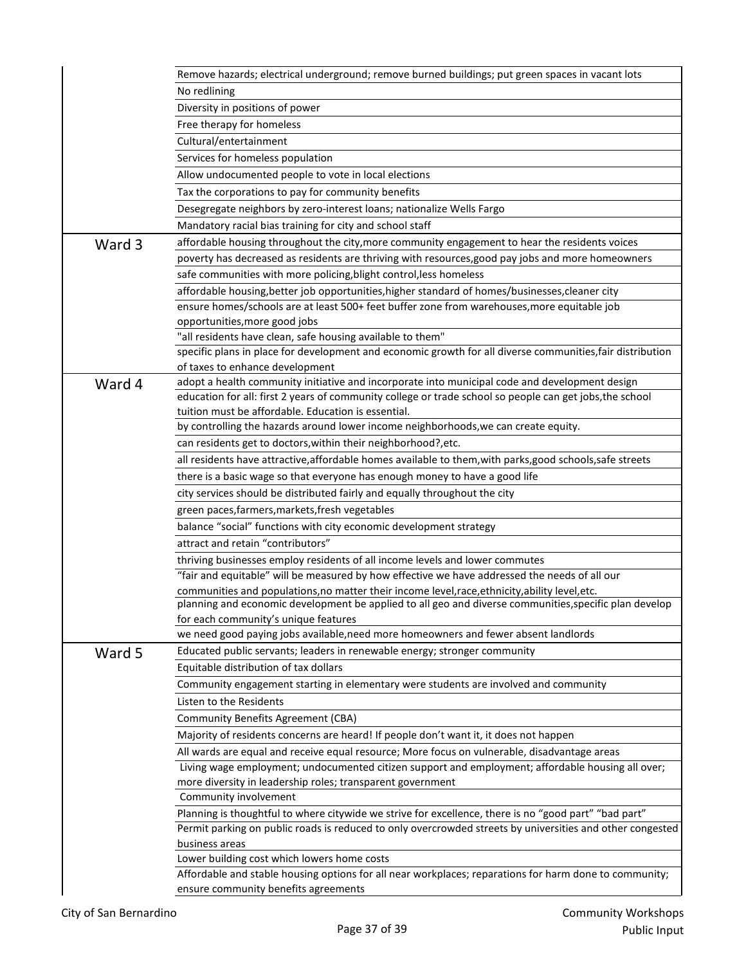|        | Remove hazards; electrical underground; remove burned buildings; put green spaces in vacant lots                                                                              |
|--------|-------------------------------------------------------------------------------------------------------------------------------------------------------------------------------|
|        | No redlining                                                                                                                                                                  |
|        | Diversity in positions of power                                                                                                                                               |
|        | Free therapy for homeless                                                                                                                                                     |
|        | Cultural/entertainment                                                                                                                                                        |
|        | Services for homeless population                                                                                                                                              |
|        | Allow undocumented people to vote in local elections                                                                                                                          |
|        | Tax the corporations to pay for community benefits                                                                                                                            |
|        | Desegregate neighbors by zero-interest loans; nationalize Wells Fargo                                                                                                         |
|        | Mandatory racial bias training for city and school staff                                                                                                                      |
| Ward 3 | affordable housing throughout the city, more community engagement to hear the residents voices                                                                                |
|        | poverty has decreased as residents are thriving with resources, good pay jobs and more homeowners                                                                             |
|        | safe communities with more policing, blight control, less homeless                                                                                                            |
|        | affordable housing, better job opportunities, higher standard of homes/businesses, cleaner city                                                                               |
|        | ensure homes/schools are at least 500+ feet buffer zone from warehouses, more equitable job                                                                                   |
|        | opportunities, more good jobs                                                                                                                                                 |
|        | "all residents have clean, safe housing available to them"                                                                                                                    |
|        | specific plans in place for development and economic growth for all diverse communities, fair distribution                                                                    |
|        | of taxes to enhance development                                                                                                                                               |
| Ward 4 | adopt a health community initiative and incorporate into municipal code and development design                                                                                |
|        | education for all: first 2 years of community college or trade school so people can get jobs, the school                                                                      |
|        | tuition must be affordable. Education is essential.<br>by controlling the hazards around lower income neighborhoods, we can create equity.                                    |
|        | can residents get to doctors, within their neighborhood?, etc.                                                                                                                |
|        | all residents have attractive, affordable homes available to them, with parks, good schools, safe streets                                                                     |
|        | there is a basic wage so that everyone has enough money to have a good life                                                                                                   |
|        | city services should be distributed fairly and equally throughout the city                                                                                                    |
|        |                                                                                                                                                                               |
|        | green paces, farmers, markets, fresh vegetables                                                                                                                               |
|        | balance "social" functions with city economic development strategy<br>attract and retain "contributors"                                                                       |
|        |                                                                                                                                                                               |
|        | thriving businesses employ residents of all income levels and lower commutes<br>"fair and equitable" will be measured by how effective we have addressed the needs of all our |
|        | communities and populations, no matter their income level, race, ethnicity, ability level, etc.                                                                               |
|        | planning and economic development be applied to all geo and diverse communities, specific plan develop                                                                        |
|        | for each community's unique features                                                                                                                                          |
|        | we need good paying jobs available, need more homeowners and fewer absent landlords                                                                                           |
| Ward 5 | Educated public servants; leaders in renewable energy; stronger community                                                                                                     |
|        | Equitable distribution of tax dollars                                                                                                                                         |
|        | Community engagement starting in elementary were students are involved and community                                                                                          |
|        | Listen to the Residents                                                                                                                                                       |
|        | <b>Community Benefits Agreement (CBA)</b>                                                                                                                                     |
|        | Majority of residents concerns are heard! If people don't want it, it does not happen                                                                                         |
|        | All wards are equal and receive equal resource; More focus on vulnerable, disadvantage areas                                                                                  |
|        | Living wage employment; undocumented citizen support and employment; affordable housing all over;                                                                             |
|        | more diversity in leadership roles; transparent government                                                                                                                    |
|        | Community involvement                                                                                                                                                         |
|        | Planning is thoughtful to where citywide we strive for excellence, there is no "good part" "bad part"                                                                         |
|        | Permit parking on public roads is reduced to only overcrowded streets by universities and other congested                                                                     |
|        | business areas                                                                                                                                                                |
|        | Lower building cost which lowers home costs                                                                                                                                   |
|        | Affordable and stable housing options for all near workplaces; reparations for harm done to community;                                                                        |
|        | ensure community benefits agreements                                                                                                                                          |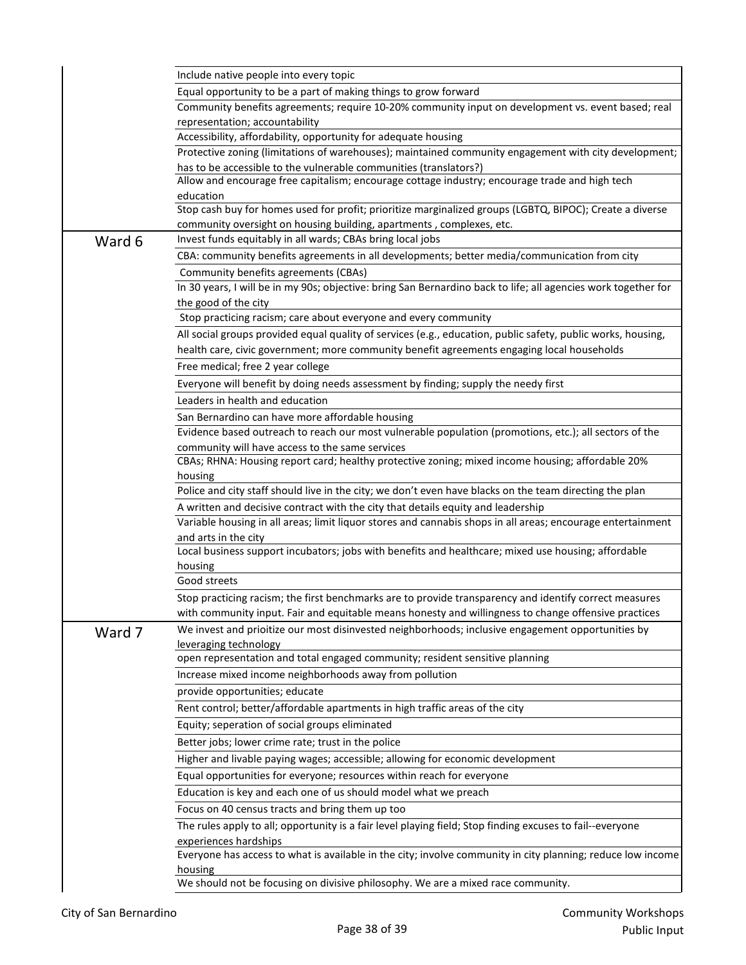|        | Include native people into every topic                                                                                |
|--------|-----------------------------------------------------------------------------------------------------------------------|
|        | Equal opportunity to be a part of making things to grow forward                                                       |
|        | Community benefits agreements; require 10-20% community input on development vs. event based; real                    |
|        | representation; accountability                                                                                        |
|        | Accessibility, affordability, opportunity for adequate housing                                                        |
|        | Protective zoning (limitations of warehouses); maintained community engagement with city development;                 |
|        | has to be accessible to the vulnerable communities (translators?)                                                     |
|        | Allow and encourage free capitalism; encourage cottage industry; encourage trade and high tech                        |
|        | education<br>Stop cash buy for homes used for profit; prioritize marginalized groups (LGBTQ, BIPOC); Create a diverse |
|        | community oversight on housing building, apartments, complexes, etc.                                                  |
|        | Invest funds equitably in all wards; CBAs bring local jobs                                                            |
| Ward 6 | CBA: community benefits agreements in all developments; better media/communication from city                          |
|        | Community benefits agreements (CBAs)                                                                                  |
|        | In 30 years, I will be in my 90s; objective: bring San Bernardino back to life; all agencies work together for        |
|        | the good of the city                                                                                                  |
|        | Stop practicing racism; care about everyone and every community                                                       |
|        | All social groups provided equal quality of services (e.g., education, public safety, public works, housing,          |
|        | health care, civic government; more community benefit agreements engaging local households                            |
|        | Free medical; free 2 year college                                                                                     |
|        | Everyone will benefit by doing needs assessment by finding; supply the needy first                                    |
|        | Leaders in health and education                                                                                       |
|        | San Bernardino can have more affordable housing                                                                       |
|        | Evidence based outreach to reach our most vulnerable population (promotions, etc.); all sectors of the                |
|        | community will have access to the same services                                                                       |
|        | CBAs; RHNA: Housing report card; healthy protective zoning; mixed income housing; affordable 20%                      |
|        | housing                                                                                                               |
|        | Police and city staff should live in the city; we don't even have blacks on the team directing the plan               |
|        | A written and decisive contract with the city that details equity and leadership                                      |
|        | Variable housing in all areas; limit liquor stores and cannabis shops in all areas; encourage entertainment           |
|        | and arts in the city                                                                                                  |
|        | Local business support incubators; jobs with benefits and healthcare; mixed use housing; affordable                   |
|        | housing                                                                                                               |
|        | Good streets                                                                                                          |
|        | Stop practicing racism; the first benchmarks are to provide transparency and identify correct measures                |
|        | with community input. Fair and equitable means honesty and willingness to change offensive practices                  |
| Ward 7 | We invest and prioitize our most disinvested neighborhoods; inclusive engagement opportunities by                     |
|        | leveraging technology<br>open representation and total engaged community; resident sensitive planning                 |
|        | Increase mixed income neighborhoods away from pollution                                                               |
|        | provide opportunities; educate                                                                                        |
|        | Rent control; better/affordable apartments in high traffic areas of the city                                          |
|        |                                                                                                                       |
|        | Equity; seperation of social groups eliminated                                                                        |
|        | Better jobs; lower crime rate; trust in the police                                                                    |
|        | Higher and livable paying wages; accessible; allowing for economic development                                        |
|        | Equal opportunities for everyone; resources within reach for everyone                                                 |
|        | Education is key and each one of us should model what we preach                                                       |
|        | Focus on 40 census tracts and bring them up too                                                                       |
|        | The rules apply to all; opportunity is a fair level playing field; Stop finding excuses to fail--everyone             |
|        | experiences hardships                                                                                                 |
|        | Everyone has access to what is available in the city; involve community in city planning; reduce low income           |
|        | housing<br>We should not be focusing on divisive philosophy. We are a mixed race community.                           |
|        |                                                                                                                       |